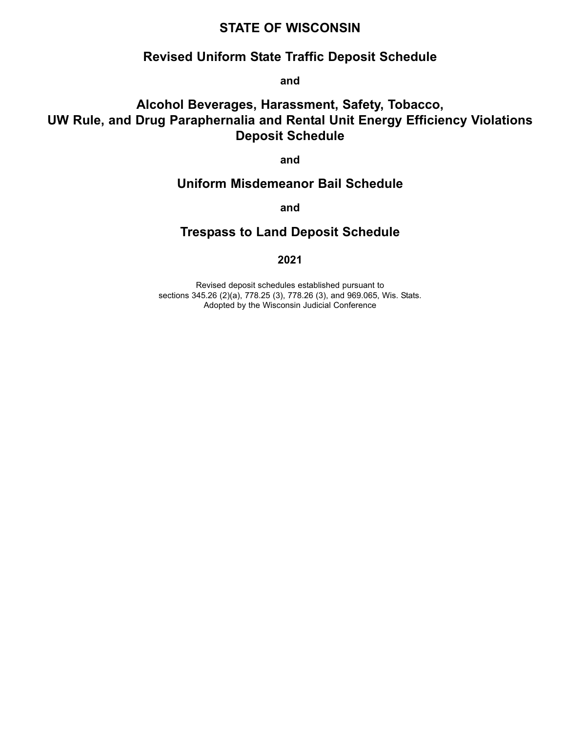# **STATE OF WISCONSIN**

# **Revised Uniform State Traffic Deposit Schedule**

**and**

# **Alcohol Beverages, Harassment, Safety, Tobacco, UW Rule, and Drug Paraphernalia and Rental Unit Energy Efficiency Violations Deposit Schedule**

**and**

# **Uniform Misdemeanor Bail Schedule**

**and**

# **Trespass to Land Deposit Schedule**

# **2021**

Revised deposit schedules established pursuant to sections 345.26 (2)(a), 778.25 (3), 778.26 (3), and 969.065, Wis. Stats. Adopted by the Wisconsin Judicial Conference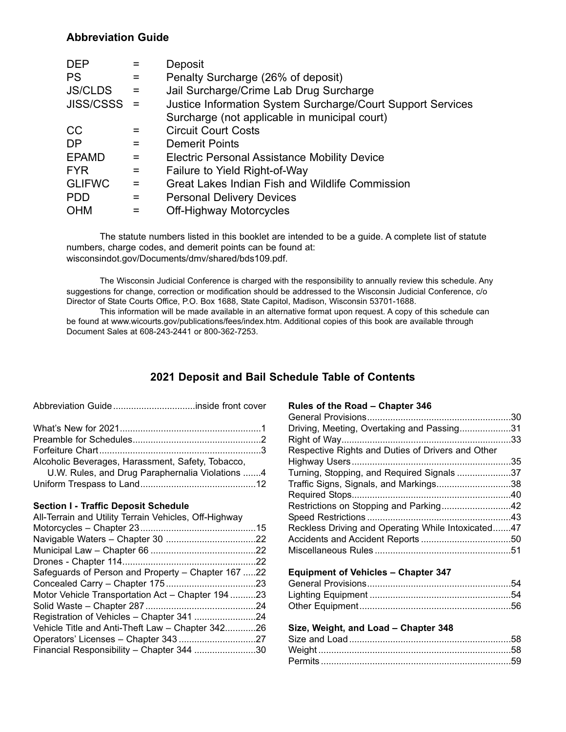# **Abbreviation Guide**

| <b>DEP</b>       |          | Deposit                                                     |
|------------------|----------|-------------------------------------------------------------|
| <b>PS</b>        | $=$      | Penalty Surcharge (26% of deposit)                          |
| <b>JS/CLDS</b>   | $=$      | Jail Surcharge/Crime Lab Drug Surcharge                     |
| <b>JISS/CSSS</b> | - =      | Justice Information System Surcharge/Court Support Services |
|                  |          | Surcharge (not applicable in municipal court)               |
| <sub>CC</sub>    |          | <b>Circuit Court Costs</b>                                  |
| <b>DP</b>        |          | <b>Demerit Points</b>                                       |
| <b>EPAMD</b>     | $=$      | <b>Electric Personal Assistance Mobility Device</b>         |
| <b>FYR</b>       | $=$      | Failure to Yield Right-of-Way                               |
| <b>GLIFWC</b>    | $\equiv$ | Great Lakes Indian Fish and Wildlife Commission             |
| <b>PDD</b>       | $=$      | <b>Personal Delivery Devices</b>                            |
| <b>OHM</b>       | $=$      | Off-Highway Motorcycles                                     |

The statute numbers listed in this booklet are intended to be a guide. A complete list of statute numbers, charge codes, and demerit points can be found at: wisconsindot.gov/Documents/dmv/shared/bds109.pdf.

The Wisconsin Judicial Conference is charged with the responsibility to annually review this schedule. Any suggestions for change, correction or modification should be addressed to the Wisconsin Judicial Conference, c/o Director of State Courts Office, P.O. Box 1688, State Capitol, Madison, Wisconsin 53701-1688.

This information will be made available in an alternative format upon request. A copy of this schedule can be found at www.wicourts.gov/publications/fees/index.htm. Additional copies of this book are available through Document Sales at 608-243-2441 or 800-362-7253.

# **2021 Deposit and Bail Schedule Table of Contents**

| Alcoholic Beverages, Harassment, Safety, Tobacco, |  |
|---------------------------------------------------|--|
| U.W. Rules, and Drug Paraphernalia Violations 4   |  |
|                                                   |  |

Abbreviation Guide................................inside front cover

### **Section I - Traffic Deposit Schedule**

| All-Terrain and Utility Terrain Vehicles, Off-Highway |  |
|-------------------------------------------------------|--|
|                                                       |  |
|                                                       |  |
|                                                       |  |
|                                                       |  |
| Safeguards of Person and Property – Chapter 167 22    |  |
|                                                       |  |
| Motor Vehicle Transportation Act - Chapter 19423      |  |
|                                                       |  |
|                                                       |  |
| Vehicle Title and Anti-Theft Law - Chapter 34226      |  |
|                                                       |  |
| Financial Responsibility - Chapter 344 30             |  |
|                                                       |  |

### **Rules of the Road – Chapter 346**

| Driving, Meeting, Overtaking and Passing31         |     |
|----------------------------------------------------|-----|
|                                                    |     |
| Respective Rights and Duties of Drivers and Other  |     |
|                                                    |     |
| Turning, Stopping, and Required Signals 37         |     |
| Traffic Signs, Signals, and Markings38             |     |
|                                                    |     |
| Restrictions on Stopping and Parking42             |     |
|                                                    |     |
| Reckless Driving and Operating While Intoxicated47 |     |
|                                                    |     |
|                                                    |     |
| <b>Equipment of Vehicles - Chapter 347</b>         |     |
| Canaral Dravisions                                 | E A |

#### **Size, Weight, and Load – Chapter 348**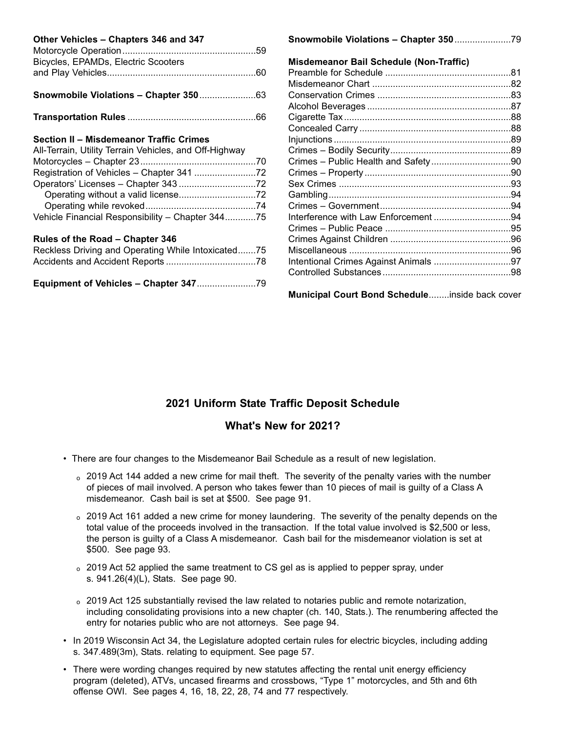| Other Vehicles - Chapters 346 and 347                  |                                         |  |
|--------------------------------------------------------|-----------------------------------------|--|
|                                                        |                                         |  |
| Bicycles, EPAMDs, Electric Scooters                    | Misdemeanor Bail Schedule (Non-Traffic) |  |
|                                                        |                                         |  |
|                                                        |                                         |  |
|                                                        |                                         |  |
|                                                        |                                         |  |
|                                                        |                                         |  |
|                                                        |                                         |  |
| <b>Section II - Misdemeanor Traffic Crimes</b>         |                                         |  |
| All-Terrain, Utility Terrain Vehicles, and Off-Highway |                                         |  |
|                                                        |                                         |  |
|                                                        |                                         |  |
|                                                        |                                         |  |
|                                                        |                                         |  |
|                                                        |                                         |  |
| Vehicle Financial Responsibility - Chapter 34475       |                                         |  |
|                                                        |                                         |  |
| Rules of the Road - Chapter 346                        |                                         |  |
| Reckless Driving and Operating While Intoxicated75     |                                         |  |
|                                                        | Intentional Crimes Against Animals 97   |  |
|                                                        |                                         |  |
|                                                        |                                         |  |

**Municipal Court Bond Schedule**........inside back cover

# **2021 Uniform State Traffic Deposit Schedule**

# **What's New for 2021?**

- There are four changes to the Misdemeanor Bail Schedule as a result of new legislation.
	- <sup>o</sup> 2019 Act 144 added a new crime for mail theft. The severity of the penalty varies with the number of pieces of mail involved. A person who takes fewer than 10 pieces of mail is guilty of a Class A misdemeanor. Cash bail is set at \$500. See page 91.
	- o 2019 Act 161 added a new crime for money laundering. The severity of the penalty depends on the total value of the proceeds involved in the transaction. If the total value involved is \$2,500 or less, the person is guilty of a Class A misdemeanor. Cash bail for the misdemeanor violation is set at \$500. See page 93.
	- <sup>o</sup> 2019 Act 52 applied the same treatment to CS gel as is applied to pepper spray, under s. 941.26(4)(L), Stats. See page 90.
	- o 2019 Act 125 substantially revised the law related to notaries public and remote notarization, including consolidating provisions into a new chapter (ch. 140, Stats.). The renumbering affected the entry for notaries public who are not attorneys. See page 94.
- In 2019 Wisconsin Act 34, the Legislature adopted certain rules for electric bicycles, including adding s. 347.489(3m), Stats. relating to equipment. See page 57.
- There were wording changes required by new statutes affecting the rental unit energy efficiency program (deleted), ATVs, uncased firearms and crossbows, "Type 1" motorcycles, and 5th and 6th offense OWI. See pages 4, 16, 18, 22, 28, 74 and 77 respectively.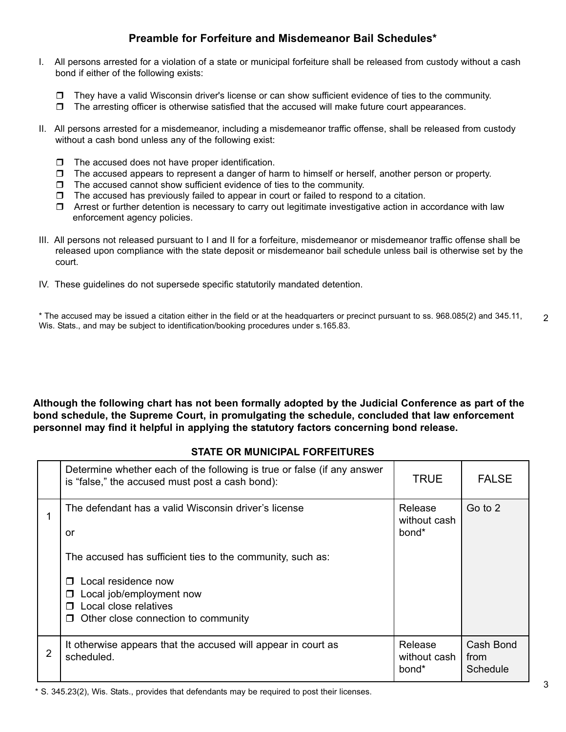# **Preamble for Forfeiture and Misdemeanor Bail Schedules\***

- I. All persons arrested for a violation of a state or municipal forfeiture shall be released from custody without a cash bond if either of the following exists:
	- $\Box$  They have a valid Wisconsin driver's license or can show sufficient evidence of ties to the community.
	- $\Box$  The arresting officer is otherwise satisfied that the accused will make future court appearances.
- II. All persons arrested for a misdemeanor, including a misdemeanor traffic offense, shall be released from custody without a cash bond unless any of the following exist:
	- $\Box$  The accused does not have proper identification.
	- $\Box$  The accused appears to represent a danger of harm to himself or herself, another person or property.
	- $\Box$  The accused cannot show sufficient evidence of ties to the community.
	- $\Box$  The accused has previously failed to appear in court or failed to respond to a citation.
	- $\Box$  Arrest or further detention is necessary to carry out legitimate investigative action in accordance with law enforcement agency policies.
- III. All persons not released pursuant to I and II for a forfeiture, misdemeanor or misdemeanor traffic offense shall be released upon compliance with the state deposit or misdemeanor bail schedule unless bail is otherwise set by the court.
- IV. These guidelines do not supersede specific statutorily mandated detention.

\* The accused may be issued a citation either in the field or at the headquarters or precinct pursuant to ss. 968.085(2) and 345.11, Wis. Stats., and may be subject to identification/booking procedures under s.165.83.

**Although the following chart has not been formally adopted by the Judicial Conference as part of the bond schedule, the Supreme Court, in promulgating the schedule, concluded that law enforcement personnel may find it helpful in applying the statutory factors concerning bond release.**

### **STATE OR MUNICIPAL FORFEITURES**

|   | Determine whether each of the following is true or false (if any answer<br>is "false," the accused must post a cash bond): | <b>TRUE</b>                                  | <b>FALSE</b>                  |
|---|----------------------------------------------------------------------------------------------------------------------------|----------------------------------------------|-------------------------------|
|   | The defendant has a valid Wisconsin driver's license<br>or<br>The accused has sufficient ties to the community, such as:   | Release<br>without cash<br>bond <sup>*</sup> | Go to 2                       |
|   | Local residence now<br>Local job/employment now<br>Local close relatives<br>Other close connection to community<br>П       |                                              |                               |
| 2 | It otherwise appears that the accused will appear in court as<br>scheduled.                                                | Release<br>without cash<br>bond <sup>*</sup> | Cash Bond<br>from<br>Schedule |

\* S. 345.23(2), Wis. Stats., provides that defendants may be required to post their licenses.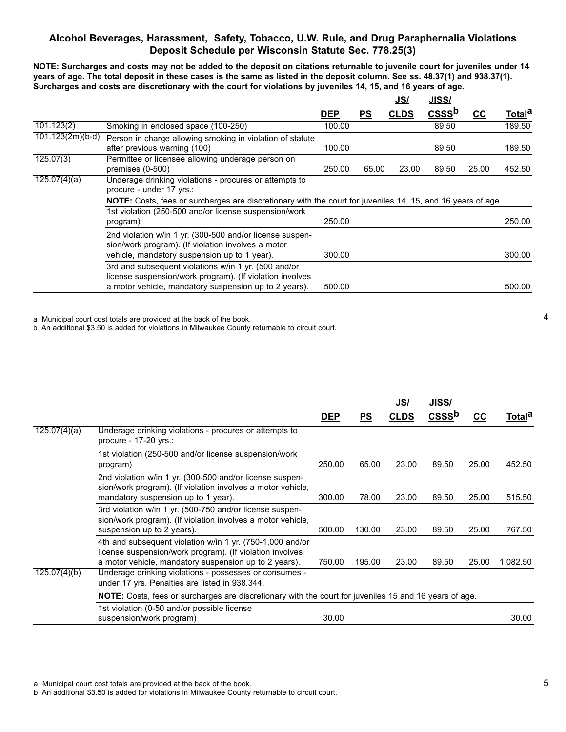### **Alcohol Beverages, Harassment, Safety, Tobacco, U.W. Rule, and Drug Paraphernalia Violations Deposit Schedule per Wisconsin Statute Sec. 778.25(3)**

**NOTE: Surcharges and costs may not be added to the deposit on citations returnable to juvenile court for juveniles under 14 years of age. The total deposit in these cases is the same as listed in the deposit column. See ss. 48.37(1) and 938.37(1). Surcharges and costs are discretionary with the court for violations by juveniles 14, 15, and 16 years of age.**

|                                                                                                                                                                           |            |           | <u>JS/</u>  | JISS/             |                           |                                                                                                             |
|---------------------------------------------------------------------------------------------------------------------------------------------------------------------------|------------|-----------|-------------|-------------------|---------------------------|-------------------------------------------------------------------------------------------------------------|
|                                                                                                                                                                           | <u>DEP</u> | <u>PS</u> | <b>CLDS</b> | CSSS <sup>b</sup> | $\underline{\mathsf{CC}}$ | <u>Totala</u>                                                                                               |
| Smoking in enclosed space (100-250)                                                                                                                                       | 100.00     |           |             | 89.50             |                           | 189.50                                                                                                      |
| Person in charge allowing smoking in violation of statute<br>after previous warning (100)                                                                                 | 100.00     |           |             | 89.50             |                           | 189.50                                                                                                      |
| Permittee or licensee allowing underage person on<br>premises $(0-500)$                                                                                                   | 250.00     |           | 23.00       | 89.50             | 25.00                     | 452.50                                                                                                      |
| Underage drinking violations - procures or attempts to<br>procure - under 17 yrs.:                                                                                        |            |           |             |                   |                           |                                                                                                             |
| 1st violation (250-500 and/or license suspension/work<br>program)                                                                                                         | 250.00     |           |             |                   |                           | 250.00                                                                                                      |
| 2nd violation w/in 1 yr. (300-500 and/or license suspen-<br>sion/work program). (If violation involves a motor<br>vehicle, mandatory suspension up to 1 year).            | 300.00     |           |             |                   |                           | 300.00                                                                                                      |
| 3rd and subsequent violations w/in 1 yr. (500 and/or<br>license suspension/work program). (If violation involves<br>a motor vehicle, mandatory suspension up to 2 years). | 500.00     |           |             |                   |                           | 500.00                                                                                                      |
|                                                                                                                                                                           |            |           |             | 65.00             |                           | NOTE: Costs, fees or surcharges are discretionary with the court for juveniles 14, 15, and 16 years of age. |

a Municipal court cost totals are provided at the back of the book.

b An additional \$3.50 is added for violations in Milwaukee County returnable to circuit court.

|              |                                                                                                                                                                                |            |           | <u>JS/</u>  | <u>JISS/</u> |       |                    |  |
|--------------|--------------------------------------------------------------------------------------------------------------------------------------------------------------------------------|------------|-----------|-------------|--------------|-------|--------------------|--|
|              |                                                                                                                                                                                | <b>DEP</b> | <u>PS</u> | <b>CLDS</b> | $CSS$        | cc    | Total <sup>a</sup> |  |
| 125.07(4)(a) | Underage drinking violations - procures or attempts to<br>procure - 17-20 yrs.:                                                                                                |            |           |             |              |       |                    |  |
|              | 1st violation (250-500 and/or license suspension/work<br>program)                                                                                                              | 250.00     | 65.00     | 23.00       | 89.50        | 25.00 | 452.50             |  |
|              | 2nd violation w/in 1 yr. (300-500 and/or license suspen-<br>sion/work program). (If violation involves a motor vehicle,<br>mandatory suspension up to 1 year).                 | 300.00     | 78.00     | 23.00       | 89.50        | 25.00 | 515.50             |  |
|              | 3rd violation w/in 1 yr. (500-750 and/or license suspen-<br>sion/work program). (If violation involves a motor vehicle,<br>suspension up to 2 years).                          | 500.00     | 130.00    | 23.00       | 89.50        | 25.00 | 767.50             |  |
|              | 4th and subsequent violation w/in 1 yr. (750-1,000 and/or<br>license suspension/work program). (If violation involves<br>a motor vehicle, mandatory suspension up to 2 years). | 750.00     | 195.00    | 23.00       | 89.50        | 25.00 | 1,082.50           |  |
| 125.07(4)(b) | Underage drinking violations - possesses or consumes -<br>under 17 yrs. Penalties are listed in 938.344.                                                                       |            |           |             |              |       |                    |  |
|              | <b>NOTE:</b> Costs, fees or surcharges are discretionary with the court for juveniles 15 and 16 years of age.                                                                  |            |           |             |              |       |                    |  |
|              | 1st violation (0-50 and/or possible license<br>suspension/work program)                                                                                                        | 30.00      |           |             |              |       | 30.00              |  |

b An additional \$3.50 is added for violations in Milwaukee County returnable to circuit court.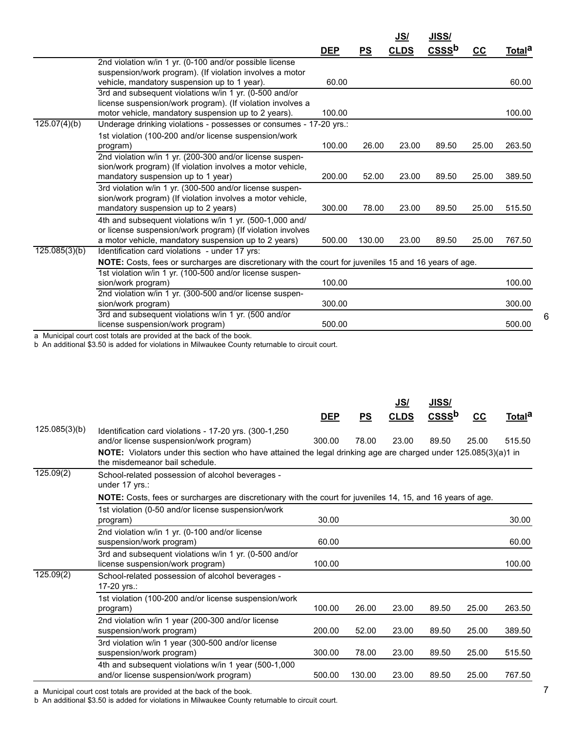|               |                                                                                                        |            |        | <u>JS/</u>  | JISS/             |       |                    |
|---------------|--------------------------------------------------------------------------------------------------------|------------|--------|-------------|-------------------|-------|--------------------|
|               |                                                                                                        | <b>DEP</b> | PS     | <b>CLDS</b> | CSSS <sup>b</sup> | $CC$  | Total <sup>a</sup> |
|               | 2nd violation w/in 1 yr. (0-100 and/or possible license                                                |            |        |             |                   |       |                    |
|               | suspension/work program). (If violation involves a motor                                               |            |        |             |                   |       |                    |
|               | vehicle, mandatory suspension up to 1 year).                                                           | 60.00      |        |             |                   |       | 60.00              |
|               | 3rd and subsequent violations w/in 1 yr. (0-500 and/or                                                 |            |        |             |                   |       |                    |
|               | license suspension/work program). (If violation involves a                                             |            |        |             |                   |       |                    |
|               | motor vehicle, mandatory suspension up to 2 years).                                                    | 100.00     |        |             |                   |       | 100.00             |
| 125.07(4)(b)  | Underage drinking violations - possesses or consumes - 17-20 yrs.:                                     |            |        |             |                   |       |                    |
|               | 1st violation (100-200 and/or license suspension/work                                                  |            |        |             |                   |       |                    |
|               | program)                                                                                               | 100.00     | 26.00  | 23.00       | 89.50             | 25.00 | 263.50             |
|               | 2nd violation w/in 1 yr. (200-300 and/or license suspen-                                               |            |        |             |                   |       |                    |
|               | sion/work program) (If violation involves a motor vehicle,                                             |            |        |             |                   |       |                    |
|               | mandatory suspension up to 1 year)                                                                     | 200.00     | 52.00  | 23.00       | 89.50             | 25.00 | 389.50             |
|               | 3rd violation w/in 1 yr. (300-500 and/or license suspen-                                               |            |        |             |                   |       |                    |
|               | sion/work program) (If violation involves a motor vehicle,                                             |            |        |             |                   |       |                    |
|               | mandatory suspension up to 2 years)                                                                    | 300.00     | 78.00  | 23.00       | 89.50             | 25.00 | 515.50             |
|               | 4th and subsequent violations w/in 1 yr. (500-1,000 and/                                               |            |        |             |                   |       |                    |
|               | or license suspension/work program) (If violation involves                                             |            |        |             |                   |       |                    |
|               | a motor vehicle, mandatory suspension up to 2 years)                                                   | 500.00     | 130.00 | 23.00       | 89.50             | 25.00 | 767.50             |
| 125.085(3)(b) | Identification card violations - under 17 yrs:                                                         |            |        |             |                   |       |                    |
|               | NOTE: Costs, fees or surcharges are discretionary with the court for juveniles 15 and 16 years of age. |            |        |             |                   |       |                    |
|               | 1st violation w/in 1 yr. (100-500 and/or license suspen-                                               |            |        |             |                   |       |                    |
|               | sion/work program)                                                                                     | 100.00     |        |             |                   |       | 100.00             |
|               | 2nd violation w/in 1 yr. (300-500 and/or license suspen-                                               |            |        |             |                   |       |                    |
|               | sion/work program)                                                                                     | 300.00     |        |             |                   |       | 300.00             |
|               | 3rd and subsequent violations w/in 1 yr. (500 and/or                                                   |            |        |             |                   |       |                    |
|               | license suspension/work program)                                                                       | 500.00     |        |             |                   |       | 500.00             |

b An additional \$3.50 is added for violations in Milwaukee County returnable to circuit court.

|                                                                                                   |            |        | <u>JS/</u>  | <u>JISS/</u>      |       |                                                                                                                                                                                                                                              |
|---------------------------------------------------------------------------------------------------|------------|--------|-------------|-------------------|-------|----------------------------------------------------------------------------------------------------------------------------------------------------------------------------------------------------------------------------------------------|
|                                                                                                   | <b>DEP</b> | PS     | <b>CLDS</b> | CSSS <sup>b</sup> | $cc$  | Total <sup>a</sup>                                                                                                                                                                                                                           |
| Identification card violations - 17-20 yrs. (300-1,250<br>and/or license suspension/work program) | 300.00     | 78.00  | 23.00       | 89.50             | 25.00 | 515.50                                                                                                                                                                                                                                       |
| the misdemeanor bail schedule.                                                                    |            |        |             |                   |       |                                                                                                                                                                                                                                              |
| School-related possession of alcohol beverages -<br>under 17 yrs.:                                |            |        |             |                   |       |                                                                                                                                                                                                                                              |
|                                                                                                   |            |        |             |                   |       |                                                                                                                                                                                                                                              |
| 1st violation (0-50 and/or license suspension/work                                                |            |        |             |                   |       |                                                                                                                                                                                                                                              |
| program)                                                                                          | 30.00      |        |             |                   |       | 30.00                                                                                                                                                                                                                                        |
| 2nd violation w/in 1 yr. (0-100 and/or license                                                    |            |        |             |                   |       |                                                                                                                                                                                                                                              |
| suspension/work program)                                                                          | 60.00      |        |             |                   |       | 60.00                                                                                                                                                                                                                                        |
| 3rd and subsequent violations w/in 1 yr. (0-500 and/or<br>license suspension/work program)        | 100.00     |        |             |                   |       | 100.00                                                                                                                                                                                                                                       |
| School-related possession of alcohol beverages -<br>17-20 yrs.:                                   |            |        |             |                   |       |                                                                                                                                                                                                                                              |
| 1st violation (100-200 and/or license suspension/work                                             |            |        |             |                   |       |                                                                                                                                                                                                                                              |
| program)                                                                                          | 100.00     | 26.00  | 23.00       | 89.50             | 25.00 | 263.50                                                                                                                                                                                                                                       |
| 2nd violation w/in 1 year (200-300 and/or license<br>suspension/work program)                     | 200.00     | 52.00  | 23.00       | 89.50             | 25.00 | 389.50                                                                                                                                                                                                                                       |
| 3rd violation w/in 1 year (300-500 and/or license<br>suspension/work program)                     | 300.00     | 78.00  | 23.00       | 89.50             | 25.00 | 515.50                                                                                                                                                                                                                                       |
| 4th and subsequent violations w/in 1 year (500-1,000<br>and/or license suspension/work program)   | 500.00     | 130.00 | 23.00       | 89.50             | 25.00 | 767.50                                                                                                                                                                                                                                       |
|                                                                                                   |            |        |             |                   |       | <b>NOTE:</b> Violators under this section who have attained the legal drinking age are charged under 125.085(3)(a)1 in<br><b>NOTE:</b> Costs, fees or surcharges are discretionary with the court for juveniles 14, 15, and 16 years of age. |

a Municipal court cost totals are provided at the back of the book.

b An additional \$3.50 is added for violations in Milwaukee County returnable to circuit court.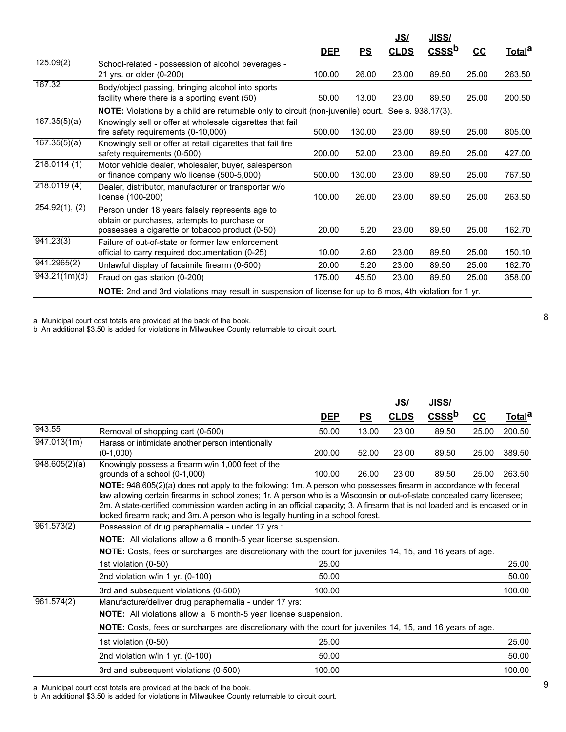|                         |                                                                                                                                                    |            |        | <u>JS/</u>  | <u>JISS/</u>      |       |                    |
|-------------------------|----------------------------------------------------------------------------------------------------------------------------------------------------|------------|--------|-------------|-------------------|-------|--------------------|
|                         |                                                                                                                                                    | <b>DEP</b> | PS     | <b>CLDS</b> | CSSS <sup>b</sup> | $cc$  | Total <sup>a</sup> |
| 125.09(2)               | School-related - possession of alcohol beverages -<br>21 yrs. or older (0-200)                                                                     | 100.00     | 26.00  | 23.00       | 89.50             | 25.00 | 263.50             |
| 167.32                  | Body/object passing, bringing alcohol into sports<br>facility where there is a sporting event (50)                                                 | 50.00      | 13.00  | 23.00       | 89.50             | 25.00 | 200.50             |
|                         | <b>NOTE:</b> Violations by a child are returnable only to circuit (non-juvenile) court. See s. 938.17(3).                                          |            |        |             |                   |       |                    |
| 167.35(5)(a)            | Knowingly sell or offer at wholesale cigarettes that fail<br>fire safety requirements (0-10,000)                                                   | 500.00     | 130.00 | 23.00       | 89.50             | 25.00 | 805.00             |
| 167.35(5)(a)            | Knowingly sell or offer at retail cigarettes that fail fire<br>safety requirements (0-500)                                                         | 200.00     | 52.00  | 23.00       | 89.50             | 25.00 | 427.00             |
| 218.0114(1)             | Motor vehicle dealer, wholesaler, buyer, salesperson<br>or finance company w/o license (500-5,000)                                                 | 500.00     | 130.00 | 23.00       | 89.50             | 25.00 | 767.50             |
| 218.0119(4)             | Dealer, distributor, manufacturer or transporter w/o<br>license (100-200)                                                                          | 100.00     | 26.00  | 23.00       | 89.50             | 25.00 | 263.50             |
| 254.92(1), (2)          | Person under 18 years falsely represents age to<br>obtain or purchases, attempts to purchase or<br>possesses a cigarette or tobacco product (0-50) | 20.00      | 5.20   | 23.00       | 89.50             | 25.00 | 162.70             |
| $\overline{941.23(3)}$  | Failure of out-of-state or former law enforcement<br>official to carry required documentation (0-25)                                               | 10.00      | 2.60   | 23.00       | 89.50             | 25.00 | 150.10             |
| 941.2965(2)             | Unlawful display of facsimile firearm (0-500)                                                                                                      | 20.00      | 5.20   | 23.00       | 89.50             | 25.00 | 162.70             |
| $\sqrt{943.21(1m)}$ (d) | Fraud on gas station (0-200)                                                                                                                       | 175.00     | 45.50  | 23.00       | 89.50             | 25.00 | 358.00             |
|                         | NOTE: 2nd and 3rd violations may result in suspension of license for up to 6 mos, 4th violation for 1 yr.                                          |            |        |             |                   |       |                    |

b An additional \$3.50 is added for violations in Milwaukee County returnable to circuit court.

|               |                                                                                                                                                                                                                                                                                                                                              |            |       | <u>JS/</u>  | JISS/ |       |               |
|---------------|----------------------------------------------------------------------------------------------------------------------------------------------------------------------------------------------------------------------------------------------------------------------------------------------------------------------------------------------|------------|-------|-------------|-------|-------|---------------|
|               |                                                                                                                                                                                                                                                                                                                                              | <b>DEP</b> | PS    | <b>CLDS</b> | $CSS$ | $cc$  | <u>Totala</u> |
| 943.55        | Removal of shopping cart (0-500)                                                                                                                                                                                                                                                                                                             | 50.00      | 13.00 | 23.00       | 89.50 | 25.00 | 200.50        |
| 947.013(1m)   | Harass or intimidate another person intentionally<br>$(0-1,000)$                                                                                                                                                                                                                                                                             | 200.00     | 52.00 | 23.00       | 89.50 | 25.00 | 389.50        |
| 948.605(2)(a) | Knowingly possess a firearm w/in 1,000 feet of the<br>grounds of a school (0-1,000)<br>NOTE: 948.605(2)(a) does not apply to the following: 1m. A person who possesses firearm in accordance with federal                                                                                                                                    | 100.00     | 26.00 | 23.00       | 89.50 | 25.00 | 263.50        |
|               | law allowing certain firearms in school zones; 1r. A person who is a Wisconsin or out-of-state concealed carry licensee;<br>2m. A state-certified commission warden acting in an official capacity; 3. A firearm that is not loaded and is encased or in<br>locked firearm rack; and 3m. A person who is legally hunting in a school forest. |            |       |             |       |       |               |
| 961.573(2)    | Possession of drug paraphernalia - under 17 yrs.:                                                                                                                                                                                                                                                                                            |            |       |             |       |       |               |
|               | NOTE: All violations allow a 6 month-5 year license suspension.                                                                                                                                                                                                                                                                              |            |       |             |       |       |               |
|               | NOTE: Costs, fees or surcharges are discretionary with the court for juveniles 14, 15, and 16 years of age.                                                                                                                                                                                                                                  |            |       |             |       |       |               |
|               | 1st violation (0-50)                                                                                                                                                                                                                                                                                                                         | 25.00      |       |             |       |       | 25.00         |
|               | 2nd violation $w/in 1 yr. (0-100)$                                                                                                                                                                                                                                                                                                           | 50.00      |       |             |       |       | 50.00         |
|               | 3rd and subsequent violations (0-500)                                                                                                                                                                                                                                                                                                        | 100.00     |       |             |       |       | 100.00        |
| 961.574(2)    | Manufacture/deliver drug paraphernalia - under 17 yrs:                                                                                                                                                                                                                                                                                       |            |       |             |       |       |               |
|               | NOTE: All violations allow a 6 month-5 year license suspension.                                                                                                                                                                                                                                                                              |            |       |             |       |       |               |
|               | NOTE: Costs, fees or surcharges are discretionary with the court for juveniles 14, 15, and 16 years of age.                                                                                                                                                                                                                                  |            |       |             |       |       |               |
|               | 1st violation (0-50)                                                                                                                                                                                                                                                                                                                         | 25.00      |       |             |       |       | 25.00         |
|               | 2nd violation w/in 1 yr. (0-100)                                                                                                                                                                                                                                                                                                             | 50.00      |       |             |       |       | 50.00         |
|               | 3rd and subsequent violations (0-500)                                                                                                                                                                                                                                                                                                        | 100.00     |       |             |       |       | 100.00        |

a Municipal court cost totals are provided at the back of the book.

b An additional \$3.50 is added for violations in Milwaukee County returnable to circuit court.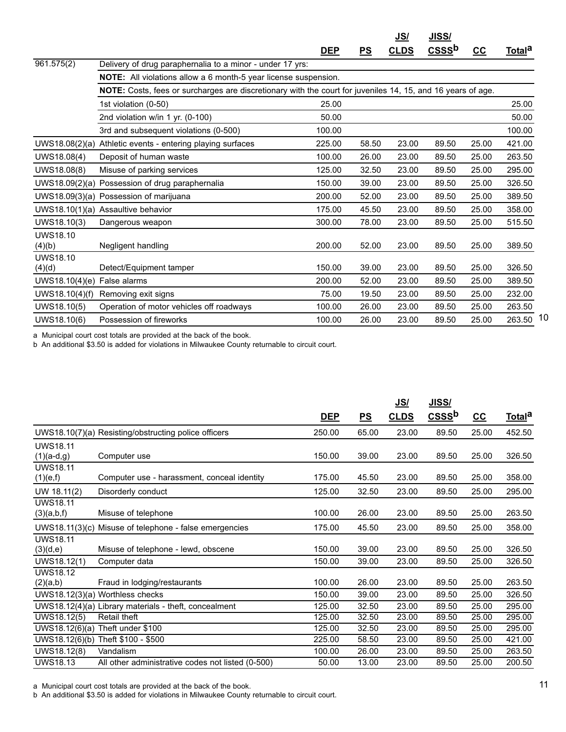|                           |                                                                                                             |            |       | <u>JS/</u>  | <u>JISS/</u>      |       |                    |  |
|---------------------------|-------------------------------------------------------------------------------------------------------------|------------|-------|-------------|-------------------|-------|--------------------|--|
|                           |                                                                                                             | <u>DEP</u> | PS    | <b>CLDS</b> | CSSS <sup>b</sup> | cc    | Total <sup>a</sup> |  |
| 961.575(2)                | Delivery of drug paraphernalia to a minor - under 17 yrs:                                                   |            |       |             |                   |       |                    |  |
|                           | NOTE: All violations allow a 6 month-5 year license suspension.                                             |            |       |             |                   |       |                    |  |
|                           | NOTE: Costs, fees or surcharges are discretionary with the court for juveniles 14, 15, and 16 years of age. |            |       |             |                   |       |                    |  |
|                           | 1st violation (0-50)                                                                                        | 25.00      |       |             |                   |       | 25.00              |  |
|                           | 2nd violation w/in 1 yr. (0-100)                                                                            | 50.00      |       |             |                   |       | 50.00              |  |
|                           | 3rd and subsequent violations (0-500)                                                                       | 100.00     |       |             |                   |       | 100.00             |  |
| UWS18.08(2)(a)            | Athletic events - entering playing surfaces                                                                 | 225.00     | 58.50 | 23.00       | 89.50             | 25.00 | 421.00             |  |
| UWS18.08(4)               | Deposit of human waste                                                                                      | 100.00     | 26.00 | 23.00       | 89.50             | 25.00 | 263.50             |  |
| UWS18.08(8)               | Misuse of parking services                                                                                  | 125.00     | 32.50 | 23.00       | 89.50             | 25.00 | 295.00             |  |
| UWS18.09(2)(a)            | Possession of drug paraphernalia                                                                            | 150.00     | 39.00 | 23.00       | 89.50             | 25.00 | 326.50             |  |
|                           | UWS18.09(3)(a) Possession of marijuana                                                                      | 200.00     | 52.00 | 23.00       | 89.50             | 25.00 | 389.50             |  |
|                           | UWS18.10(1)(a) Assaultive behavior                                                                          | 175.00     | 45.50 | 23.00       | 89.50             | 25.00 | 358.00             |  |
| UWS18.10(3)               | Dangerous weapon                                                                                            | 300.00     | 78.00 | 23.00       | 89.50             | 25.00 | 515.50             |  |
| <b>UWS18.10</b><br>(4)(b) | Negligent handling                                                                                          | 200.00     | 52.00 | 23.00       | 89.50             | 25.00 | 389.50             |  |
| <b>UWS18.10</b><br>(4)(d) | Detect/Equipment tamper                                                                                     | 150.00     | 39.00 | 23.00       | 89.50             | 25.00 | 326.50             |  |
| UWS18.10(4)(e)            | False alarms                                                                                                | 200.00     | 52.00 | 23.00       | 89.50             | 25.00 | 389.50             |  |
| UWS18.10(4)(f)            | Removing exit signs                                                                                         | 75.00      | 19.50 | 23.00       | 89.50             | 25.00 | 232.00             |  |
| UWS18.10(5)               | Operation of motor vehicles off roadways                                                                    | 100.00     | 26.00 | 23.00       | 89.50             | 25.00 | 263.50             |  |
| UWS18.10(6)               | Possession of fireworks                                                                                     | 100.00     | 26.00 | 23.00       | 89.50             | 25.00 | 263.50 10          |  |

b An additional \$3.50 is added for violations in Milwaukee County returnable to circuit court.

|                                            |                                                        |                  |                | <u>JS/</u>     | JISS/             |                |                    |
|--------------------------------------------|--------------------------------------------------------|------------------|----------------|----------------|-------------------|----------------|--------------------|
|                                            |                                                        | <b>DEP</b>       | PS             | <b>CLDS</b>    | CSSS <sup>b</sup> | $cc$           | Total <sup>a</sup> |
|                                            | UWS18.10(7)(a) Resisting/obstructing police officers   | 250.00           | 65.00          | 23.00          | 89.50             | 25.00          | 452.50             |
| <b>UWS18.11</b><br>$(1)(a-d,g)$            | Computer use                                           | 150.00           | 39.00          | 23.00          | 89.50             | 25.00          | 326.50             |
| <b>UWS18.11</b><br>(1)(e,f)                | Computer use - harassment, conceal identity            | 175.00           | 45.50          | 23.00          | 89.50             | 25.00          | 358.00             |
| UW 18.11(2)                                | Disorderly conduct                                     | 125.00           | 32.50          | 23.00          | 89.50             | 25.00          | 295.00             |
| <b>UWS18.11</b><br>(3)(a,b,f)              | Misuse of telephone                                    | 100.00           | 26.00          | 23.00          | 89.50             | 25.00          | 263.50             |
|                                            | UWS18.11(3)(c) Misuse of telephone - false emergencies | 175.00           | 45.50          | 23.00          | 89.50             | 25.00          | 358.00             |
| <b>UWS18.11</b><br>(3)(d,e)<br>UWS18.12(1) | Misuse of telephone - lewd, obscene<br>Computer data   | 150.00<br>150.00 | 39.00<br>39.00 | 23.00<br>23.00 | 89.50<br>89.50    | 25.00<br>25.00 | 326.50<br>326.50   |
| <b>UWS18.12</b><br>(2)(a,b)                | Fraud in lodging/restaurants                           | 100.00           | 26.00          | 23.00          | 89.50             | 25.00          | 263.50             |
|                                            | UWS18.12(3)(a) Worthless checks                        | 150.00           | 39.00          | 23.00          | 89.50             | 25.00          | 326.50             |
|                                            | UWS18.12(4)(a) Library materials - theft, concealment  | 125.00           | 32.50          | 23.00          | 89.50             | 25.00          | 295.00             |
| UWS18.12(5)                                | Retail theft                                           | 125.00           | 32.50          | 23.00          | 89.50             | 25.00          | 295.00             |
| UWS18.12(6)(a)                             | Theft under \$100                                      | 125.00           | 32.50          | 23.00          | 89.50             | 25.00          | 295.00             |
|                                            | UWS18.12(6)(b) Theft \$100 - \$500                     | 225.00           | 58.50          | 23.00          | 89.50             | 25.00          | 421.00             |
| UWS18.12(8)                                | Vandalism                                              | 100.00           | 26.00          | 23.00          | 89.50             | 25.00          | 263.50             |
| <b>UWS18.13</b>                            | All other administrative codes not listed (0-500)      | 50.00            | 13.00          | 23.00          | 89.50             | 25.00          | 200.50             |

a Municipal court cost totals are provided at the back of the book.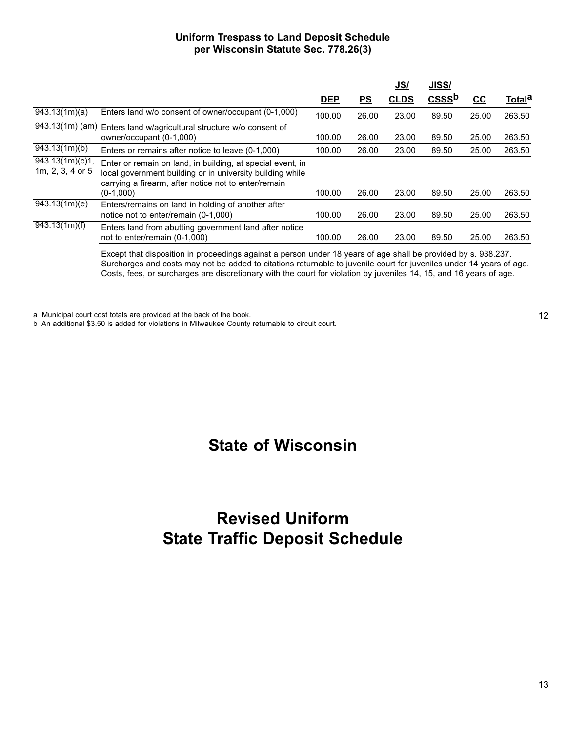### **Uniform Trespass to Land Deposit Schedule per Wisconsin Statute Sec. 778.26(3)**

|                                               |                                                                                                                                                                                                |            |                           | <u>JS/</u>  | JISS/                       |       |               |
|-----------------------------------------------|------------------------------------------------------------------------------------------------------------------------------------------------------------------------------------------------|------------|---------------------------|-------------|-----------------------------|-------|---------------|
|                                               |                                                                                                                                                                                                | <u>DEP</u> | $\underline{\mathsf{PS}}$ | <b>CLDS</b> | $\mathbf{CSS}^{\mathbf{b}}$ | cc    | <u>Totala</u> |
| $\sqrt{943.13(1m)}$ (a)                       | Enters land w/o consent of owner/occupant (0-1,000)                                                                                                                                            | 100.00     | 26.00                     | 23.00       | 89.50                       | 25.00 | 263.50        |
|                                               | 943.13(1m) (am) Enters land w/agricultural structure w/o consent of<br>owner/occupant (0-1,000)                                                                                                | 100.00     | 26.00                     | 23.00       | 89.50                       | 25.00 | 263.50        |
| $\sqrt{943.13(1m)}$ (b)                       | Enters or remains after notice to leave (0-1,000)                                                                                                                                              | 100.00     | 26.00                     | 23.00       | 89.50                       | 25.00 | 263.50        |
| $\sqrt{943.13(1m)(c)}$ 1,<br>1m, 2, 3, 4 or 5 | Enter or remain on land, in building, at special event, in<br>local government building or in university building while<br>carrying a firearm, after notice not to enter/remain<br>$(0-1,000)$ | 100.00     | 26.00                     | 23.00       | 89.50                       | 25.00 | 263.50        |
| $\sqrt{943.13(1m)}$ (e)                       | Enters/remains on land in holding of another after<br>notice not to enter/remain (0-1,000)                                                                                                     | 100.00     | 26.00                     | 23.00       | 89.50                       | 25.00 | 263.50        |
| $\sqrt{943.13(1m)(f)}$                        | Enters land from abutting government land after notice<br>not to enter/remain (0-1,000)                                                                                                        | 100.00     | 26.00                     | 23.00       | 89.50                       | 25.00 | 263.50        |

Except that disposition in proceedings against a person under 18 years of age shall be provided by s. 938.237. Surcharges and costs may not be added to citations returnable to juvenile court for juveniles under 14 years of age. Costs, fees, or surcharges are discretionary with the court for violation by juveniles 14, 15, and 16 years of age.

a Municipal court cost totals are provided at the back of the book.

b An additional \$3.50 is added for violations in Milwaukee County returnable to circuit court.

12

# **State of Wisconsin**

# **Revised Uniform State Traffic Deposit Schedule**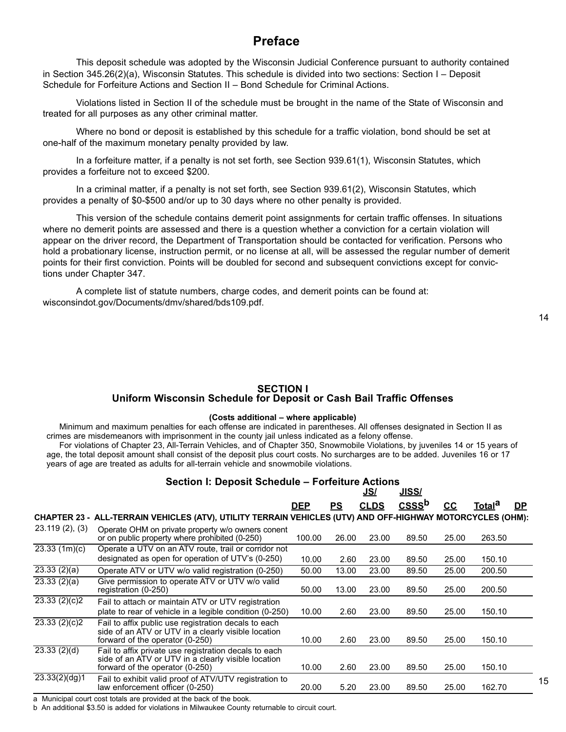# **Preface**

This deposit schedule was adopted by the Wisconsin Judicial Conference pursuant to authority contained in Section 345.26(2)(a), Wisconsin Statutes. This schedule is divided into two sections: Section I – Deposit Schedule for Forfeiture Actions and Section II – Bond Schedule for Criminal Actions.

Violations listed in Section II of the schedule must be brought in the name of the State of Wisconsin and treated for all purposes as any other criminal matter.

Where no bond or deposit is established by this schedule for a traffic violation, bond should be set at one-half of the maximum monetary penalty provided by law.

In a forfeiture matter, if a penalty is not set forth, see Section 939.61(1), Wisconsin Statutes, which provides a forfeiture not to exceed \$200.

In a criminal matter, if a penalty is not set forth, see Section 939.61(2), Wisconsin Statutes, which provides a penalty of \$0-\$500 and/or up to 30 days where no other penalty is provided.

This version of the schedule contains demerit point assignments for certain traffic offenses. In situations where no demerit points are assessed and there is a question whether a conviction for a certain violation will appear on the driver record, the Department of Transportation should be contacted for verification. Persons who hold a probationary license, instruction permit, or no license at all, will be assessed the regular number of demerit points for their first conviction. Points will be doubled for second and subsequent convictions except for convictions under Chapter 347.

A complete list of statute numbers, charge codes, and demerit points can be found at: wisconsindot.gov/Documents/dmv/shared/bds109.pdf.

#### **SECTION I Uniform Wisconsin Schedule for Deposit or Cash Bail Traffic Offenses**

#### **(Costs additional – where applicable)**

Minimum and maximum penalties for each offense are indicated in parentheses. All offenses designated in Section II as crimes are misdemeanors with imprisonment in the county jail unless indicated as a felony offense.

For violations of Chapter 23, All-Terrain Vehicles, and of Chapter 350, Snowmobile Violations, by juveniles 14 or 15 years of age, the total deposit amount shall consist of the deposit plus court costs. No surcharges are to be added. Juveniles 16 or 17 years of age are treated as adults for all-terrain vehicle and snowmobile violations.

| <b>Section I: Deposit Schedule - Forfeiture Actions</b> |                          |
|---------------------------------------------------------|--------------------------|
|                                                         | $\overline{\phantom{a}}$ |

|                |                                                                                                                                                 |            |       | <u>JS/</u>  | <u>JISS/</u>  |       |                    |           |
|----------------|-------------------------------------------------------------------------------------------------------------------------------------------------|------------|-------|-------------|---------------|-------|--------------------|-----------|
|                |                                                                                                                                                 | <b>DEP</b> | PS    | <b>CLDS</b> | <b>CSSS</b> b | cc    | Total <sup>a</sup> | <u>DP</u> |
|                | CHAPTER 23 - ALL-TERRAIN VEHICLES (ATV), UTILITY TERRAIN VEHICLES (UTV) AND OFF-HIGHWAY MOTORCYCLES (OHM):                                      |            |       |             |               |       |                    |           |
| 23.119(2), (3) | Operate OHM on private property w/o owners conent<br>or on public property where prohibited (0-250)                                             | 100.00     | 26.00 | 23.00       | 89.50         | 25.00 | 263.50             |           |
| 23.33 (1m)(c)  | Operate a UTV on an ATV route, trail or corridor not                                                                                            |            |       |             |               |       |                    |           |
|                | designated as open for operation of UTV's (0-250)                                                                                               | 10.00      | 2.60  | 23.00       | 89.50         | 25.00 | 150.10             |           |
| 23.33(2)(a)    | Operate ATV or UTV w/o valid registration (0-250)                                                                                               | 50.00      | 13.00 | 23.00       | 89.50         | 25.00 | 200.50             |           |
| 23.33(2)(a)    | Give permission to operate ATV or UTV w/o valid<br>registration (0-250)                                                                         | 50.00      | 13.00 | 23.00       | 89.50         | 25.00 | 200.50             |           |
| 23.33(2)(c)2   | Fail to attach or maintain ATV or UTV registration<br>plate to rear of vehicle in a legible condition (0-250)                                   | 10.00      | 2.60  | 23.00       | 89.50         | 25.00 | 150.10             |           |
| 23.33(2)(c)2   | Fail to affix public use registration decals to each<br>side of an ATV or UTV in a clearly visible location<br>forward of the operator (0-250)  | 10.00      | 2.60  | 23.00       | 89.50         | 25.00 | 150.10             |           |
| 23.33(2)(d)    | Fail to affix private use registration decals to each<br>side of an ATV or UTV in a clearly visible location<br>forward of the operator (0-250) | 10.00      | 2.60  | 23.00       | 89.50         | 25.00 | 150.10             |           |
| 23.33(2)(dg)1  | Fail to exhibit valid proof of ATV/UTV registration to<br>law enforcement officer (0-250)                                                       | 20.00      | 5.20  | 23.00       | 89.50         | 25.00 | 162.70             |           |

a Municipal court cost totals are provided at the back of the book.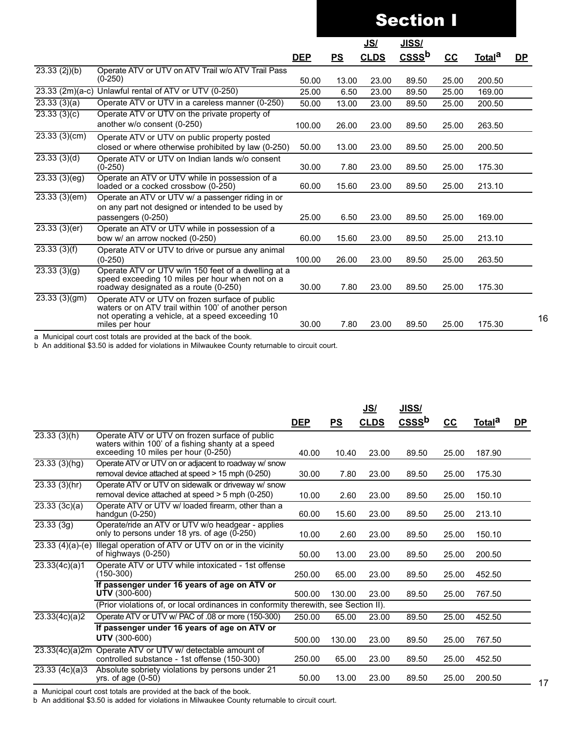|                     |                                                                                                                                                                              |            |       | <u>JS/</u>  | <b>JISS/</b>                       |       |                    |           |
|---------------------|------------------------------------------------------------------------------------------------------------------------------------------------------------------------------|------------|-------|-------------|------------------------------------|-------|--------------------|-----------|
|                     |                                                                                                                                                                              | <b>DEP</b> | PS    | <b>CLDS</b> | $\overline{\text{CSS}}^{\text{b}}$ | $cc$  | Total <sup>a</sup> | <u>DP</u> |
| $23.33$ $(2j)(b)$   | Operate ATV or UTV on ATV Trail w/o ATV Trail Pass<br>$(0-250)$                                                                                                              | 50.00      | 13.00 | 23.00       | 89.50                              | 25.00 | 200.50             |           |
| $23.33$ $(2m)(a-c)$ | Unlawful rental of ATV or UTV (0-250)                                                                                                                                        | 25.00      | 6.50  | 23.00       | 89.50                              | 25.00 | 169.00             |           |
| 23.33(3)(a)         | Operate ATV or UTV in a careless manner (0-250)                                                                                                                              | 50.00      | 13.00 | 23.00       | 89.50                              | 25.00 | 200.50             |           |
| 23.33(3)(c)         | Operate ATV or UTV on the private property of<br>another w/o consent (0-250)                                                                                                 | 100.00     | 26.00 | 23.00       | 89.50                              | 25.00 | 263.50             |           |
| 23.33(3)(cm)        | Operate ATV or UTV on public property posted<br>closed or where otherwise prohibited by law (0-250)                                                                          | 50.00      | 13.00 | 23.00       | 89.50                              | 25.00 | 200.50             |           |
| 23.33(3)(d)         | Operate ATV or UTV on Indian lands w/o consent<br>$(0-250)$                                                                                                                  | 30.00      | 7.80  | 23.00       | 89.50                              | 25.00 | 175.30             |           |
| 23.33(3)(eg)        | Operate an ATV or UTV while in possession of a<br>loaded or a cocked crossbow (0-250)                                                                                        | 60.00      | 15.60 | 23.00       | 89.50                              | 25.00 | 213.10             |           |
| 23.33(3)(em)        | Operate an ATV or UTV w/ a passenger riding in or<br>on any part not designed or intended to be used by<br>passengers (0-250)                                                | 25.00      | 6.50  | 23.00       | 89.50                              | 25.00 | 169.00             |           |
| 23.33(3)(er)        | Operate an ATV or UTV while in possession of a<br>bow w/ an arrow nocked (0-250)                                                                                             | 60.00      | 15.60 | 23.00       | 89.50                              | 25.00 | 213.10             |           |
| 23.33(3)(f)         | Operate ATV or UTV to drive or pursue any animal<br>$(0-250)$                                                                                                                | 100.00     | 26.00 | 23.00       | 89.50                              | 25.00 | 263.50             |           |
| 23.33(3)(g)         | Operate ATV or UTV w/in 150 feet of a dwelling at a<br>speed exceeding 10 miles per hour when not on a<br>roadway designated as a route (0-250)                              | 30.00      | 7.80  | 23.00       | 89.50                              | 25.00 | 175.30             |           |
| 23.33(3)(gm)        | Operate ATV or UTV on frozen surface of public<br>waters or on ATV trail within 100' of another person<br>not operating a vehicle, at a speed exceeding 10<br>miles per hour | 30.00      | 7.80  | 23.00       | 89.50                              | 25.00 | 175.30             |           |

a Municipal court cost totals are provided at the back of the book.

b An additional \$3.50 is added for violations in Milwaukee County returnable to circuit court.

|                   |                                                                                                                                            |            |        | <u>JS/</u>  | JISS/             |       |                    |           |
|-------------------|--------------------------------------------------------------------------------------------------------------------------------------------|------------|--------|-------------|-------------------|-------|--------------------|-----------|
|                   |                                                                                                                                            | <b>DEP</b> | PS     | <b>CLDS</b> | CSSS <sup>b</sup> | $cc$  | Total <sup>a</sup> | <u>DP</u> |
| 23.33(3)(h)       | Operate ATV or UTV on frozen surface of public<br>waters within 100' of a fishing shanty at a speed<br>exceeding 10 miles per hour (0-250) | 40.00      | 10.40  | 23.00       | 89.50             | 25.00 | 187.90             |           |
| 23.33(3)(hg)      | Operate ATV or UTV on or adjacent to roadway w/ snow<br>removal device attached at speed > 15 mph (0-250)                                  | 30.00      | 7.80   | 23.00       | 89.50             | 25.00 | 175.30             |           |
| 23.33(3)(hr)      | Operate ATV or UTV on sidewalk or driveway w/ snow<br>removal device attached at speed > 5 mph (0-250)                                     | 10.00      | 2.60   | 23.00       | 89.50             | 25.00 | 150.10             |           |
| 23.33(3c)(a)      | Operate ATV or UTV w/ loaded firearm, other than a<br>handgun (0-250)                                                                      | 60.00      | 15.60  | 23.00       | 89.50             | 25.00 | 213.10             |           |
| 23.33(3g)         | Operate/ride an ATV or UTV w/o headgear - applies<br>only to persons under 18 yrs. of age (0-250)                                          | 10.00      | 2.60   | 23.00       | 89.50             | 25.00 | 150.10             |           |
| $23.33(4)(a)-(e)$ | Illegal operation of ATV or UTV on or in the vicinity<br>of highways $(0-250)$                                                             | 50.00      | 13.00  | 23.00       | 89.50             | 25.00 | 200.50             |           |
| 23.33(4c)(a)1     | Operate ATV or UTV while intoxicated - 1st offense<br>(150-300)                                                                            | 250.00     | 65.00  | 23.00       | 89.50             | 25.00 | 452.50             |           |
|                   | If passenger under 16 years of age on ATV or<br><b>UTV</b> (300-600)                                                                       | 500.00     | 130.00 | 23.00       | 89.50             | 25.00 | 767.50             |           |
|                   | (Prior violations of, or local ordinances in conformity therewith, see Section II).                                                        |            |        |             |                   |       |                    |           |
| 23.33(4c)(a)2     | Operate ATV or UTV w/ PAC of .08 or more (150-300)                                                                                         | 250.00     | 65.00  | 23.00       | 89.50             | 25.00 | 452.50             |           |
|                   | If passenger under 16 years of age on ATV or<br><b>UTV</b> (300-600)                                                                       | 500.00     | 130.00 | 23.00       | 89.50             | 25.00 | 767.50             |           |
| 23.33(4c)(a)2m    | Operate ATV or UTV w/ detectable amount of<br>controlled substance - 1st offense (150-300)                                                 | 250.00     | 65.00  | 23.00       | 89.50             | 25.00 | 452.50             |           |
| 23.33(4c)(a)3     | Absolute sobriety violations by persons under 21<br>yrs. of age $(0-50)$                                                                   | 50.00      | 13.00  | 23.00       | 89.50             | 25.00 | 200.50             |           |

a Municipal court cost totals are provided at the back of the book.

b An additional \$3.50 is added for violations in Milwaukee County returnable to circuit court.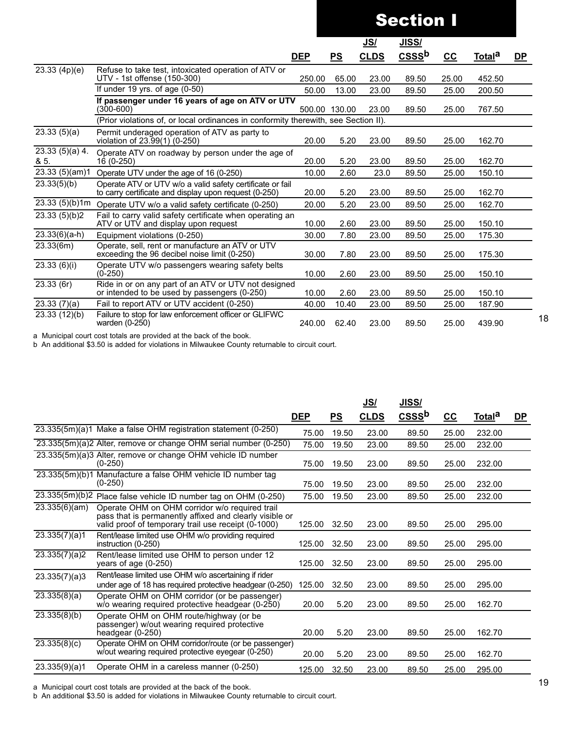|                           |                                                                                                                    |            |               |             | <b>Section I</b> |       |                    |           |
|---------------------------|--------------------------------------------------------------------------------------------------------------------|------------|---------------|-------------|------------------|-------|--------------------|-----------|
|                           |                                                                                                                    |            |               | <u>JS/</u>  | <u>JISS/</u>     |       |                    |           |
|                           |                                                                                                                    | <b>DEP</b> | PS            | <b>CLDS</b> | $CSS b$          | $cc$  | Total <sup>a</sup> | <u>DP</u> |
| 23.33(4p)(e)              | Refuse to take test, intoxicated operation of ATV or<br>UTV - 1st offense (150-300)                                | 250.00     | 65.00         | 23.00       | 89.50            | 25.00 | 452.50             |           |
|                           | If under 19 yrs. of age $(0-50)$                                                                                   | 50.00      | 13.00         | 23.00       | 89.50            | 25.00 | 200.50             |           |
|                           | If passenger under 16 years of age on ATV or UTV<br>$(300 - 600)$                                                  |            | 500.00 130.00 | 23.00       | 89.50            | 25.00 | 767.50             |           |
|                           | (Prior violations of, or local ordinances in conformity therewith, see Section II).                                |            |               |             |                  |       |                    |           |
| 23.33(5)(a)               | Permit underaged operation of ATV as party to<br>violation of 23.99(1) (0-250)                                     | 20.00      | 5.20          | 23.00       | 89.50            | 25.00 | 162.70             |           |
| $23.33(5)(a)$ 4.<br>& 5.  | Operate ATV on roadway by person under the age of<br>16 (0-250)                                                    | 20.00      | 5.20          | 23.00       | 89.50            | 25.00 | 162.70             |           |
| 23.33(5)(am)1             | Operate UTV under the age of 16 (0-250)                                                                            | 10.00      | 2.60          | 23.0        | 89.50            | 25.00 | 150.10             |           |
| 23.33(5)(b)               | Operate ATV or UTV w/o a valid safety certificate or fail<br>to carry certificate and display upon request (0-250) | 20.00      | 5.20          | 23.00       | 89.50            | 25.00 | 162.70             |           |
| 23.33 (5)(b)1m            | Operate UTV w/o a valid safety certificate (0-250)                                                                 | 20.00      | 5.20          | 23.00       | 89.50            | 25.00 | 162.70             |           |
| 23.33(5)(b)2              | Fail to carry valid safety certificate when operating an<br>ATV or UTV and display upon request                    | 10.00      | 2.60          | 23.00       | 89.50            | 25.00 | 150.10             |           |
| $23.33(6)(a-h)$           | Equipment violations (0-250)                                                                                       | 30.00      | 7.80          | 23.00       | 89.50            | 25.00 | 175.30             |           |
| 23.33(6m)                 | Operate, sell, rent or manufacture an ATV or UTV<br>exceeding the 96 decibel noise limit (0-250)                   | 30.00      | 7.80          | 23.00       | 89.50            | 25.00 | 175.30             |           |
| $\overline{23.33}$ (6)(i) | Operate UTV w/o passengers wearing safety belts<br>$(0-250)$                                                       | 10.00      | 2.60          | 23.00       | 89.50            | 25.00 | 150.10             |           |
| 23.33(6r)                 | Ride in or on any part of an ATV or UTV not designed<br>or intended to be used by passengers (0-250)               | 10.00      | 2.60          | 23.00       | 89.50            | 25.00 | 150.10             |           |
| 23.33(7)(a)               | Fail to report ATV or UTV accident (0-250)                                                                         | 40.00      | 10.40         | 23.00       | 89.50            | 25.00 | 187.90             |           |
| 23.33 (12)(b)             | Failure to stop for law enforcement officer or GLIFWC<br>warden (0-250)                                            | 240.00     | 62.40         | 23.00       | 89.50            | 25.00 | 439.90             |           |

b An additional \$3.50 is added for violations in Milwaukee County returnable to circuit court.

|                         |                                                                                                                                                                  |            |       | <u>JSI</u>  | <b>JISS/</b>      |       |               |           |
|-------------------------|------------------------------------------------------------------------------------------------------------------------------------------------------------------|------------|-------|-------------|-------------------|-------|---------------|-----------|
|                         |                                                                                                                                                                  | <b>DEP</b> | PS    | <b>CLDS</b> | CSSS <sup>b</sup> | $cc$  | <u>Totala</u> | <u>DP</u> |
|                         | 23.335(5m)(a)1 Make a false OHM registration statement (0-250)                                                                                                   | 75.00      | 19.50 | 23.00       | 89.50             | 25.00 | 232.00        |           |
|                         | 23.335(5m)(a)2 Alter, remove or change OHM serial number (0-250)                                                                                                 | 75.00      | 19.50 | 23.00       | 89.50             | 25.00 | 232.00        |           |
|                         | 23.335(5m)(a)3 Alter, remove or change OHM vehicle ID number<br>$(0-250)$                                                                                        | 75.00      | 19.50 | 23.00       | 89.50             | 25.00 | 232.00        |           |
| 23.335(5m)(b)1          | Manufacture a false OHM vehicle ID number tag<br>$(0-250)$                                                                                                       | 75.00      | 19.50 | 23.00       | 89.50             | 25.00 | 232.00        |           |
|                         | $23.335(5m)(b)2$ Place false vehicle ID number tag on OHM (0-250)                                                                                                | 75.00      | 19.50 | 23.00       | 89.50             | 25.00 | 232.00        |           |
| 23.335(6)(am)           | Operate OHM on OHM corridor w/o required trail<br>pass that is permanently affixed and clearly visible or<br>valid proof of temporary trail use receipt (0-1000) | 125.00     | 32.50 | 23.00       | 89.50             | 25.00 | 295.00        |           |
| $\sqrt{23.335(7)}$ (a)1 | Rent/lease limited use OHM w/o providing required<br>instruction (0-250)                                                                                         | 125.00     | 32.50 | 23.00       | 89.50             | 25.00 | 295.00        |           |
| 23.335(7)(a)2           | Rent/lease limited use OHM to person under 12<br>years of age $(0-250)$                                                                                          | 125.00     | 32.50 | 23.00       | 89.50             | 25.00 | 295.00        |           |
| 23.335(7)(a)3           | Rent/lease limited use OHM w/o ascertaining if rider<br>under age of 18 has required protective headgear (0-250)                                                 | 125.00     | 32.50 | 23.00       | 89.50             | 25.00 | 295.00        |           |
| $\sqrt{23.335(8)(a)}$   | Operate OHM on OHM corridor (or be passenger)<br>w/o wearing required protective headgear (0-250)                                                                | 20.00      | 5.20  | 23.00       | 89.50             | 25.00 | 162.70        |           |
| 23.335(8)(b)            | Operate OHM on OHM route/highway (or be<br>passenger) w/out wearing required protective<br>headgear $(0-250)$                                                    | 20.00      | 5.20  | 23.00       | 89.50             | 25.00 | 162.70        |           |
| 23.335(8)(c)            | Operate OHM on OHM corridor/route (or be passenger)<br>w/out wearing required protective eyegear (0-250)                                                         | 20.00      | 5.20  | 23.00       | 89.50             | 25.00 | 162.70        |           |
| 23.335(9)(a)1           | Operate OHM in a careless manner (0-250)                                                                                                                         | 125.00     | 32.50 | 23.00       | 89.50             | 25.00 | 295.00        |           |

a Municipal court cost totals are provided at the back of the book.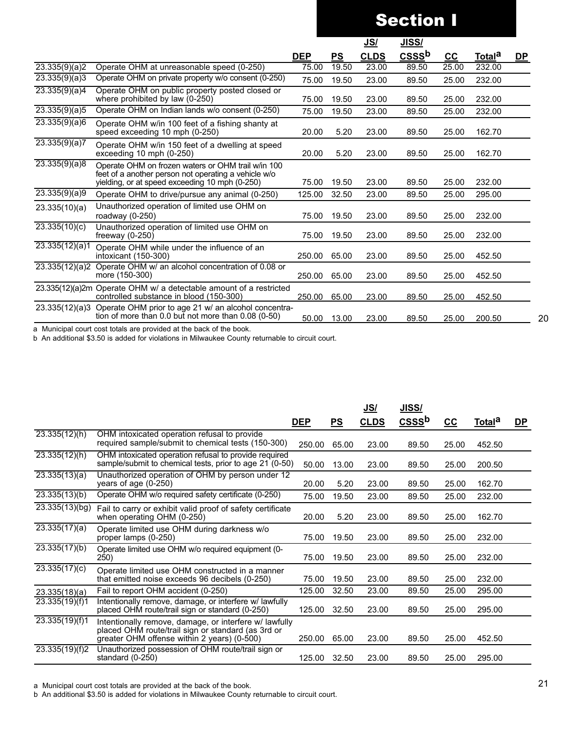|                |                                                                                                                                                              |            |       | <u>JS/</u>  | <u>JISS/</u>      |       |                    |           |
|----------------|--------------------------------------------------------------------------------------------------------------------------------------------------------------|------------|-------|-------------|-------------------|-------|--------------------|-----------|
|                |                                                                                                                                                              | <b>DEP</b> | PS    | <b>CLDS</b> | CSSS <sup>b</sup> | cc    | Total <sup>a</sup> | <u>DP</u> |
| 23.335(9)(a)2  | Operate OHM at unreasonable speed (0-250)                                                                                                                    | 75.00      | 19.50 | 23.00       | 89.50             | 25.00 | 232.00             |           |
| 23.335(9)(a)3  | Operate OHM on private property w/o consent (0-250)                                                                                                          | 75.00      | 19.50 | 23.00       | 89.50             | 25.00 | 232.00             |           |
| 23.335(9)(a)4  | Operate OHM on public property posted closed or<br>where prohibited by law (0-250)                                                                           | 75.00      | 19.50 | 23.00       | 89.50             | 25.00 | 232.00             |           |
| 23.335(9)(a)5  | Operate OHM on Indian lands w/o consent (0-250)                                                                                                              | 75.00      | 19.50 | 23.00       | 89.50             | 25.00 | 232.00             |           |
| 23.335(9)(a)6  | Operate OHM w/in 100 feet of a fishing shanty at<br>speed exceeding 10 mph (0-250)                                                                           | 20.00      | 5.20  | 23.00       | 89.50             | 25.00 | 162.70             |           |
| 23.335(9)(a)7  | Operate OHM w/in 150 feet of a dwelling at speed<br>exceeding $10$ mph $(0-250)$                                                                             | 20.00      | 5.20  | 23.00       | 89.50             | 25.00 | 162.70             |           |
| 23.335(9)(a)8  | Operate OHM on frozen waters or OHM trail w/in 100<br>feet of a another person not operating a vehicle w/o<br>yielding, or at speed exceeding 10 mph (0-250) | 75.00      | 19.50 | 23.00       | 89.50             | 25.00 | 232.00             |           |
| 23.335(9)(a)9  | Operate OHM to drive/pursue any animal (0-250)                                                                                                               | 125.00     | 32.50 | 23.00       | 89.50             | 25.00 | 295.00             |           |
| 23.335(10)(a)  | Unauthorized operation of limited use OHM on<br>roadway $(0-250)$                                                                                            | 75.00      | 19.50 | 23.00       | 89.50             | 25.00 | 232.00             |           |
| 23.335(10)(c)  | Unauthorized operation of limited use OHM on<br>freeway $(0-250)$                                                                                            | 75.00      | 19.50 | 23.00       | 89.50             | 25.00 | 232.00             |           |
| 23.335(12)(a)1 | Operate OHM while under the influence of an<br>intoxicant (150-300)                                                                                          | 250.00     | 65.00 | 23.00       | 89.50             | 25.00 | 452.50             |           |
|                | 23.335(12)(a)2 Operate OHM w/ an alcohol concentration of 0.08 or<br>more (150-300)                                                                          | 250.00     | 65.00 | 23.00       | 89.50             | 25.00 | 452.50             |           |
|                | 23.335(12)(a)2m Operate OHM w/ a detectable amount of a restricted<br>controlled substance in blood (150-300)                                                | 250.00     | 65.00 | 23.00       | 89.50             | 25.00 | 452.50             |           |
| 23.335(12)(a)3 | Operate OHM prior to age 21 w/ an alcohol concentra-<br>tion of more than $0.0$ but not more than $0.08$ (0-50)                                              | 50.00      | 13.00 | 23.00       | 89.50             | 25.00 | 200.50             |           |

a Municipal court cost totals are provided at the back of the book.

b An additional \$3.50 is added for violations in Milwaukee County returnable to circuit court.

|                              |                                                                                                                                                             |            |       | <u>JS/</u>  | <b>JISS/</b>      |       |                    |    |
|------------------------------|-------------------------------------------------------------------------------------------------------------------------------------------------------------|------------|-------|-------------|-------------------|-------|--------------------|----|
|                              |                                                                                                                                                             | <b>DEP</b> | PS    | <b>CLDS</b> | CSSS <sup>b</sup> | $cc$  | Total <sup>a</sup> | DP |
| 23.335(12)(h)                | OHM intoxicated operation refusal to provide<br>required sample/submit to chemical tests (150-300)                                                          | 250.00     | 65.00 | 23.00       | 89.50             | 25.00 | 452.50             |    |
| $\sqrt{23.335(12)(h)}$       | OHM intoxicated operation refusal to provide required<br>sample/submit to chemical tests, prior to age 21 (0-50)                                            | 50.00      | 13.00 | 23.00       | 89.50             | 25.00 | 200.50             |    |
| 23.335(13)(a)                | Unauthorized operation of OHM by person under 12<br>years of age $(0-250)$                                                                                  | 20.00      | 5.20  | 23.00       | 89.50             | 25.00 | 162.70             |    |
| 23.335(13)(b)                | Operate OHM w/o required safety certificate (0-250)                                                                                                         | 75.00      | 19.50 | 23.00       | 89.50             | 25.00 | 232.00             |    |
| 23.335(13)(bg)               | Fail to carry or exhibit valid proof of safety certificate<br>when operating OHM (0-250)                                                                    | 20.00      | 5.20  | 23.00       | 89.50             | 25.00 | 162.70             |    |
| 23.335(17)(a)                | Operate limited use OHM during darkness w/o<br>proper lamps (0-250)                                                                                         | 75.00      | 19.50 | 23.00       | 89.50             | 25.00 | 232.00             |    |
| 23.335(17)(b)                | Operate limited use OHM w/o required equipment (0-<br><b>250</b> )                                                                                          | 75.00      | 19.50 | 23.00       | 89.50             | 25.00 | 232.00             |    |
| 23.335(17)(c)                | Operate limited use OHM constructed in a manner<br>that emitted noise exceeds 96 decibels (0-250)                                                           | 75.00      | 19.50 | 23.00       | 89.50             | 25.00 | 232.00             |    |
| 23.335(18)(a)                | Fail to report OHM accident (0-250)                                                                                                                         | 125.00     | 32.50 | 23.00       | 89.50             | 25.00 | 295.00             |    |
| 23.335(19)(f)1               | Intentionally remove, damage, or interfere w/ lawfully<br>placed OHM route/trail sign or standard (0-250)                                                   | 125.00     | 32.50 | 23.00       | 89.50             | 25.00 | 295.00             |    |
| 23.335(19)(f)1               | Intentionally remove, damage, or interfere w/ lawfully<br>placed OHM route/trail sign or standard (as 3rd or<br>greater OHM offense within 2 years) (0-500) | 250.00     | 65.00 | 23.00       | 89.50             | 25.00 | 452.50             |    |
| $\overline{23.335(19)}$ (f)2 | Unauthorized possession of OHM route/trail sign or<br>standard (0-250)                                                                                      | 125.00     | 32.50 | 23.00       | 89.50             | 25.00 | 295.00             |    |

a Municipal court cost totals are provided at the back of the book.

b An additional \$3.50 is added for violations in Milwaukee County returnable to circuit court.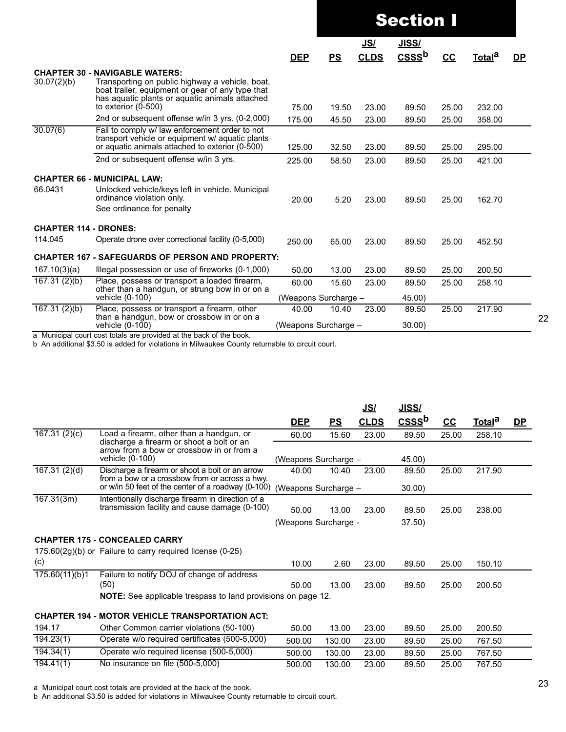|                              |                                                                                                                                                                                                                         |                      |                      | <b>Section I</b><br><u>JISS/</u><br><u>JS/</u><br>CSSS <sup>b</sup><br><b>CLDS</b><br>$cc$<br>23.00<br>25.00<br>19.50<br>89.50<br>25.00<br>45.50<br>23.00<br>89.50<br>25.00<br>32.50<br>23.00<br>89.50<br>23.00<br>25.00<br>58.50<br>89.50<br>5.20<br>23.00<br>25.00<br>89.50<br>65.00<br>23.00<br>25.00<br>89.50<br>13.00<br>23.00<br>25.00<br>89.50<br>23.00<br>25.00<br>15.60<br>89.50<br>45.00)<br>25.00<br>10.40<br>23.00<br>89.50 |       |  |                    |           |
|------------------------------|-------------------------------------------------------------------------------------------------------------------------------------------------------------------------------------------------------------------------|----------------------|----------------------|-----------------------------------------------------------------------------------------------------------------------------------------------------------------------------------------------------------------------------------------------------------------------------------------------------------------------------------------------------------------------------------------------------------------------------------------|-------|--|--------------------|-----------|
|                              |                                                                                                                                                                                                                         |                      |                      |                                                                                                                                                                                                                                                                                                                                                                                                                                         |       |  |                    |           |
|                              |                                                                                                                                                                                                                         | <b>DEP</b>           | PS                   |                                                                                                                                                                                                                                                                                                                                                                                                                                         |       |  | Total <sup>a</sup> | <b>DP</b> |
| 30.07(2)(b)                  | <b>CHAPTER 30 - NAVIGABLE WATERS:</b><br>Transporting on public highway a vehicle, boat,<br>boat trailer, equipment or gear of any type that<br>has aquatic plants or aquatic animals attached<br>to exterior $(0-500)$ | 75.00                |                      |                                                                                                                                                                                                                                                                                                                                                                                                                                         |       |  | 232.00             |           |
|                              | 2nd or subsequent offense w/in 3 yrs. (0-2,000)                                                                                                                                                                         | 175.00               |                      |                                                                                                                                                                                                                                                                                                                                                                                                                                         |       |  | 358.00             |           |
| 30.07(6)                     | Fail to comply w/ law enforcement order to not<br>transport vehicle or equipment w/ aquatic plants<br>or aquatic animals attached to exterior (0-500)                                                                   | 125.00               |                      |                                                                                                                                                                                                                                                                                                                                                                                                                                         |       |  | 295.00             |           |
|                              | 2nd or subsequent offense w/in 3 yrs.                                                                                                                                                                                   | 225.00               |                      |                                                                                                                                                                                                                                                                                                                                                                                                                                         |       |  | 421.00             |           |
|                              | <b>CHAPTER 66 - MUNICIPAL LAW:</b>                                                                                                                                                                                      |                      |                      |                                                                                                                                                                                                                                                                                                                                                                                                                                         |       |  |                    |           |
| 66.0431                      | Unlocked vehicle/keys left in vehicle. Municipal<br>ordinance violation only.<br>See ordinance for penalty                                                                                                              | 20.00                |                      |                                                                                                                                                                                                                                                                                                                                                                                                                                         |       |  | 162.70             |           |
| <b>CHAPTER 114 - DRONES:</b> |                                                                                                                                                                                                                         |                      |                      |                                                                                                                                                                                                                                                                                                                                                                                                                                         |       |  |                    |           |
| 114.045                      | Operate drone over correctional facility (0-5,000)                                                                                                                                                                      | 250.00               |                      |                                                                                                                                                                                                                                                                                                                                                                                                                                         |       |  | 452.50             |           |
|                              | <b>CHAPTER 167 - SAFEGUARDS OF PERSON AND PROPERTY:</b>                                                                                                                                                                 |                      |                      |                                                                                                                                                                                                                                                                                                                                                                                                                                         |       |  |                    |           |
| 167.10(3)(a)                 | Illegal possession or use of fireworks (0-1,000)                                                                                                                                                                        | 50.00                |                      |                                                                                                                                                                                                                                                                                                                                                                                                                                         |       |  | 200.50             |           |
| 167.31(2)(b)                 | Place, possess or transport a loaded firearm,<br>other than a handgun, or strung bow in or on a                                                                                                                         | 60.00                |                      |                                                                                                                                                                                                                                                                                                                                                                                                                                         |       |  | 258.10             |           |
|                              | vehicle (0-100)                                                                                                                                                                                                         | (Weapons Surcharge - |                      |                                                                                                                                                                                                                                                                                                                                                                                                                                         |       |  |                    |           |
| 167.31(2)(b)                 | Place, possess or transport a firearm, other<br>than a handgun, bow or crossbow in or on a                                                                                                                              | 40.00                |                      |                                                                                                                                                                                                                                                                                                                                                                                                                                         | 30.00 |  | 217.90             |           |
|                              | vehicle (0-100)                                                                                                                                                                                                         |                      | (Weapons Surcharge - |                                                                                                                                                                                                                                                                                                                                                                                                                                         |       |  |                    |           |

b An additional \$3.50 is added for violations in Milwaukee County returnable to circuit court.

|                          |                                                                                                                    |                      |        | <u>JS/</u>  | <u>JISS/</u>      |       |                    |           |
|--------------------------|--------------------------------------------------------------------------------------------------------------------|----------------------|--------|-------------|-------------------|-------|--------------------|-----------|
|                          |                                                                                                                    | <b>DEP</b>           | PS     | <b>CLDS</b> | CSSS <sup>b</sup> | $cc$  | Total <sup>a</sup> | <u>DP</u> |
| 167.31(2)(c)             | Load a firearm, other than a handgun, or<br>discharge a firearm or shoot a bolt or an                              | 60.00                | 15.60  | 23.00       | 89.50             | 25.00 | 258.10             |           |
|                          | arrow from a bow or crossbow in or from a<br>vehicle (0-100)                                                       | (Weapons Surcharge - |        |             | 45.00)            |       |                    |           |
| 167.31(2)(d)             | Discharge a firearm or shoot a bolt or an arrow<br>from a bow or a crossbow from or across a hwy.                  | 40.00                | 10.40  | 23.00       | 89.50             | 25.00 | 217.90             |           |
|                          | or w/in 50 feet of the center of a roadway (0-100)                                                                 | (Weapons Surcharge - |        |             | 30.00             |       |                    |           |
| 167.31(3m)               | Intentionally discharge firearm in direction of a<br>transmission facility and cause damage (0-100)                | 50.00                | 13.00  | 23.00       | 89.50             | 25.00 | 238.00             |           |
|                          |                                                                                                                    | (Weapons Surcharge - |        |             | 37.50)            |       |                    |           |
|                          | <b>CHAPTER 175 - CONCEALED CARRY</b>                                                                               |                      |        |             |                   |       |                    |           |
|                          | $175.60(2g)(b)$ or Failure to carry required license (0-25)                                                        |                      |        |             |                   |       |                    |           |
| (c)                      |                                                                                                                    | 10.00                | 2.60   | 23.00       | 89.50             | 25.00 | 150.10             |           |
| $\sqrt{175.60(11)}$ (b)1 | Failure to notify DOJ of change of address<br>(50)<br>NOTE: See applicable trespass to land provisions on page 12. | 50.00                | 13.00  | 23.00       | 89.50             | 25.00 | 200.50             |           |
|                          |                                                                                                                    |                      |        |             |                   |       |                    |           |
|                          | <b>CHAPTER 194 - MOTOR VEHICLE TRANSPORTATION ACT:</b>                                                             |                      |        |             |                   |       |                    |           |
| 194.17                   | Other Common carrier violations (50-100)                                                                           | 50.00                | 13.00  | 23.00       | 89.50             | 25.00 | 200.50             |           |
| $\overline{194.23}(1)$   | Operate w/o required certificates (500-5,000)                                                                      | 500.00               | 130.00 | 23.00       | 89.50             | 25.00 | 767.50             |           |
| 194.34(1)                | Operate w/o required license (500-5,000)                                                                           | 500.00               | 130.00 | 23.00       | 89.50             | 25.00 | 767.50             |           |
| 194.41(1)                | No insurance on file (500-5,000)                                                                                   | 500.00               | 130.00 | 23.00       | 89.50             | 25.00 | 767.50             |           |

a Municipal court cost totals are provided at the back of the book.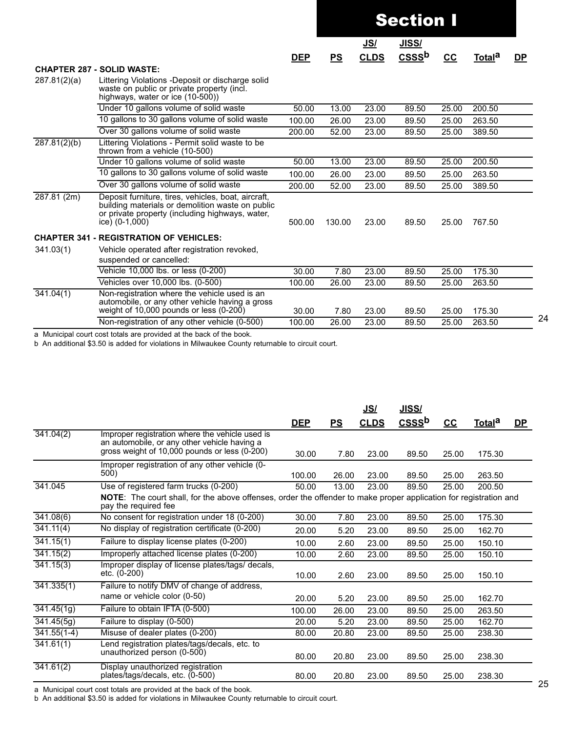|              |                                                                                                                                                                                |            |        | <b>Section I</b><br><u>JISS/</u><br><u>JS/</u><br>CSSS <sup>b</sup><br><b>CLDS</b><br>$cc$<br>Total <sup>a</sup><br>PS<br>13.00<br>23.00<br>89.50<br>25.00<br>200.50<br>26.00<br>23.00<br>89.50<br>25.00<br>263.50<br>52.00<br>23.00<br>89.50<br>25.00<br>389.50<br>13.00<br>23.00<br>89.50<br>25.00<br>200.50<br>23.00<br>263.50<br>26.00<br>89.50<br>25.00<br>52.00<br>23.00<br>89.50<br>25.00<br>389.50<br>23.00<br>89.50<br>25.00<br>767.50 |       |       |        |           |
|--------------|--------------------------------------------------------------------------------------------------------------------------------------------------------------------------------|------------|--------|-------------------------------------------------------------------------------------------------------------------------------------------------------------------------------------------------------------------------------------------------------------------------------------------------------------------------------------------------------------------------------------------------------------------------------------------------|-------|-------|--------|-----------|
|              |                                                                                                                                                                                |            |        |                                                                                                                                                                                                                                                                                                                                                                                                                                                 |       |       |        |           |
|              |                                                                                                                                                                                | <b>DEP</b> |        |                                                                                                                                                                                                                                                                                                                                                                                                                                                 |       |       |        | <u>DP</u> |
|              | <b>CHAPTER 287 - SOLID WASTE:</b>                                                                                                                                              |            |        |                                                                                                                                                                                                                                                                                                                                                                                                                                                 |       |       |        |           |
| 287.81(2)(a) | Littering Violations -Deposit or discharge solid<br>waste on public or private property (incl.<br>highways, water or ice (10-500))                                             |            |        |                                                                                                                                                                                                                                                                                                                                                                                                                                                 |       |       |        |           |
|              | Under 10 gallons volume of solid waste                                                                                                                                         | 50.00      |        |                                                                                                                                                                                                                                                                                                                                                                                                                                                 |       |       |        |           |
|              | 10 gallons to 30 gallons volume of solid waste                                                                                                                                 | 100.00     |        |                                                                                                                                                                                                                                                                                                                                                                                                                                                 |       |       |        |           |
|              | Over 30 gallons volume of solid waste                                                                                                                                          | 200.00     |        |                                                                                                                                                                                                                                                                                                                                                                                                                                                 |       |       |        |           |
| 287.81(2)(b) | Littering Violations - Permit solid waste to be<br>thrown from a vehicle (10-500)                                                                                              |            |        |                                                                                                                                                                                                                                                                                                                                                                                                                                                 |       |       |        |           |
|              | Under 10 gallons volume of solid waste                                                                                                                                         | 50.00      |        |                                                                                                                                                                                                                                                                                                                                                                                                                                                 |       |       |        |           |
|              | 10 gallons to 30 gallons volume of solid waste                                                                                                                                 | 100.00     |        |                                                                                                                                                                                                                                                                                                                                                                                                                                                 |       |       |        |           |
|              | Over 30 gallons volume of solid waste                                                                                                                                          | 200.00     |        |                                                                                                                                                                                                                                                                                                                                                                                                                                                 |       |       |        |           |
| 287.81(2m)   | Deposit furniture, tires, vehicles, boat, aircraft,<br>building materials or demolition waste on public<br>or private property (including highways, water,<br>ice) $(0-1,000)$ | 500.00     | 130.00 |                                                                                                                                                                                                                                                                                                                                                                                                                                                 |       |       |        |           |
|              | <b>CHAPTER 341 - REGISTRATION OF VEHICLES:</b>                                                                                                                                 |            |        |                                                                                                                                                                                                                                                                                                                                                                                                                                                 |       |       |        |           |
| 341.03(1)    | Vehicle operated after registration revoked,<br>suspended or cancelled:                                                                                                        |            |        |                                                                                                                                                                                                                                                                                                                                                                                                                                                 |       |       |        |           |
|              | Vehicle 10,000 lbs. or less (0-200)                                                                                                                                            | 30.00      | 7.80   | 23.00                                                                                                                                                                                                                                                                                                                                                                                                                                           | 89.50 | 25.00 | 175.30 |           |
|              | Vehicles over 10,000 lbs. (0-500)                                                                                                                                              | 100.00     | 26.00  | 23.00                                                                                                                                                                                                                                                                                                                                                                                                                                           | 89.50 | 25.00 | 263.50 |           |
| 341.04(1)    | Non-registration where the vehicle used is an<br>automobile, or any other vehicle having a gross<br>weight of 10,000 pounds or less (0-200)                                    | 30.00      | 7.80   | 23.00                                                                                                                                                                                                                                                                                                                                                                                                                                           | 89.50 | 25.00 | 175.30 |           |
|              | Non-registration of any other vehicle (0-500)                                                                                                                                  | 100.00     | 26.00  | 23.00                                                                                                                                                                                                                                                                                                                                                                                                                                           | 89.50 | 25.00 | 263.50 |           |

b An additional \$3.50 is added for violations in Milwaukee County returnable to circuit court.

|                        |                                                                                                                                                  |            |       | <u>JS/</u>  | <u>JISS/</u> |       |                    |    |
|------------------------|--------------------------------------------------------------------------------------------------------------------------------------------------|------------|-------|-------------|--------------|-------|--------------------|----|
|                        |                                                                                                                                                  | <b>DEP</b> | PS    | <b>CLDS</b> | $CSS b$      | $CC$  | Total <sup>a</sup> | DP |
| 341.04(2)              | Improper registration where the vehicle used is<br>an automobile, or any other vehicle having a<br>gross weight of 10,000 pounds or less (0-200) | 30.00      | 7.80  | 23.00       | 89.50        | 25.00 | 175.30             |    |
|                        | Improper registration of any other vehicle (0-<br>500)                                                                                           | 100.00     | 26.00 | 23.00       | 89.50        | 25.00 | 263.50             |    |
| 341.045                | Use of registered farm trucks (0-200)                                                                                                            | 50.00      | 13.00 | 23.00       | 89.50        | 25.00 | 200.50             |    |
|                        | NOTE: The court shall, for the above offenses, order the offender to make proper application for registration and<br>pay the required fee        |            |       |             |              |       |                    |    |
| 341.08(6)              | No consent for registration under 18 (0-200)                                                                                                     | 30.00      | 7.80  | 23.00       | 89.50        | 25.00 | 175.30             |    |
| 341.11(4)              | No display of registration certificate (0-200)                                                                                                   | 20.00      | 5.20  | 23.00       | 89.50        | 25.00 | 162.70             |    |
| 341.15(1)              | Failure to display license plates (0-200)                                                                                                        | 10.00      | 2.60  | 23.00       | 89.50        | 25.00 | 150.10             |    |
| 341.15(2)              | Improperly attached license plates (0-200)                                                                                                       | 10.00      | 2.60  | 23.00       | 89.50        | 25.00 | 150.10             |    |
| 341.15(3)              | Improper display of license plates/tags/ decals,<br>etc. (0-200)                                                                                 | 10.00      | 2.60  | 23.00       | 89.50        | 25.00 | 150.10             |    |
| 341.335(1)             | Failure to notify DMV of change of address,<br>name or vehicle color (0-50)                                                                      | 20.00      | 5.20  | 23.00       | 89.50        | 25.00 | 162.70             |    |
| 341.45(1g)             | Failure to obtain IFTA (0-500)                                                                                                                   | 100.00     | 26.00 | 23.00       | 89.50        | 25.00 | 263.50             |    |
| 341.45(5g)             | Failure to display (0-500)                                                                                                                       | 20.00      | 5.20  | 23.00       | 89.50        | 25.00 | 162.70             |    |
| $341.55(1-4)$          | Misuse of dealer plates (0-200)                                                                                                                  | 80.00      | 20.80 | 23.00       | 89.50        | 25.00 | 238.30             |    |
| $\overline{341.61(1)}$ | Lend registration plates/tags/decals, etc. to<br>unauthorized person (0-500)                                                                     | 80.00      | 20.80 | 23.00       | 89.50        | 25.00 | 238.30             |    |
| 341.61(2)              | Display unauthorized registration<br>plates/tags/decals, etc. (0-500)                                                                            | 80.00      | 20.80 | 23.00       | 89.50        | 25.00 | 238.30             |    |

a Municipal court cost totals are provided at the back of the book.

b An additional \$3.50 is added for violations in Milwaukee County returnable to circuit court.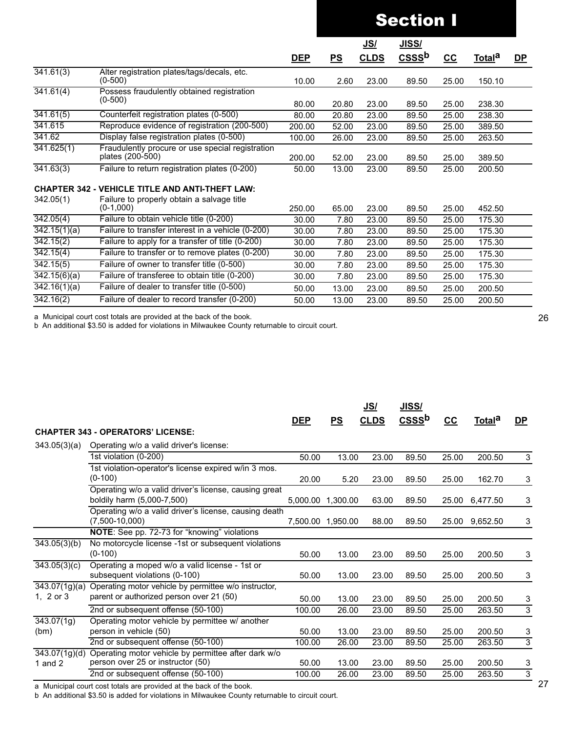|                           |                                                                      |            |       | <u>JS/</u>  | <u>JISS/</u>      |       |                    |           |
|---------------------------|----------------------------------------------------------------------|------------|-------|-------------|-------------------|-------|--------------------|-----------|
|                           |                                                                      | <b>DEP</b> | PS    | <b>CLDS</b> | CSSS <sup>b</sup> | $cc$  | Total <sup>a</sup> | <u>DP</u> |
| 341.61(3)                 | Alter registration plates/tags/decals, etc.<br>$(0-500)$             | 10.00      | 2.60  | 23.00       | 89.50             | 25.00 | 150.10             |           |
| 341.61(4)                 | Possess fraudulently obtained registration<br>$(0-500)$              | 80.00      | 20.80 | 23.00       | 89.50             | 25.00 | 238.30             |           |
| $\overline{341.61(5)}$    | Counterfeit registration plates (0-500)                              | 80.00      | 20.80 | 23.00       | 89.50             | 25.00 | 238.30             |           |
| 341.615                   | Reproduce evidence of registration (200-500)                         | 200.00     | 52.00 | 23.00       | 89.50             | 25.00 | 389.50             |           |
| 341.62                    | Display false registration plates (0-500)                            | 100.00     | 26.00 | 23.00       | 89.50             | 25.00 | 263.50             |           |
| 341.625(1)                | Fraudulently procure or use special registration<br>plates (200-500) | 200.00     | 52.00 | 23.00       | 89.50             | 25.00 | 389.50             |           |
| 341.63(3)                 | Failure to return registration plates (0-200)                        | 50.00      | 13.00 | 23.00       | 89.50             | 25.00 | 200.50             |           |
|                           | <b>CHAPTER 342 - VEHICLE TITLE AND ANTI-THEFT LAW:</b>               |            |       |             |                   |       |                    |           |
| 342.05(1)                 | Failure to properly obtain a salvage title<br>$(0-1,000)$            | 250.00     | 65.00 | 23.00       | 89.50             | 25.00 | 452.50             |           |
| 342.05(4)                 | Failure to obtain vehicle title (0-200)                              | 30.00      | 7.80  | 23.00       | 89.50             | 25.00 | 175.30             |           |
| $\overline{342.15(1)(a)}$ | Failure to transfer interest in a vehicle (0-200)                    | 30.00      | 7.80  | 23.00       | 89.50             | 25.00 | 175.30             |           |
| 342.15(2)                 | Failure to apply for a transfer of title (0-200)                     | 30.00      | 7.80  | 23.00       | 89.50             | 25.00 | 175.30             |           |
| 342.15(4)                 | Failure to transfer or to remove plates (0-200)                      | 30.00      | 7.80  | 23.00       | 89.50             | 25.00 | 175.30             |           |
| 342.15(5)                 | Failure of owner to transfer title (0-500)                           | 30.00      | 7.80  | 23.00       | 89.50             | 25.00 | 175.30             |           |
| 342.15(6)(a)              | Failure of transferee to obtain title (0-200)                        | 30.00      | 7.80  | 23.00       | 89.50             | 25.00 | 175.30             |           |
| $\overline{342.16(1)(a)}$ | Failure of dealer to transfer title (0-500)                          | 50.00      | 13.00 | 23.00       | 89.50             | 25.00 | 200.50             |           |
| 342.16(2)                 | Failure of dealer to record transfer (0-200)                         | 50.00      | 13.00 | 23.00       | 89.50             | 25.00 | 200.50             |           |
|                           |                                                                      |            |       |             |                   |       |                    |           |

a Municipal court cost totals are provided at the back of the book.

b An additional \$3.50 is added for violations in Milwaukee County returnable to circuit court.

|               |                                                       |                   |       | <u>JS/</u>  | <u>JISS/</u>      |       |                    |                |
|---------------|-------------------------------------------------------|-------------------|-------|-------------|-------------------|-------|--------------------|----------------|
|               |                                                       | <u>DEP</u>        | PS    | <b>CLDS</b> | CSSS <sup>b</sup> | $cc$  | Total <sup>a</sup> | <u>DP</u>      |
|               | <b>CHAPTER 343 - OPERATORS' LICENSE:</b>              |                   |       |             |                   |       |                    |                |
| 343.05(3)(a)  | Operating w/o a valid driver's license:               |                   |       |             |                   |       |                    |                |
|               | 1st violation (0-200)                                 | 50.00             | 13.00 | 23.00       | 89.50             | 25.00 | 200.50             | 3              |
|               | 1st violation-operator's license expired w/in 3 mos.  |                   |       |             |                   |       |                    |                |
|               | $(0-100)$                                             | 20.00             | 5.20  | 23.00       | 89.50             | 25.00 | 162.70             | 3              |
|               | Operating w/o a valid driver's license, causing great |                   |       |             |                   |       |                    |                |
|               | boldily harm (5,000-7,500)                            | 5,000.00 1,300.00 |       | 63.00       | 89.50             | 25.00 | 6,477.50           | 3              |
|               | Operating w/o a valid driver's license, causing death |                   |       |             |                   |       |                    |                |
|               | $(7,500-10,000)$                                      | 7,500.00 1,950.00 |       | 88.00       | 89.50             |       | 25.00 9,652.50     | 3              |
|               | NOTE: See pp. 72-73 for "knowing" violations          |                   |       |             |                   |       |                    |                |
| 343.05(3)(b)  | No motorcycle license -1st or subsequent violations   |                   |       |             |                   |       |                    |                |
|               | $(0-100)$                                             | 50.00             | 13.00 | 23.00       | 89.50             | 25.00 | 200.50             | 3              |
| 343.05(3)(c)  | Operating a moped w/o a valid license - 1st or        |                   |       |             |                   |       |                    |                |
|               | subsequent violations (0-100)                         | 50.00             | 13.00 | 23.00       | 89.50             | 25.00 | 200.50             | 3              |
| 343.07(1g)(a) | Operating motor vehicle by permittee w/o instructor,  |                   |       |             |                   |       |                    |                |
| 1, $2$ or $3$ | parent or authorized person over 21 (50)              | 50.00             | 13.00 | 23.00       | 89.50             | 25.00 | 200.50             | 3              |
|               | 2nd or subsequent offense (50-100)                    | 100.00            | 26.00 | 23.00       | 89.50             | 25.00 | 263.50             | 3              |
| 343.07(1g)    | Operating motor vehicle by permittee w/ another       |                   |       |             |                   |       |                    |                |
| (bm)          | person in vehicle (50)                                | 50.00             | 13.00 | 23.00       | 89.50             | 25.00 | 200.50             | 3              |
|               | 2nd or subsequent offense (50-100)                    | 100.00            | 26.00 | 23.00       | 89.50             | 25.00 | 263.50             | $\overline{3}$ |
| 343.07(1g)(d) | Operating motor vehicle by permittee after dark w/o   |                   |       |             |                   |       |                    |                |
| 1 and $2$     | person over 25 or instructor (50)                     | 50.00             | 13.00 | 23.00       | 89.50             | 25.00 | 200.50             | 3              |
|               | 2nd or subsequent offense (50-100)                    | 100.00            | 26.00 | 23.00       | 89.50             | 25.00 | 263.50             | 3              |

a Municipal court cost totals are provided at the back of the book.

b An additional \$3.50 is added for violations in Milwaukee County returnable to circuit court.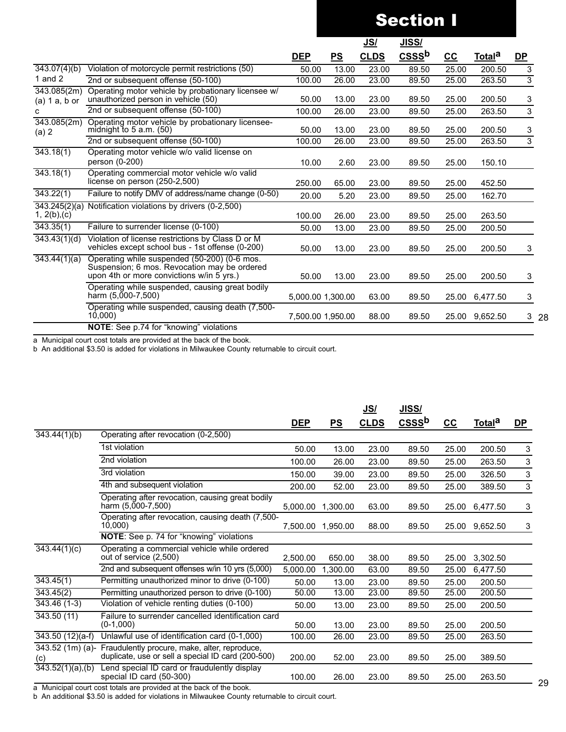|                                    |                                                                                                                                           |                   | <u>JS/</u> |             | <u>JISS/</u>      |                           |                    |                |
|------------------------------------|-------------------------------------------------------------------------------------------------------------------------------------------|-------------------|------------|-------------|-------------------|---------------------------|--------------------|----------------|
|                                    |                                                                                                                                           | <u>DEP</u>        | PS         | <b>CLDS</b> | CSSS <sup>b</sup> | $\underline{\mathsf{CC}}$ | Total <sup>a</sup> | <u>DP</u>      |
| 343.07(4)(b)                       | Violation of motorcycle permit restrictions (50)                                                                                          | 50.00             | 13.00      | 23.00       | 89.50             | 25.00                     | 200.50             | 3              |
| 1 and $2$                          | 2nd or subsequent offense (50-100)                                                                                                        | 100.00            | 26.00      | 23.00       | 89.50             | 25.00                     | 263.50             | $\overline{3}$ |
| 343.085(2m)<br>$(a) 1 a, b$ or     | Operating motor vehicle by probationary licensee w/<br>unauthorized person in vehicle (50)                                                | 50.00             | 13.00      | 23.00       | 89.50             | 25.00                     | 200.50             | 3              |
| C                                  | 2nd or subsequent offense (50-100)                                                                                                        | 100.00            | 26.00      | 23.00       | 89.50             | 25.00                     | 263.50             | 3              |
| 343.085(2m)<br>(a) 2               | Operating motor vehicle by probationary licensee-<br>midnight to $5$ a.m. $(50)$                                                          | 50.00             | 13.00      | 23.00       | 89.50             | 25.00                     | 200.50             | 3              |
|                                    | 2nd or subsequent offense (50-100)                                                                                                        | 100.00            | 26.00      | 23.00       | 89.50             | 25.00                     | 263.50             | 3              |
| 343.18(1)                          | Operating motor vehicle w/o valid license on<br>person (0-200)                                                                            | 10.00             | 2.60       | 23.00       | 89.50             | 25.00                     | 150.10             |                |
| 343.18(1)                          | Operating commercial motor vehicle w/o valid<br>license on person (250-2,500)                                                             | 250.00            | 65.00      | 23.00       | 89.50             | 25.00                     | 452.50             |                |
| 343.22(1)                          | Failure to notify DMV of address/name change (0-50)                                                                                       | 20.00             | 5.20       | 23.00       | 89.50             | 25.00                     | 162.70             |                |
| 343.245(2)(a)<br>1, $2(b)$ , $(c)$ | Notification violations by drivers (0-2,500)                                                                                              | 100.00            | 26.00      | 23.00       | 89.50             | 25.00                     | 263.50             |                |
| 343.35(1)                          | Failure to surrender license (0-100)                                                                                                      | 50.00             | 13.00      | 23.00       | 89.50             | 25.00                     | 200.50             |                |
| 343.43(1)(d)                       | Violation of license restrictions by Class D or M<br>vehicles except school bus - 1st offense (0-200)                                     | 50.00             | 13.00      | 23.00       | 89.50             | 25.00                     | 200.50             | 3              |
| 343.44(1)(a)                       | Operating while suspended (50-200) (0-6 mos.<br>Suspension; 6 mos. Revocation may be ordered<br>upon 4th or more convictions w/in 5 yrs.) | 50.00             | 13.00      | 23.00       | 89.50             | 25.00                     | 200.50             | 3              |
|                                    | Operating while suspended, causing great bodily<br>harm (5,000-7,500)                                                                     | 5,000.00 1,300.00 |            | 63.00       | 89.50             | 25.00                     | 6,477.50           | 3              |
|                                    | Operating while suspended, causing death (7,500-<br>10,000                                                                                | 7,500.00 1,950.00 |            | 88.00       | 89.50             |                           | 25.00 9,652.50     | 328            |
|                                    | <b>NOTE:</b> See p.74 for "knowing" violations                                                                                            |                   |            |             |                   |                           |                    |                |

a Municipal court cost totals are provided at the back of the book.

b An additional \$3.50 is added for violations in Milwaukee County returnable to circuit court.

|                                |                                                                                                                                                                                            |            |          | <u>JS/</u>  | JISS/ |       |                    |      |
|--------------------------------|--------------------------------------------------------------------------------------------------------------------------------------------------------------------------------------------|------------|----------|-------------|-------|-------|--------------------|------|
|                                |                                                                                                                                                                                            | <b>DEP</b> | PS       | <b>CLDS</b> | $CSS$ | $cc$  | Total <sup>a</sup> | $DP$ |
| 343.44(1)(b)                   | Operating after revocation (0-2,500)                                                                                                                                                       |            |          |             |       |       |                    |      |
|                                | 1st violation                                                                                                                                                                              | 50.00      | 13.00    | 23.00       | 89.50 | 25.00 | 200.50             | 3    |
|                                | 2nd violation                                                                                                                                                                              | 100.00     | 26.00    | 23.00       | 89.50 | 25.00 | 263.50             | 3    |
|                                | 3rd violation                                                                                                                                                                              | 150.00     | 39.00    | 23.00       | 89.50 | 25.00 | 326.50             | 3    |
|                                | 4th and subsequent violation                                                                                                                                                               | 200.00     | 52.00    | 23.00       | 89.50 | 25.00 | 389.50             | 3    |
|                                | Operating after revocation, causing great bodily<br>harm (5,000-7,500)                                                                                                                     | 5.000.00   | 1,300.00 | 63.00       | 89.50 | 25.00 | 6,477.50           | 3    |
|                                | Operating after revocation, causing death (7,500-<br>10,000)                                                                                                                               | 7.500.00   | 1.950.00 | 88.00       | 89.50 | 25.00 | 9,652.50           | 3    |
|                                | NOTE: See p. 74 for "knowing" violations                                                                                                                                                   |            |          |             |       |       |                    |      |
| 343.44(1)(c)                   | Operating a commercial vehicle while ordered<br>out of service (2,500)                                                                                                                     | 2.500.00   | 650.00   | 38.00       | 89.50 | 25.00 | 3,302.50           |      |
|                                | 2nd and subsequent offenses w/in 10 yrs (5,000)                                                                                                                                            | 5,000.00   | 1,300.00 | 63.00       | 89.50 | 25.00 | 6,477.50           |      |
| $\overline{343.45}$ (1)        | Permitting unauthorized minor to drive (0-100)                                                                                                                                             | 50.00      | 13.00    | 23.00       | 89.50 | 25.00 | 200.50             |      |
| 343.45(2)                      | Permitting unauthorized person to drive (0-100)                                                                                                                                            | 50.00      | 13.00    | 23.00       | 89.50 | 25.00 | 200.50             |      |
| $343.46(1-3)$                  | Violation of vehicle renting duties (0-100)                                                                                                                                                | 50.00      | 13.00    | 23.00       | 89.50 | 25.00 | 200.50             |      |
| 343.50(11)                     | Failure to surrender cancelled identification card<br>$(0-1,000)$                                                                                                                          | 50.00      | 13.00    | 23.00       | 89.50 | 25.00 | 200.50             |      |
| $343.50(12)(a-f)$              | Unlawful use of identification card (0-1,000)                                                                                                                                              | 100.00     | 26.00    | 23.00       | 89.50 | 25.00 | 263.50             |      |
| $343.52$ (1m) (a)-<br>(c)      | Fraudulently procure, make, alter, reproduce,<br>duplicate, use or sell a special ID card (200-500)                                                                                        | 200.00     | 52.00    | 23.00       | 89.50 | 25.00 | 389.50             |      |
| $\overline{343.52(1)(a)}$ ,(b) | Lend special ID card or fraudulently display<br>special ID card (50-300)<br>. Materials also accept the contractor and contractor and the color and the color of the color of the color of | 100.00     | 26.00    | 23.00       | 89.50 | 25.00 | 263.50             |      |

a Municipal court cost totals are provided at the back of the book.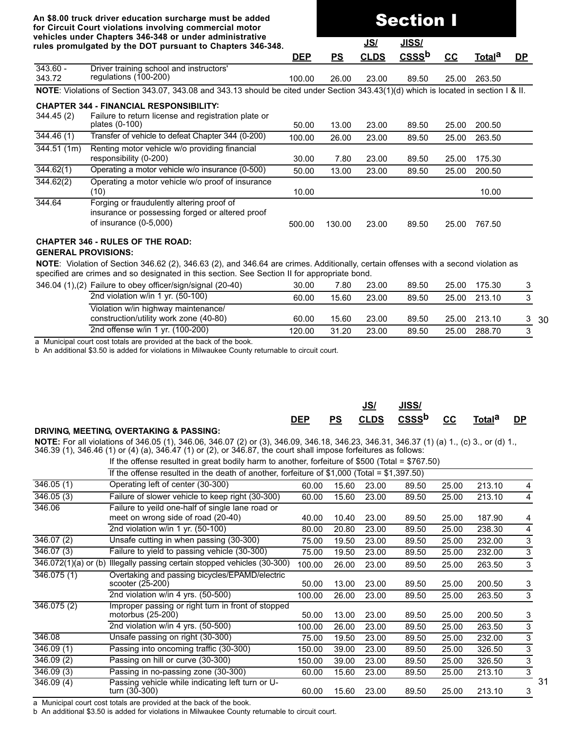**rules promulgated by the DOT pursuant to Chapters 346-348. JS/ JISS/a\_\_\_\_\_\_\_\_\_\_\_aaa DEP PS CLDS CSSSb CC Totala DP\_** 343.60 - 343.72 Driver training school and instructors' regulations (100-200) 100.00 26.00 23.00 89.50 25.00 263.50 **NOTE**: Violations of Section 343.07, 343.08 and 343.13 should be cited under Section 343.43(1)(d) which is located in section I & II. **CHAPTER 344 - FINANCIAL RESPONSIBILITY:** 344.45 (2) Failure to return license and registration plate or<br>plates (0-100) plates (0-100) 50.00 13.00 23.00 89.50 25.00 200.50 344.46 (1) Transfer of vehicle to defeat Chapter 344 (0-200) 100.00 26.00 23.00 89.50 25.00 263.50 344.51 (1m) Renting motor vehicle w/o providing financial responsibility (0-200) 30.00 7.80 23.00 89.50 25.00 175.30 344.62(1) Operating a motor vehicle w/o insurance (0-500) 50.00 13.00 23.00 89.50 25.00 200.50 344.62(2) Operating a motor vehicle w/o proof of insurance (10) 10.00 10.00 344.64 Forging or fraudulently altering proof of insurance or possessing forged or altered proof of insurance (0-5,000) 500.00 130.00 23.00 89.50 25.00 767.50

Section I

#### **CHAPTER 346 - RULES OF THE ROAD:**

#### **GENERAL PROVISIONS:**

**NOTE**: Violation of Section 346.62 (2), 346.63 (2), and 346.64 are crimes. Additionally, certain offenses with a second violation as specified are crimes and so designated in this section. See Section II for appropriate bond.

| 346.04 (1),(2) Failure to obey officer/sign/signal (20-40) | 30.00  | 7.80  | 23.00 | 89.50 | 25.00 | 175.30       |      |
|------------------------------------------------------------|--------|-------|-------|-------|-------|--------------|------|
| 2nd violation w/in 1 yr. (50-100)                          | 60.00  | 15.60 | 23.00 | 89.50 | 25.00 | 213.10       |      |
| Violation w/in highway maintenance/                        |        |       |       |       |       |              |      |
| construction/utility work zone (40-80)                     | 60.00  | 15.60 | 23.00 | 89.50 |       | 25.00 213.10 | - 30 |
| 2nd offense w/in 1 yr. (100-200)                           | 120.00 | 31.20 | 23.00 | 89.50 | 25.00 | 288.70       |      |

a Municipal court cost totals are provided at the back of the book.

b An additional \$3.50 is added for violations in Milwaukee County returnable to circuit court.

|                                         | <b>DEP</b> | <b>PS</b> | JS/ | <b>JISS/</b><br>CLDS CSSS <sup>b</sup> CC | Total <sup>a</sup> | DP. |
|-----------------------------------------|------------|-----------|-----|-------------------------------------------|--------------------|-----|
| DRIVING, MEETING, OVERTAKING & PASSING: |            |           |     |                                           |                    |     |

**NOTE:** For all violations of 346.05 (1), 346.06, 346.07 (2) or (3), 346.09, 346.18, 346.23, 346.31, 346.37 (1) (a) 1., (c) 3., or (d) 1., 346.39 (1), 346.46 (1) or (4) (a), 346.47 (1) or (2), or 346.87, the court shall impose forfeitures as follows:

If the offense resulted in great bodily harm to another, forfeiture of \$500 (Total = \$767.50)

|                         | If the offense resulted in the death of another, forfeiture of $$1,000$ (Total = $$1,397.50$ ) |        |       |       |       |       |        |   |
|-------------------------|------------------------------------------------------------------------------------------------|--------|-------|-------|-------|-------|--------|---|
| $\overline{346.05}$ (1) | Operating left of center (30-300)                                                              | 60.00  | 15.60 | 23.00 | 89.50 | 25.00 | 213.10 | 4 |
| 346.05(3)               | Failure of slower vehicle to keep right (30-300)                                               | 60.00  | 15.60 | 23.00 | 89.50 | 25.00 | 213.10 | 4 |
| 346.06                  | Failure to yeild one-half of single lane road or                                               |        |       |       |       |       |        |   |
|                         | meet on wrong side of road (20-40)                                                             | 40.00  | 10.40 | 23.00 | 89.50 | 25.00 | 187.90 | 4 |
|                         | 2nd violation w/in 1 yr. (50-100)                                                              | 80.00  | 20.80 | 23.00 | 89.50 | 25.00 | 238.30 | 4 |
| 346.07(2)               | Unsafe cutting in when passing (30-300)                                                        | 75.00  | 19.50 | 23.00 | 89.50 | 25.00 | 232.00 | 3 |
| 346.07(3)               | Failure to yield to passing vehicle (30-300)                                                   | 75.00  | 19.50 | 23.00 | 89.50 | 25.00 | 232.00 | 3 |
| 346.072(1)(a) or (b)    | Illegally passing certain stopped vehicles (30-300)                                            | 100.00 | 26.00 | 23.00 | 89.50 | 25.00 | 263.50 | 3 |
| 346.075 (1)             | Overtaking and passing bicycles/EPAMD/electric<br>scooter (25-200)                             | 50.00  | 13.00 | 23.00 | 89.50 | 25.00 | 200.50 | 3 |
|                         | 2nd violation w/in 4 yrs. (50-500)                                                             | 100.00 | 26.00 | 23.00 | 89.50 | 25.00 | 263.50 | 3 |
| 346.075(2)              | Improper passing or right turn in front of stopped<br>motorbus (25-200)                        | 50.00  | 13.00 | 23.00 | 89.50 | 25.00 | 200.50 | 3 |
|                         | 2nd violation w/in 4 yrs. (50-500)                                                             | 100.00 | 26.00 | 23.00 | 89.50 | 25.00 | 263.50 | 3 |
| 346.08                  | Unsafe passing on right (30-300)                                                               | 75.00  | 19.50 | 23.00 | 89.50 | 25.00 | 232.00 | 3 |
| 346.09(1)               | Passing into oncoming traffic (30-300)                                                         | 150.00 | 39.00 | 23.00 | 89.50 | 25.00 | 326.50 | 3 |
| $\overline{346.09}$ (2) | Passing on hill or curve (30-300)                                                              | 150.00 | 39.00 | 23.00 | 89.50 | 25.00 | 326.50 | 3 |
| 346.09(3)               | Passing in no-passing zone (30-300)                                                            | 60.00  | 15.60 | 23.00 | 89.50 | 25.00 | 213.10 | 3 |
| $\overline{34}6.09(4)$  | Passing vehicle while indicating left turn or U-<br>turn (30-300)                              | 60.00  | 15.60 | 23.00 | 89.50 | 25.00 | 213.10 | 3 |

a Municipal court cost totals are provided at the back of the book.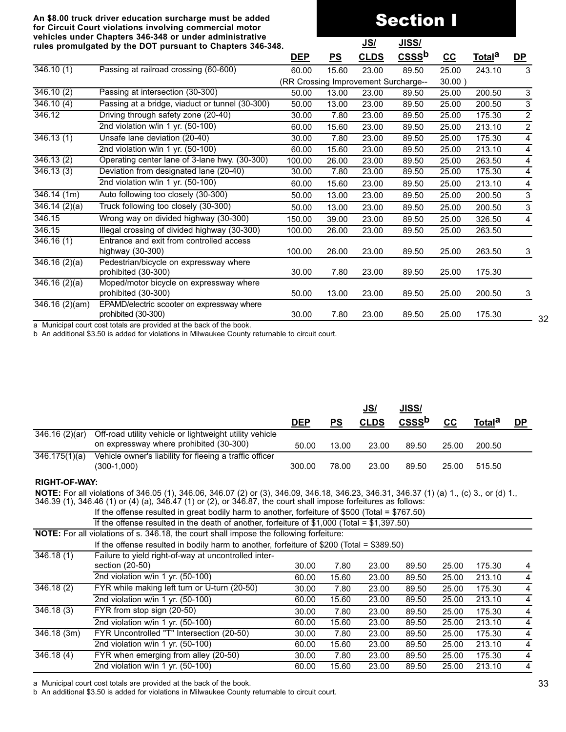# Section I

|                            | rules promulgated by the DOT pursuant to Chapters 346-348.        |            |                           | <u>JS/</u>  | <u>JISS/</u>                         |                           |                    |                |
|----------------------------|-------------------------------------------------------------------|------------|---------------------------|-------------|--------------------------------------|---------------------------|--------------------|----------------|
|                            |                                                                   | <u>DEP</u> | $\underline{\mathsf{PS}}$ | <b>CLDS</b> | CSSS <sup>b</sup>                    | $\underline{\mathsf{CC}}$ | Total <sup>a</sup> | <u>DP</u>      |
| 346.10(1)                  | Passing at railroad crossing (60-600)                             | 60.00      | 15.60                     | 23.00       | 89.50                                | 25.00                     | 243.10             | 3              |
|                            |                                                                   |            |                           |             | (RR Crossing Improvement Surcharge-- | $30.00$ )                 |                    |                |
| 346.10(2)                  | Passing at intersection (30-300)                                  | 50.00      | 13.00                     | 23.00       | 89.50                                | 25.00                     | 200.50             | $\overline{3}$ |
| 346.10(4)                  | Passing at a bridge, viaduct or tunnel (30-300)                   | 50.00      | 13.00                     | 23.00       | 89.50                                | 25.00                     | 200.50             | 3              |
| 346.12                     | Driving through safety zone (20-40)                               | 30.00      | 7.80                      | 23.00       | 89.50                                | 25.00                     | 175.30             | $\overline{2}$ |
|                            | 2nd violation w/in 1 yr. (50-100)                                 | 60.00      | 15.60                     | 23.00       | 89.50                                | 25.00                     | 213.10             | $\overline{2}$ |
| 346.13(1)                  | Unsafe lane deviation (20-40)                                     | 30.00      | 7.80                      | 23.00       | 89.50                                | 25.00                     | 175.30             | 4              |
|                            | 2nd violation w/in 1 yr. (50-100)                                 | 60.00      | 15.60                     | 23.00       | 89.50                                | 25.00                     | 213.10             | 4              |
| 346.13(2)                  | Operating center lane of 3-lane hwy. (30-300)                     | 100.00     | 26.00                     | 23.00       | 89.50                                | 25.00                     | 263.50             | 4              |
| $\overline{346.13}$ (3)    | Deviation from designated lane (20-40)                            | 30.00      | 7.80                      | 23.00       | 89.50                                | 25.00                     | 175.30             | 4              |
|                            | 2nd violation w/in 1 yr. (50-100)                                 | 60.00      | 15.60                     | 23.00       | 89.50                                | 25.00                     | 213.10             | 4              |
| 346.14(1m)                 | Auto following too closely (30-300)                               | 50.00      | 13.00                     | 23.00       | 89.50                                | 25.00                     | 200.50             | 3              |
| 346.14(2)(a)               | Truck following too closely (30-300)                              | 50.00      | 13.00                     | 23.00       | 89.50                                | 25.00                     | 200.50             | 3              |
| 346.15                     | Wrong way on divided highway (30-300)                             | 150.00     | 39.00                     | 23.00       | 89.50                                | 25.00                     | 326.50             | 4              |
| 346.15                     | Illegal crossing of divided highway (30-300)                      | 100.00     | 26.00                     | 23.00       | 89.50                                | 25.00                     | 263.50             |                |
| 346.16(1)                  | Entrance and exit from controlled access<br>highway (30-300)      | 100.00     | 26.00                     | 23.00       | 89.50                                | 25.00                     | 263.50             | 3              |
| 346.16(2)(a)               | Pedestrian/bicycle on expressway where<br>prohibited (30-300)     | 30.00      | 7.80                      | 23.00       | 89.50                                | 25.00                     | 175.30             |                |
| $\overline{346.16}$ (2)(a) | Moped/motor bicycle on expressway where<br>prohibited (30-300)    | 50.00      | 13.00                     | 23.00       | 89.50                                | 25.00                     | 200.50             | 3              |
| 346.16 (2)(am)             | EPAMD/electric scooter on expressway where<br>prohibited (30-300) | 30.00      | 7.80                      | 23.00       | 89.50                                | 25.00                     | 175.30             |                |

a Municipal court cost totals are provided at the back of the book.

b An additional \$3.50 is added for violations in Milwaukee County returnable to circuit court.

|               |                                                         |            |           | <u>JS/</u>  | <u>JISS/</u> |       |                    |           |
|---------------|---------------------------------------------------------|------------|-----------|-------------|--------------|-------|--------------------|-----------|
|               |                                                         | <b>DEP</b> | <b>PS</b> | <b>CLDS</b> | <b>CSSSb</b> | cc    | Total <sup>a</sup> | <b>DP</b> |
| 346.16(2)(ar) | Off-road utility vehicle or lightweight utility vehicle |            |           |             |              |       |                    |           |
|               | on expressway where prohibited (30-300)                 | 50.00      | 13.00     | 23.00       | 89.50        | 25.00 | 200.50             |           |
| 346.175(1)(a) | Vehicle owner's liability for fleeing a traffic officer |            |           |             |              |       |                    |           |
|               | (300-1,000)                                             | 300.00     | 78.00     | 23.00       | 89.50        | 25.00 | 515.50             |           |

#### **RIGHT-OF-WAY:**

**NOTE:** For all violations of 346.05 (1), 346.06, 346.07 (2) or (3), 346.09, 346.18, 346.23, 346.31, 346.37 (1) (a) 1., (c) 3., or (d) 1., 346.39 (1), 346.46 (1) or (4) (a), 346.47 (1) or (2), or 346.87, the court shall impose forfeitures as follows:

| If the offense resulted in great bodily harm to another, forfeiture of \$500 (Total = $$767.50$ ) |  |  |
|---------------------------------------------------------------------------------------------------|--|--|

|             | $\sim$ . The choice is control in groot bount numbers on one choice of your proton when $\sim$ |       |       |       |       |       |        |                |
|-------------|------------------------------------------------------------------------------------------------|-------|-------|-------|-------|-------|--------|----------------|
|             | If the offense resulted in the death of another, forfeiture of \$1,000 (Total = $$1,397.50$ )  |       |       |       |       |       |        |                |
|             | <b>NOTE:</b> For all violations of s. 346.18, the court shall impose the following forfeiture: |       |       |       |       |       |        |                |
|             | If the offense resulted in bodily harm to another, forfeiture of \$200 (Total = \$389.50)      |       |       |       |       |       |        |                |
| 346.18(1)   | Failure to yield right-of-way at uncontrolled inter-                                           |       |       |       |       |       |        |                |
|             | section (20-50)                                                                                | 30.00 | 7.80  | 23.00 | 89.50 | 25.00 | 175.30 | 4              |
|             | 2nd violation w/in 1 yr. $(50-100)$                                                            | 60.00 | 15.60 | 23.00 | 89.50 | 25.00 | 213.10 | 4              |
| 346.18(2)   | FYR while making left turn or U-turn (20-50)                                                   | 30.00 | 7.80  | 23.00 | 89.50 | 25.00 | 175.30 | $\overline{4}$ |
|             | 2nd violation w/in 1 yr. $(50-100)$                                                            | 60.00 | 15.60 | 23.00 | 89.50 | 25.00 | 213.10 | $\overline{4}$ |
| 346.18(3)   | FYR from stop sign (20-50)                                                                     | 30.00 | 7.80  | 23.00 | 89.50 | 25.00 | 175.30 | 4              |
|             | 2nd violation w/in 1 yr. $(50-100)$                                                            | 60.00 | 15.60 | 23.00 | 89.50 | 25.00 | 213.10 | 4              |
| 346.18 (3m) | FYR Uncontrolled "T" Intersection (20-50)                                                      | 30.00 | 7.80  | 23.00 | 89.50 | 25.00 | 175.30 | $\overline{4}$ |
|             | 2nd violation w/in 1 yr. $(50-100)$                                                            | 60.00 | 15.60 | 23.00 | 89.50 | 25.00 | 213.10 | $\overline{4}$ |
| 346.18(4)   | FYR when emerging from alley (20-50)                                                           | 30.00 | 7.80  | 23.00 | 89.50 | 25.00 | 175.30 | 4              |
|             | 2nd violation w/in 1 yr. (50-100)                                                              | 60.00 | 15.60 | 23.00 | 89.50 | 25.00 | 213.10 | 4              |

a Municipal court cost totals are provided at the back of the book.

b An additional \$3.50 is added for violations in Milwaukee County returnable to circuit court.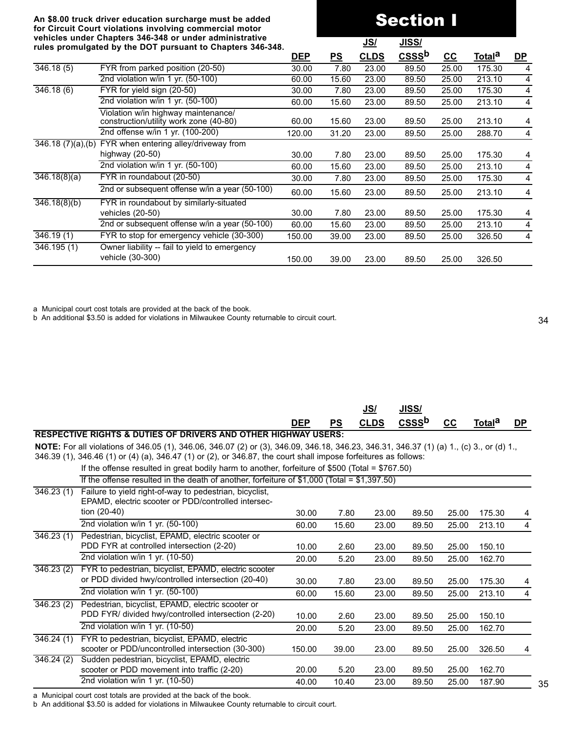# Section I

|                                | venicles unuer chapters J70-J70 or unuer auministrative<br>rules promulgated by the DOT pursuant to Chapters 346-348. |            |           | <u>JS/</u>  | <u>JISS/</u> |       |               |           |
|--------------------------------|-----------------------------------------------------------------------------------------------------------------------|------------|-----------|-------------|--------------|-------|---------------|-----------|
|                                |                                                                                                                       | <u>DEP</u> | <u>PS</u> | <b>CLDS</b> | $CSSb$       | cc    | <u>Totala</u> | <u>DP</u> |
| 346.18(5)                      | FYR from parked position (20-50)                                                                                      | 30.00      | 7.80      | 23.00       | 89.50        | 25.00 | 175.30        | 4         |
|                                | 2nd violation w/in 1 yr. (50-100)                                                                                     | 60.00      | 15.60     | 23.00       | 89.50        | 25.00 | 213.10        | 4         |
| 346.18(6)                      | FYR for yield sign (20-50)                                                                                            | 30.00      | 7.80      | 23.00       | 89.50        | 25.00 | 175.30        | 4         |
|                                | 2nd violation w/in 1 yr. (50-100)                                                                                     | 60.00      | 15.60     | 23.00       | 89.50        | 25.00 | 213.10        | 4         |
|                                | Violation w/in highway maintenance/<br>construction/utility work zone (40-80)                                         | 60.00      | 15.60     | 23.00       | 89.50        | 25.00 | 213.10        | 4         |
|                                | 2nd offense w/in 1 yr. (100-200)                                                                                      | 120.00     | 31.20     | 23.00       | 89.50        | 25.00 | 288.70        | 4         |
| $\overline{346.18}$ (7)(a),(b) | FYR when entering alley/driveway from                                                                                 |            |           |             |              |       |               |           |
|                                | highway $(20-50)$                                                                                                     | 30.00      | 7.80      | 23.00       | 89.50        | 25.00 | 175.30        | 4         |
|                                | 2nd violation w/in 1 yr. (50-100)                                                                                     | 60.00      | 15.60     | 23.00       | 89.50        | 25.00 | 213.10        | 4         |
| 346.18(8)(a)                   | FYR in roundabout (20-50)                                                                                             | 30.00      | 7.80      | 23.00       | 89.50        | 25.00 | 175.30        | 4         |
|                                | 2nd or subsequent offense w/in a year (50-100)                                                                        | 60.00      | 15.60     | 23.00       | 89.50        | 25.00 | 213.10        | 4         |
| 346.18(8)(b)                   | FYR in roundabout by similarly-situated                                                                               |            |           |             |              |       |               |           |
|                                | vehicles (20-50)                                                                                                      | 30.00      | 7.80      | 23.00       | 89.50        | 25.00 | 175.30        | 4         |
|                                | 2nd or subsequent offense w/in a year (50-100)                                                                        | 60.00      | 15.60     | 23.00       | 89.50        | 25.00 | 213.10        | 4         |
| $\overline{346.19}$ (1)        | FYR to stop for emergency vehicle (30-300)                                                                            | 150.00     | 39.00     | 23.00       | 89.50        | 25.00 | 326.50        | 4         |
| 346.195(1)                     | Owner liability -- fail to yield to emergency<br>vehicle (30-300)                                                     | 150.00     | 39.00     | 23.00       | 89.50        | 25.00 | 326.50        |           |
|                                |                                                                                                                       |            |           |             |              |       |               |           |

a Municipal court cost totals are provided at the back of the book.

b An additional \$3.50 is added for violations in Milwaukee County returnable to circuit court.

|                         |                                                                                                                                          |            |           | <u>JS/</u>  | <u>JISS/</u> |       |                    |                |
|-------------------------|------------------------------------------------------------------------------------------------------------------------------------------|------------|-----------|-------------|--------------|-------|--------------------|----------------|
|                         |                                                                                                                                          | <b>DEP</b> | <u>PS</u> | <b>CLDS</b> | <b>CSSSb</b> | $cc$  | Total <sup>a</sup> | <u>DP</u>      |
|                         | <b>RESPECTIVE RIGHTS &amp; DUTIES OF DRIVERS AND OTHER HIGHWAY USERS:</b>                                                                |            |           |             |              |       |                    |                |
|                         | NOTE: For all violations of 346.05 (1), 346.06, 346.07 (2) or (3), 346.09, 346.18, 346.23, 346.31, 346.37 (1) (a) 1., (c) 3., or (d) 1., |            |           |             |              |       |                    |                |
|                         | 346.39 (1), 346.46 (1) or (4) (a), 346.47 (1) or (2), or 346.87, the court shall impose forfeitures as follows:                          |            |           |             |              |       |                    |                |
|                         | If the offense resulted in great bodily harm to another, forfeiture of \$500 (Total = $$767.50$ )                                        |            |           |             |              |       |                    |                |
|                         | If the offense resulted in the death of another, forfeiture of $$1,000$ (Total = $$1,397.50$ )                                           |            |           |             |              |       |                    |                |
| 346.23(1)               | Failure to yield right-of-way to pedestrian, bicyclist,                                                                                  |            |           |             |              |       |                    |                |
|                         | EPAMD, electric scooter or PDD/controlled intersec-                                                                                      |            |           |             |              |       |                    |                |
|                         | tion $(20-40)$                                                                                                                           | 30.00      | 7.80      | 23.00       | 89.50        | 25.00 | 175.30             | 4              |
|                         | 2nd violation w/in 1 yr. (50-100)                                                                                                        | 60.00      | 15.60     | 23.00       | 89.50        | 25.00 | 213.10             | $\overline{4}$ |
| $\overline{346.23}$ (1) | Pedestrian, bicyclist, EPAMD, electric scooter or                                                                                        |            |           |             |              |       |                    |                |
|                         | PDD FYR at controlled intersection (2-20)                                                                                                | 10.00      | 2.60      | 23.00       | 89.50        | 25.00 | 150.10             |                |
|                         | 2nd violation w/in 1 yr. (10-50)                                                                                                         | 20.00      | 5.20      | 23.00       | 89.50        | 25.00 | 162.70             |                |
| 346.23(2)               | FYR to pedestrian, bicyclist, EPAMD, electric scooter                                                                                    |            |           |             |              |       |                    |                |
|                         | or PDD divided hwy/controlled intersection (20-40)                                                                                       | 30.00      | 7.80      | 23.00       | 89.50        | 25.00 | 175.30             | 4              |
|                         | 2nd violation w/in 1 yr. (50-100)                                                                                                        | 60.00      | 15.60     | 23.00       | 89.50        | 25.00 | 213.10             | $\overline{4}$ |
| 346.23(2)               | Pedestrian, bicyclist, EPAMD, electric scooter or                                                                                        |            |           |             |              |       |                    |                |
|                         | PDD FYR/ divided hwy/controlled intersection (2-20)                                                                                      | 10.00      | 2.60      | 23.00       | 89.50        | 25.00 | 150.10             |                |
|                         | 2nd violation w/in 1 yr. (10-50)                                                                                                         | 20.00      | 5.20      | 23.00       | 89.50        | 25.00 | 162.70             |                |
| $\overline{346.24}$ (1) | FYR to pedestrian, bicyclist, EPAMD, electric                                                                                            |            |           |             |              |       |                    |                |
|                         | scooter or PDD/uncontrolled intersection (30-300)                                                                                        | 150.00     | 39.00     | 23.00       | 89.50        | 25.00 | 326.50             | 4              |
| 346.24(2)               | Sudden pedestrian, bicyclist, EPAMD, electric                                                                                            |            |           |             |              |       |                    |                |
|                         | scooter or PDD movement into traffic (2-20)                                                                                              | 20.00      | 5.20      | 23.00       | 89.50        | 25.00 | 162.70             |                |
|                         | 2nd violation w/in 1 yr. (10-50)                                                                                                         | 40.00      | 10.40     | 23.00       | 89.50        | 25.00 | 187.90             |                |

a Municipal court cost totals are provided at the back of the book.

b An additional \$3.50 is added for violations in Milwaukee County returnable to circuit court.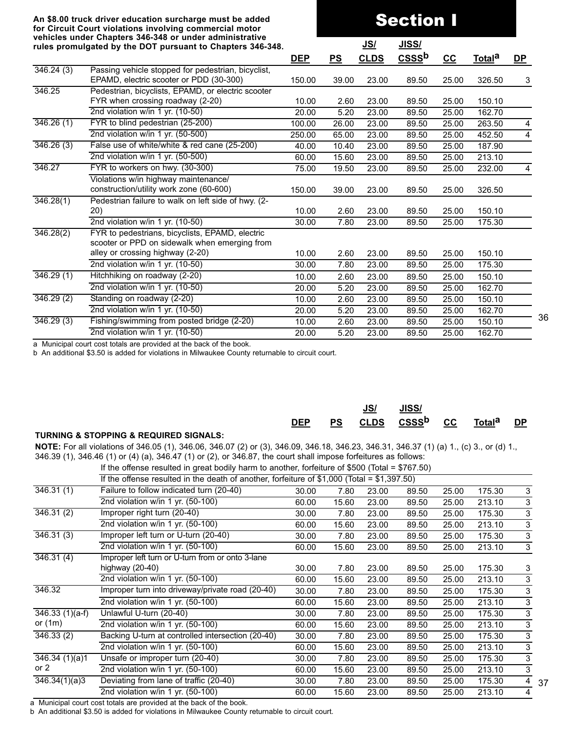# Section I

|                         | rules promulgated by the DOT pursuant to Chapters 346-348. |            |       | <u>JS/</u>  | <u>JISS/</u>      |       |                    |                |
|-------------------------|------------------------------------------------------------|------------|-------|-------------|-------------------|-------|--------------------|----------------|
|                         |                                                            | <u>DEP</u> | PS    | <b>CLDS</b> | CSSS <sup>b</sup> | $cc$  | Total <sup>a</sup> | <u>DP</u>      |
| 346.24(3)               | Passing vehicle stopped for pedestrian, bicyclist,         |            |       |             |                   |       |                    |                |
|                         | EPAMD, electric scooter or PDD (30-300)                    | 150.00     | 39.00 | 23.00       | 89.50             | 25.00 | 326.50             | 3              |
| 346.25                  | Pedestrian, bicyclists, EPAMD, or electric scooter         |            |       |             |                   |       |                    |                |
|                         | FYR when crossing roadway (2-20)                           | 10.00      | 2.60  | 23.00       | 89.50             | 25.00 | 150.10             |                |
|                         | 2nd violation w/in 1 yr. (10-50)                           | 20.00      | 5.20  | 23.00       | 89.50             | 25.00 | 162.70             |                |
| 346.26(1)               | FYR to blind pedestrian (25-200)                           | 100.00     | 26.00 | 23.00       | 89.50             | 25.00 | 263.50             | $\overline{4}$ |
|                         | 2nd violation w/in 1 yr. (50-500)                          | 250.00     | 65.00 | 23.00       | 89.50             | 25.00 | 452.50             | 4              |
| 346.26(3)               | False use of white/white & red cane (25-200)               | 40.00      | 10.40 | 23.00       | 89.50             | 25.00 | 187.90             |                |
|                         | 2nd violation w/in 1 yr. (50-500)                          | 60.00      | 15.60 | 23.00       | 89.50             | 25.00 | 213.10             |                |
| 346.27                  | FYR to workers on hwy. (30-300)                            | 75.00      | 19.50 | 23.00       | 89.50             | 25.00 | 232.00             | 4              |
|                         | Violations w/in highway maintenance/                       |            |       |             |                   |       |                    |                |
|                         | construction/utility work zone (60-600)                    | 150.00     | 39.00 | 23.00       | 89.50             | 25.00 | 326.50             |                |
| 346.28(1)               | Pedestrian failure to walk on left side of hwy. (2-        |            |       |             |                   |       |                    |                |
|                         | 20)                                                        | 10.00      | 2.60  | 23.00       | 89.50             | 25.00 | 150.10             |                |
|                         | 2nd violation w/in 1 yr. (10-50)                           | 30.00      | 7.80  | 23.00       | 89.50             | 25.00 | 175.30             |                |
| 346.28(2)               | FYR to pedestrians, bicyclists, EPAMD, electric            |            |       |             |                   |       |                    |                |
|                         | scooter or PPD on sidewalk when emerging from              |            |       |             |                   |       |                    |                |
|                         | alley or crossing highway (2-20)                           | 10.00      | 2.60  | 23.00       | 89.50             | 25.00 | 150.10             |                |
|                         | 2nd violation w/in 1 yr. (10-50)                           | 30.00      | 7.80  | 23.00       | 89.50             | 25.00 | 175.30             |                |
| 346.29(1)               | Hitchhiking on roadway (2-20)                              | 10.00      | 2.60  | 23.00       | 89.50             | 25.00 | 150.10             |                |
|                         | 2nd violation w/in 1 yr. (10-50)                           | 20.00      | 5.20  | 23.00       | 89.50             | 25.00 | 162.70             |                |
| 346.29(2)               | Standing on roadway (2-20)                                 | 10.00      | 2.60  | 23.00       | 89.50             | 25.00 | 150.10             |                |
|                         | 2nd violation w/in 1 yr. (10-50)                           | 20.00      | 5.20  | 23.00       | 89.50             | 25.00 | 162.70             |                |
| $\overline{346.29}$ (3) | Fishing/swimming from posted bridge (2-20)                 | 10.00      | 2.60  | 23.00       | 89.50             | 25.00 | 150.10             |                |
|                         | 2nd violation w/in 1 yr. (10-50)                           | 20.00      | 5.20  | 23.00       | 89.50             | 25.00 | 162.70             |                |
|                         |                                                            |            |       |             |                   |       |                    |                |

a Municipal court cost totals are provided at the back of the book.

b An additional \$3.50 is added for violations in Milwaukee County returnable to circuit court.

|                                                       | <b>DEP</b> | <b>PS</b> | JS/ | JISS/<br>CLDS CSSS <sup>b</sup> CC Total <sup>a</sup> |  | <b>DP</b> |
|-------------------------------------------------------|------------|-----------|-----|-------------------------------------------------------|--|-----------|
| <b>TURNING &amp; STOPPING &amp; REQUIRED SIGNALS:</b> |            |           |     |                                                       |  |           |

**NOTE:** For all violations of 346.05 (1), 346.06, 346.07 (2) or (3), 346.09, 346.18, 346.23, 346.31, 346.37 (1) (a) 1., (c) 3., or (d) 1., 346.39 (1), 346.46 (1) or (4) (a), 346.47 (1) or (2), or 346.87, the court shall impose forfeitures as follows:

If the offense resulted in great bodily harm to another, forfeiture of \$500 (Total = \$767.50)

|                              | $\mu$ and onense resulted in great bouny namn to another, forientine or $\psi$ over (rotar – $\psi$ ror |       |       |       |       |       |        |                |
|------------------------------|---------------------------------------------------------------------------------------------------------|-------|-------|-------|-------|-------|--------|----------------|
|                              | If the offense resulted in the death of another, forfeiture of \$1,000 (Total = $$1,397.50$ )           |       |       |       |       |       |        |                |
| 346.31(1)                    | Failure to follow indicated turn (20-40)                                                                | 30.00 | 7.80  | 23.00 | 89.50 | 25.00 | 175.30 | 3              |
|                              | 2nd violation w/in 1 yr. (50-100)                                                                       | 60.00 | 15.60 | 23.00 | 89.50 | 25.00 | 213.10 | 3              |
| 346.31(2)                    | Improper right turn (20-40)                                                                             | 30.00 | 7.80  | 23.00 | 89.50 | 25.00 | 175.30 | 3              |
|                              | 2nd violation w/in 1 yr. (50-100)                                                                       | 60.00 | 15.60 | 23.00 | 89.50 | 25.00 | 213.10 | 3              |
| 346.31(3)                    | Improper left turn or U-turn (20-40)                                                                    | 30.00 | 7.80  | 23.00 | 89.50 | 25.00 | 175.30 | 3              |
|                              | 2nd violation w/in 1 yr. (50-100)                                                                       | 60.00 | 15.60 | 23.00 | 89.50 | 25.00 | 213.10 | 3              |
| 346.31(4)                    | Improper left turn or U-turn from or onto 3-lane                                                        |       |       |       |       |       |        |                |
|                              | highway $(20-40)$                                                                                       | 30.00 | 7.80  | 23.00 | 89.50 | 25.00 | 175.30 | 3              |
|                              | 2nd violation w/in 1 yr. (50-100)                                                                       | 60.00 | 15.60 | 23.00 | 89.50 | 25.00 | 213.10 | 3              |
| 346.32                       | Improper turn into driveway/private road (20-40)                                                        | 30.00 | 7.80  | 23.00 | 89.50 | 25.00 | 175.30 | 3              |
|                              | 2nd violation w/in 1 yr. (50-100)                                                                       | 60.00 | 15.60 | 23.00 | 89.50 | 25.00 | 213.10 | 3              |
| $\overline{346.33}$ (1)(a-f) | Unlawful U-turn (20-40)                                                                                 | 30.00 | 7.80  | 23.00 | 89.50 | 25.00 | 175.30 | 3              |
| or $(1m)$                    | 2nd violation w/in 1 yr. (50-100)                                                                       | 60.00 | 15.60 | 23.00 | 89.50 | 25.00 | 213.10 | 3              |
| 346.33(2)                    | Backing U-turn at controlled intersection (20-40)                                                       | 30.00 | 7.80  | 23.00 | 89.50 | 25.00 | 175.30 | 3              |
|                              | 2nd violation w/in 1 yr. (50-100)                                                                       | 60.00 | 15.60 | 23.00 | 89.50 | 25.00 | 213.10 | $\overline{3}$ |
| 346.34(1)(a)1                | Unsafe or improper turn (20-40)                                                                         | 30.00 | 7.80  | 23.00 | 89.50 | 25.00 | 175.30 | 3              |
| or $2$                       | 2nd violation w/in 1 yr. $(50-100)$                                                                     | 60.00 | 15.60 | 23.00 | 89.50 | 25.00 | 213.10 | 3              |
| 346.34(1)(a)3                | Deviating from lane of traffic (20-40)                                                                  | 30.00 | 7.80  | 23.00 | 89.50 | 25.00 | 175.30 | 4              |
|                              | 2nd violation w/in 1 yr. (50-100)                                                                       | 60.00 | 15.60 | 23.00 | 89.50 | 25.00 | 213.10 | 4              |

37

36

a Municipal court cost totals are provided at the back of the book.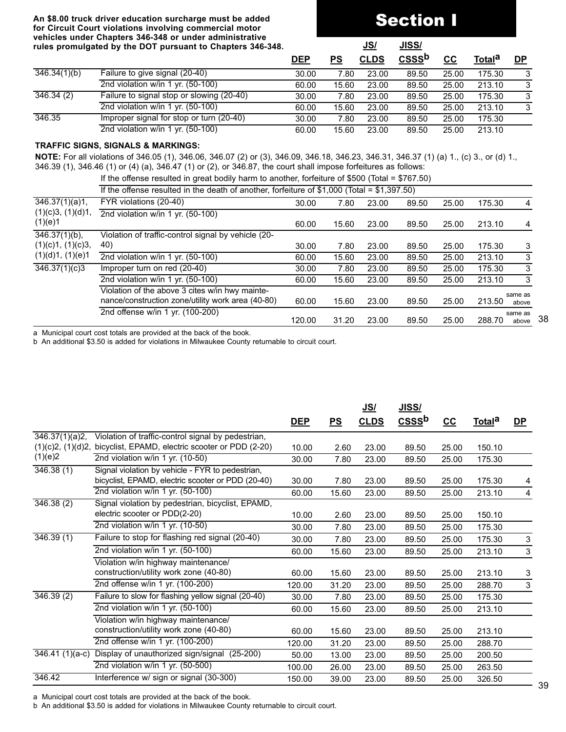# Section I

|              | rules promulgated by the DOT pursuant to Chapters 346-348. |            |       | <u>JS/</u>  | <u>JISS/</u> |       |                    |           |
|--------------|------------------------------------------------------------|------------|-------|-------------|--------------|-------|--------------------|-----------|
|              |                                                            | <b>DEP</b> | PS    | <b>CLDS</b> | <b>CSSSb</b> | cc    | Total <sup>a</sup> | <b>DP</b> |
| 346.34(1)(b) | Failure to give signal (20-40)                             | 30.00      | 7.80  | 23.00       | 89.50        | 25.00 | 175.30             | 3         |
|              | 2nd violation w/in 1 yr. (50-100)                          | 60.00      | 15.60 | 23.00       | 89.50        | 25.00 | 213.10             | 3         |
| 346.34 (2)   | Failure to signal stop or slowing (20-40)                  | 30.00      | 7.80  | 23.00       | 89.50        | 25.00 | 175.30             | 3         |
|              | 2nd violation w/in 1 yr. (50-100)                          | 60.00      | 15.60 | 23.00       | 89.50        | 25.00 | 213.10             | 3         |
| 346.35       | Improper signal for stop or turn (20-40)                   | 30.00      | 7.80  | 23.00       | 89.50        | 25.00 | 175.30             |           |
|              | 2nd violation w/in 1 yr. $(50-100)$                        | 60.00      | 15.60 | 23.00       | 89.50        | 25.00 | 213.10             |           |

#### **TRAFFIC SIGNS, SIGNALS & MARKINGS:**

**NOTE:** For all violations of 346.05 (1), 346.06, 346.07 (2) or (3), 346.09, 346.18, 346.23, 346.31, 346.37 (1) (a) 1., (c) 3., or (d) 1., 346.39 (1), 346.46 (1) or (4) (a), 346.47 (1) or (2), or 346.87, the court shall impose forfeitures as follows:

If the offense resulted in great bodily harm to another, forfeiture of \$500 (Total = \$767.50)

|                              | $\sim$ 0.000 0.000 0.000 0.000 0.000 0.000 0.000 0.000 0.000 0.000 0.000 0.000 0.000 0.000 0.000 0.000 0.000 0.000 0.000 0.000 0.000 0.000 0.000 0.000 0.000 0.000 0.000 0.000 0.000 0.000 0.000 0.000 0.000 0.000 0.000 0.000 |        |       |       |       |       |        |                  |
|------------------------------|--------------------------------------------------------------------------------------------------------------------------------------------------------------------------------------------------------------------------------|--------|-------|-------|-------|-------|--------|------------------|
|                              | If the offense resulted in the death of another, forfeiture of \$1,000 (Total = $$1,397.50$ )                                                                                                                                  |        |       |       |       |       |        |                  |
| 346.37(1)(a)1,               | FYR violations (20-40)                                                                                                                                                                                                         | 30.00  | 7.80  | 23.00 | 89.50 | 25.00 | 175.30 | 4                |
| (1)(c)3, (1)(d)1,<br>(1)(e)1 | 2nd violation w/in 1 yr. (50-100)                                                                                                                                                                                              | 60.00  | 15.60 | 23.00 | 89.50 | 25.00 | 213.10 | 4                |
| $\overline{346.37(1)(b)}$ ,  | Violation of traffic-control signal by vehicle (20-                                                                                                                                                                            |        |       |       |       |       |        |                  |
| (1)(c)1, (1)(c)3,            | 40)                                                                                                                                                                                                                            | 30.00  | 7.80  | 23.00 | 89.50 | 25.00 | 175.30 | 3                |
| (1)(d)1, (1)(e)1             | 2nd violation w/in 1 yr. (50-100)                                                                                                                                                                                              | 60.00  | 15.60 | 23.00 | 89.50 | 25.00 | 213.10 | 3                |
| 346.37(1)(c)3                | Improper turn on red (20-40)                                                                                                                                                                                                   | 30.00  | 7.80  | 23.00 | 89.50 | 25.00 | 175.30 | 3                |
|                              | 2nd violation w/in 1 yr. $(50-100)$                                                                                                                                                                                            | 60.00  | 15.60 | 23.00 | 89.50 | 25.00 | 213.10 | -3               |
|                              | Violation of the above 3 cites w/in hwy mainte-<br>nance/construction zone/utility work area (40-80)                                                                                                                           | 60.00  | 15.60 | 23.00 | 89.50 | 25.00 | 213.50 | same as<br>above |
|                              | 2nd offense w/in 1 yr. (100-200)                                                                                                                                                                                               | 120.00 | 31.20 | 23.00 | 89.50 | 25.00 | 288.70 | same as<br>above |

a Municipal court cost totals are provided at the back of the book.

b An additional \$3.50 is added for violations in Milwaukee County returnable to circuit court.

|                   |                                                    |            |       | <u>JS/</u>  | <u>JISS/</u>      |       |                    |                |
|-------------------|----------------------------------------------------|------------|-------|-------------|-------------------|-------|--------------------|----------------|
|                   |                                                    | <u>DEP</u> | PS    | <b>CLDS</b> | CSSS <sup>b</sup> | $CC$  | Total <sup>a</sup> | <u>DP</u>      |
| 346.37(1)(a)2,    | Violation of traffic-control signal by pedestrian, |            |       |             |                   |       |                    |                |
| (1)(c)2, (1)(d)2, | bicyclist, EPAMD, electric scooter or PDD (2-20)   | 10.00      | 2.60  | 23.00       | 89.50             | 25.00 | 150.10             |                |
| (1)(e)2           | 2nd violation w/in 1 yr. (10-50)                   | 30.00      | 7.80  | 23.00       | 89.50             | 25.00 | 175.30             |                |
| 346.38(1)         | Signal violation by vehicle - FYR to pedestrian,   |            |       |             |                   |       |                    |                |
|                   | bicyclist, EPAMD, electric scooter or PDD (20-40)  | 30.00      | 7.80  | 23.00       | 89.50             | 25.00 | 175.30             | 4              |
|                   | 2nd violation w/in 1 yr. (50-100)                  | 60.00      | 15.60 | 23.00       | 89.50             | 25.00 | 213.10             | 4              |
| 346.38(2)         | Signal violation by pedestrian, bicyclist, EPAMD,  |            |       |             |                   |       |                    |                |
|                   | electric scooter or PDD(2-20)                      | 10.00      | 2.60  | 23.00       | 89.50             | 25.00 | 150.10             |                |
|                   | 2nd violation w/in 1 yr. (10-50)                   | 30.00      | 7.80  | 23.00       | 89.50             | 25.00 | 175.30             |                |
| 346.39(1)         | Failure to stop for flashing red signal (20-40)    | 30.00      | 7.80  | 23.00       | 89.50             | 25.00 | 175.30             | 3              |
|                   | 2nd violation w/in 1 yr. (50-100)                  | 60.00      | 15.60 | 23.00       | 89.50             | 25.00 | 213.10             | $\mathfrak{S}$ |
|                   | Violation w/in highway maintenance/                |            |       |             |                   |       |                    |                |
|                   | construction/utility work zone (40-80)             | 60.00      | 15.60 | 23.00       | 89.50             | 25.00 | 213.10             | 3              |
|                   | 2nd offense w/in 1 yr. (100-200)                   | 120.00     | 31.20 | 23.00       | 89.50             | 25.00 | 288.70             | 3              |
| 346.39(2)         | Failure to slow for flashing yellow signal (20-40) | 30.00      | 7.80  | 23.00       | 89.50             | 25.00 | 175.30             |                |
|                   | 2nd violation w/in 1 yr. (50-100)                  | 60.00      | 15.60 | 23.00       | 89.50             | 25.00 | 213.10             |                |
|                   | Violation w/in highway maintenance/                |            |       |             |                   |       |                    |                |
|                   | construction/utility work zone (40-80)             | 60.00      | 15.60 | 23.00       | 89.50             | 25.00 | 213.10             |                |
|                   | 2nd offense w/in 1 yr. (100-200)                   | 120.00     | 31.20 | 23.00       | 89.50             | 25.00 | 288.70             |                |
| $346.41(1)(a-c)$  | Display of unauthorized sign/signal (25-200)       | 50.00      | 13.00 | 23.00       | 89.50             | 25.00 | 200.50             |                |
|                   | 2nd violation w/in 1 yr. (50-500)                  | 100.00     | 26.00 | 23.00       | 89.50             | 25.00 | 263.50             |                |
| 346.42            | Interference w/ sign or signal (30-300)            | 150.00     | 39.00 | 23.00       | 89.50             | 25.00 | 326.50             |                |

a Municipal court cost totals are provided at the back of the book.

b An additional \$3.50 is added for violations in Milwaukee County returnable to circuit court.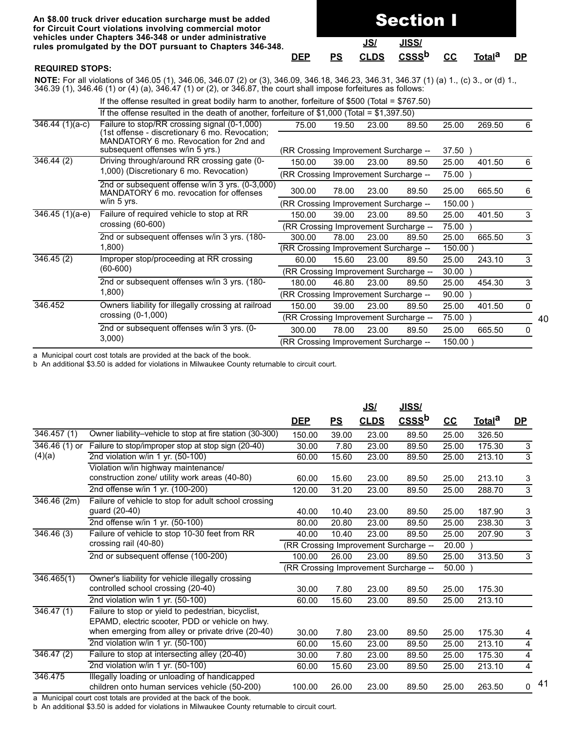#### **An \$8.00 truck driver education surcharge must be added** for Circuit Court violations involving comme vehicles under Chapters 346-348 or under ad rules promulgated by the DOT pursuant to C

| ∘rcial motor<br>dministrative |            |    |             |              |    |                    |           |
|-------------------------------|------------|----|-------------|--------------|----|--------------------|-----------|
| hapters 346-348. <sup>;</sup> |            |    | JS/         | JISS/        |    |                    |           |
|                               | <b>DEP</b> | PS | <b>CLDS</b> | <b>CSSSb</b> | cc | Total <sup>a</sup> | <b>DP</b> |

Section I

#### **REQUIRED STOPS:**

**NOTE:** For all violations of 346.05 (1), 346.06, 346.07 (2) or (3), 346.09, 346.18, 346.23, 346.31, 346.37 (1) (a) 1., (c) 3., or (d) 1., 346.39 (1), 346.46 (1) or (4) (a), 346.47 (1) or (2), or 346.87, the court shall impose forfeitures as follows:

|                               | If the offense resulted in great bodily harm to another, forfeiture of \$500 (Total = \$767.50) |                                       |       |            |            |            |        |              |
|-------------------------------|-------------------------------------------------------------------------------------------------|---------------------------------------|-------|------------|------------|------------|--------|--------------|
|                               | If the offense resulted in the death of another, forfeiture of \$1,000 (Total = $$1,397.50$ )   |                                       |       |            |            |            |        |              |
| $\overline{346.44}$ (1)(a-c)  | Failure to stop/RR crossing signal (0-1,000)<br>1st offense - discretionary 6 mo. Revocation;   | 75.00                                 | 19.50 | 23.00      | 89.50      | 25.00      | 269.50 | 6            |
|                               | MANDATORY 6 mo. Revocation for 2nd and<br>subsequent offenses w/in 5 yrs.)                      | (RR Crossing Improvement Surcharge -- |       |            |            | 37.50      |        |              |
| 346.44 (2)                    | Driving through/around RR crossing gate (0-                                                     | 150.00                                | 39.00 | 23.00      | 89.50      | 25.00      | 401.50 | 6            |
|                               | 1,000) (Discretionary 6 mo. Revocation)                                                         | (RR Crossing Improvement Surcharge -- |       |            |            | 75.00      |        |              |
|                               | 2nd or subsequent offense w/in 3 yrs. (0-3,000)<br>MANDATORY 6 mo. revocation for offenses      | 300.00                                | 78.00 | 23.00      | 89.50      | 25.00      | 665.50 | 6            |
|                               | w/in 5 yrs.                                                                                     | (RR Crossing Improvement Surcharge -- |       |            | $150.00$ ) |            |        |              |
|                               | Failure of required vehicle to stop at RR                                                       | 150.00                                | 39.00 | 23.00      | 89.50      | 25.00      | 401.50 | 3            |
|                               | crossing $(60-600)$                                                                             | (RR Crossing Improvement Surcharge -- |       |            |            | 75.00      |        |              |
|                               | 2nd or subsequent offenses w/in 3 yrs. (180-                                                    | 300.00                                | 78.00 | 23.00      | 89.50      | 25.00      | 665.50 | 3            |
| $346.45(1)(a-e)$<br>346.45(2) | 1,800)                                                                                          | (RR Crossing Improvement Surcharge -- |       | $150.00$ ) |            |            |        |              |
|                               | Improper stop/proceeding at RR crossing                                                         | 60.00                                 | 15.60 | 23.00      | 89.50      | 25.00      | 243.10 | 3            |
|                               | $(60-600)$                                                                                      | (RR Crossing Improvement Surcharge -- |       |            |            | 30.00      |        |              |
|                               | 2nd or subsequent offenses w/in 3 yrs. (180-                                                    | 180.00                                | 46.80 | 23.00      | 89.50      | 25.00      | 454.30 | 3            |
|                               | 1,800)                                                                                          | (RR Crossing Improvement Surcharge -- |       |            |            | 90.00      |        |              |
| 346.452                       | Owners liability for illegally crossing at railroad                                             | 150.00                                | 39.00 | 23.00      | 89.50      | 25.00      | 401.50 | $\mathbf{0}$ |
|                               | crossing $(0-1,000)$                                                                            | (RR Crossing Improvement Surcharge -- |       |            |            | 75.00      |        |              |
|                               | 2nd or subsequent offenses w/in 3 yrs. (0-                                                      | 300.00                                | 78.00 | 23.00      | 89.50      | 25.00      | 665.50 | 0            |
|                               | 3,000                                                                                           | (RR Crossing Improvement Surcharge -- |       |            |            | $150.00$ ) |        |              |

a Municipal court cost totals are provided at the back of the book.

b An additional \$3.50 is added for violations in Milwaukee County returnable to circuit court.

|                          |                                                          |            |           | <u>JS/</u>  | <u>JISS/</u>                          |       |                    |                         |
|--------------------------|----------------------------------------------------------|------------|-----------|-------------|---------------------------------------|-------|--------------------|-------------------------|
|                          |                                                          | <u>DEP</u> | <u>PS</u> | <b>CLDS</b> | CSSS <sup>b</sup>                     | $c$   | Total <sup>a</sup> | $DP$                    |
| $\overline{346.457}$ (1) | Owner liability-vehicle to stop at fire station (30-300) | 150.00     | 39.00     | 23.00       | 89.50                                 | 25.00 | 326.50             |                         |
| $346.46(1)$ or           | Failure to stop/improper stop at stop sign (20-40)       | 30.00      | 7.80      | 23.00       | 89.50                                 | 25.00 | 175.30             | $\sqrt{3}$              |
| (4)(a)                   | 2nd violation w/in 1 yr. (50-100)                        | 60.00      | 15.60     | 23.00       | 89.50                                 | 25.00 | 213.10             | $\overline{3}$          |
|                          | Violation w/in highway maintenance/                      |            |           |             |                                       |       |                    |                         |
|                          | construction zone/ utility work areas (40-80)            | 60.00      | 15.60     | 23.00       | 89.50                                 | 25.00 | 213.10             | 3                       |
|                          | 2nd offense w/in 1 yr. (100-200)                         | 120.00     | 31.20     | 23.00       | 89.50                                 | 25.00 | 288.70             | 3                       |
| 346.46(2m)               | Failure of vehicle to stop for adult school crossing     |            |           |             |                                       |       |                    |                         |
|                          | guard (20-40)                                            | 40.00      | 10.40     | 23.00       | 89.50                                 | 25.00 | 187.90             | 3                       |
|                          | 2nd offense w/in 1 yr. (50-100)                          | 80.00      | 20.80     | 23.00       | 89.50                                 | 25.00 | 238.30             | $\overline{3}$          |
| 346.46(3)                | Failure of vehicle to stop 10-30 feet from RR            | 40.00      | 10.40     | 23.00       | 89.50                                 | 25.00 | 207.90             | $\overline{3}$          |
|                          | crossing rail (40-80)                                    |            |           |             | (RR Crossing Improvement Surcharge -- | 20.00 |                    |                         |
|                          | 2nd or subsequent offense (100-200)                      | 100.00     | 26.00     | 23.00       | 89.50                                 | 25.00 | 313.50             | $\mathbf{3}$            |
|                          |                                                          |            |           |             | (RR Crossing Improvement Surcharge -- | 50.00 |                    |                         |
| 346.465(1)               | Owner's liability for vehicle illegally crossing         |            |           |             |                                       |       |                    |                         |
|                          | controlled school crossing (20-40)                       | 30.00      | 7.80      | 23.00       | 89.50                                 | 25.00 | 175.30             |                         |
|                          | 2nd violation w/in 1 yr. (50-100)                        | 60.00      | 15.60     | 23.00       | 89.50                                 | 25.00 | 213.10             |                         |
| 346.47(1)                | Failure to stop or yield to pedestrian, bicyclist,       |            |           |             |                                       |       |                    |                         |
|                          | EPAMD, electric scooter, PDD or vehicle on hwy.          |            |           |             |                                       |       |                    |                         |
|                          | when emerging from alley or private drive (20-40)        | 30.00      | 7.80      | 23.00       | 89.50                                 | 25.00 | 175.30             | 4                       |
|                          | 2nd violation w/in 1 yr. (50-100)                        | 60.00      | 15.60     | 23.00       | 89.50                                 | 25.00 | 213.10             | $\overline{\mathbf{4}}$ |
| 346.47 (2)               | Failure to stop at intersecting alley (20-40)            | 30.00      | 7.80      | 23.00       | 89.50                                 | 25.00 | 175.30             | $\overline{4}$          |
|                          | 2nd violation w/in 1 yr. (50-100)                        | 60.00      | 15.60     | 23.00       | 89.50                                 | 25.00 | 213.10             | $\overline{4}$          |
| 346.475                  | Illegally loading or unloading of handicapped            |            |           |             |                                       |       |                    |                         |
|                          | children onto human services vehicle (50-200)            | 100.00     | 26.00     | 23.00       | 89.50                                 | 25.00 | 263.50             | 0                       |

a Municipal court cost totals are provided at the back of the book.

b An additional \$3.50 is added for violations in Milwaukee County returnable to circuit court.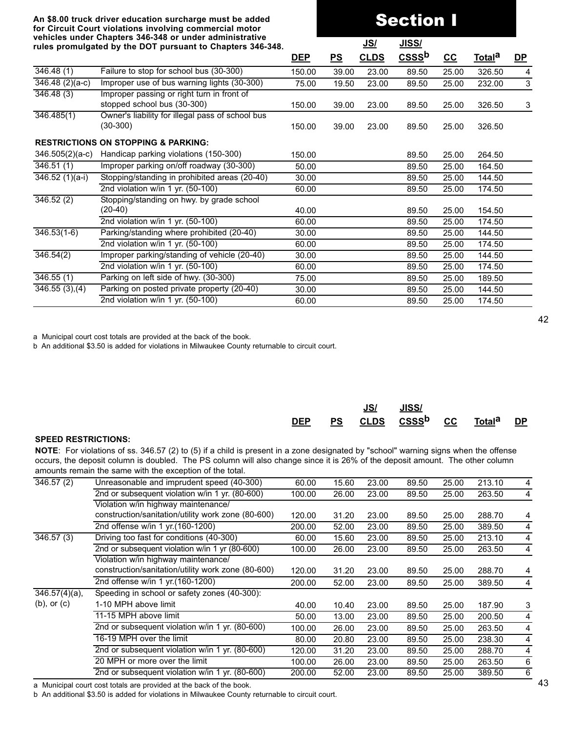# Section I

|                             | rules promulgated by the DOT pursuant to Chapters 346-348.                |            |       | <u>JS/</u>  | <u>JISS/</u>      |                           |                                                                              |           |
|-----------------------------|---------------------------------------------------------------------------|------------|-------|-------------|-------------------|---------------------------|------------------------------------------------------------------------------|-----------|
|                             |                                                                           | <b>DEP</b> | PS    | <b>CLDS</b> | CSSS <sup>b</sup> | $\underline{\mathsf{CC}}$ | <u>Total</u> <sup>a</sup>                                                    | <u>DP</u> |
| 346.48(1)                   | Failure to stop for school bus (30-300)                                   | 150.00     | 39.00 | 23.00       | 89.50             | 25.00                     | 326.50                                                                       | 4         |
| $\overline{346.48(2)(a-c)}$ | Improper use of bus warning lights (30-300)                               | 75.00      | 19.50 | 23.00       | 89.50             | 25.00                     | 232.00                                                                       | 3         |
| 346.48(3)                   | Improper passing or right turn in front of<br>stopped school bus (30-300) | 150.00     | 39.00 | 23.00       | 89.50             | 25.00                     | 326.50                                                                       | 3         |
| 346.485(1)                  | Owner's liability for illegal pass of school bus<br>$(30-300)$            | 150.00     | 39.00 | 23.00       | 89.50             | 25.00                     | 326.50                                                                       |           |
|                             | <b>RESTRICTIONS ON STOPPING &amp; PARKING:</b>                            |            |       |             |                   |                           |                                                                              |           |
| $346.505(2)(a-c)$           | Handicap parking violations (150-300)                                     | 150.00     |       |             | 89.50             | 25.00                     | 264.50                                                                       |           |
| 346.51(1)                   | Improper parking on/off roadway (30-300)                                  | 50.00      |       |             | 89.50             | 25.00                     | 164.50                                                                       |           |
| $346.52(1)(a-i)$            | Stopping/standing in prohibited areas (20-40)                             | 30.00      |       |             | 89.50             | 25.00                     | 144.50                                                                       |           |
|                             | 2nd violation w/in 1 yr. (50-100)                                         | 60.00      |       |             | 89.50             | 25.00                     | 174.50                                                                       |           |
| 346.52(2)                   | Stopping/standing on hwy. by grade school<br>(20-40)                      | 40.00      |       |             | 89.50             | 25.00                     | 154.50                                                                       |           |
|                             | 2nd violation w/in 1 yr. (50-100)                                         | 60.00      |       |             | 89.50             | 25.00                     | 174.50<br>144.50<br>174.50<br>144.50<br>174.50<br>189.50<br>144.50<br>174.50 |           |
| $346.53(1-6)$               | Parking/standing where prohibited (20-40)                                 | 30.00      |       |             | 89.50             | 25.00                     |                                                                              |           |
|                             | 2nd violation w/in 1 yr. (50-100)                                         | 60.00      |       |             | 89.50             | 25.00                     |                                                                              |           |
| 346.54(2)                   | Improper parking/standing of vehicle (20-40)                              | 30.00      |       |             | 89.50             | 25.00                     |                                                                              |           |
|                             | 2nd violation w/in 1 yr. (50-100)                                         | 60.00      |       |             | 89.50             | 25.00                     |                                                                              |           |
| 346.55(1)                   | Parking on left side of hwy. (30-300)                                     | 75.00      |       |             | 89.50             | 25.00                     |                                                                              |           |
| 346.55(3), (4)              | Parking on posted private property (20-40)                                | 30.00      |       |             | 89.50             | 25.00                     |                                                                              |           |
|                             | 2nd violation w/in 1 yr. (50-100)                                         | 60.00      |       |             | 89.50             | 25.00                     |                                                                              |           |
|                             |                                                                           |            |       |             |                   |                           |                                                                              |           |

a Municipal court cost totals are provided at the back of the book.

b An additional \$3.50 is added for violations in Milwaukee County returnable to circuit court.

|            | JS/ | JISS/                                              |  |  |
|------------|-----|----------------------------------------------------|--|--|
| <b>DEP</b> |     | PS CLDS CSSS <sup>b</sup> CC Total <sup>a</sup> DP |  |  |

#### **SPEED RESTRICTIONS:**

**NOTE**: For violations of ss. 346.57 (2) to (5) if a child is present in a zone designated by "school" warning signs when the offense occurs, the deposit column is doubled. The PS column will also change since it is 26% of the deposit amount. The other column amounts remain the same with the exception of the total.

| $\overline{346.57}$ (2)     | Unreasonable and imprudent speed (40-300)          | 60.00  | 15.60 | 23.00 | 89.50 | 25.00 | 213.10 | 4 |
|-----------------------------|----------------------------------------------------|--------|-------|-------|-------|-------|--------|---|
|                             | 2nd or subsequent violation w/in 1 yr. (80-600)    | 100.00 | 26.00 | 23.00 | 89.50 | 25.00 | 263.50 | 4 |
|                             | Violation w/in highway maintenance/                |        |       |       |       |       |        |   |
|                             | construction/sanitation/utility work zone (80-600) | 120.00 | 31.20 | 23.00 | 89.50 | 25.00 | 288.70 | 4 |
|                             | 2nd offense w/in 1 yr.(160-1200)                   | 200.00 | 52.00 | 23.00 | 89.50 | 25.00 | 389.50 | 4 |
| $\overline{346.57}$ (3)     | Driving too fast for conditions (40-300)           | 60.00  | 15.60 | 23.00 | 89.50 | 25.00 | 213.10 | 4 |
|                             | 2nd or subsequent violation w/in 1 yr (80-600)     | 100.00 | 26.00 | 23.00 | 89.50 | 25.00 | 263.50 | 4 |
|                             | Violation w/in highway maintenance/                |        |       |       |       |       |        |   |
|                             | construction/sanitation/utility work zone (80-600) | 120.00 | 31.20 | 23.00 | 89.50 | 25.00 | 288.70 | 4 |
|                             | 2nd offense w/in 1 yr.(160-1200)                   | 200.00 | 52.00 | 23.00 | 89.50 | 25.00 | 389.50 | 4 |
| $\overline{346.57}(4)(a)$ , | Speeding in school or safety zones (40-300):       |        |       |       |       |       |        |   |
| $(b)$ , or $(c)$            | 1-10 MPH above limit                               | 40.00  | 10.40 | 23.00 | 89.50 | 25.00 | 187.90 | 3 |
|                             | 11-15 MPH above limit                              | 50.00  | 13.00 | 23.00 | 89.50 | 25.00 | 200.50 | 4 |
|                             | 2nd or subsequent violation w/in 1 yr. (80-600)    | 100.00 | 26.00 | 23.00 | 89.50 | 25.00 | 263.50 | 4 |
|                             | 16-19 MPH over the limit                           | 80.00  | 20.80 | 23.00 | 89.50 | 25.00 | 238.30 | 4 |
|                             | 2nd or subsequent violation w/in 1 yr. (80-600)    | 120.00 | 31.20 | 23.00 | 89.50 | 25.00 | 288.70 | 4 |
|                             | 20 MPH or more over the limit                      | 100.00 | 26.00 | 23.00 | 89.50 | 25.00 | 263.50 | 6 |
|                             | 2nd or subsequent violation w/in 1 yr. (80-600)    | 200.00 | 52.00 | 23.00 | 89.50 | 25.00 | 389.50 | 6 |

a Municipal court cost totals are provided at the back of the book.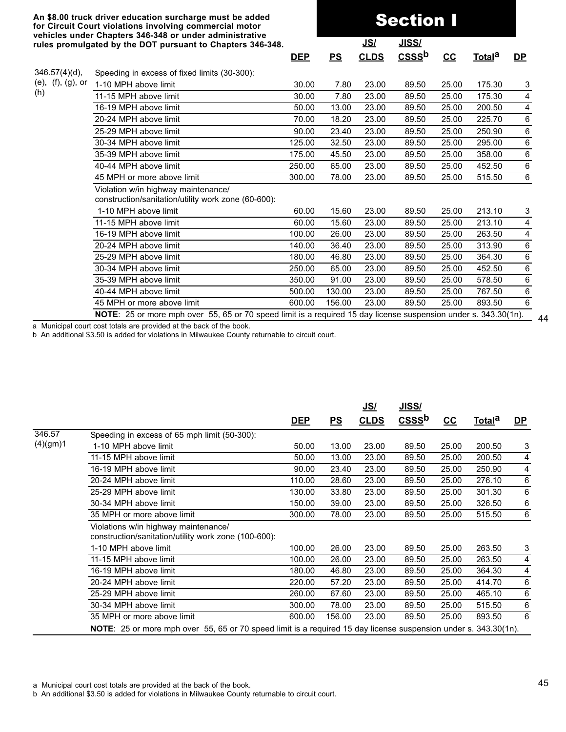|                   | vehicles under Chapters 346-348 or under administrative<br>rules promulgated by the DOT pursuant to Chapters 346-348. |            |           | <u>JS/</u>  | <u>JISS/</u>      |       |                    |           |
|-------------------|-----------------------------------------------------------------------------------------------------------------------|------------|-----------|-------------|-------------------|-------|--------------------|-----------|
|                   |                                                                                                                       | <b>DEP</b> | <u>PS</u> | <b>CLDS</b> | CSSS <sup>b</sup> | $CC$  | Total <sup>a</sup> | <u>DP</u> |
| $346.57(4)(d)$ ,  | Speeding in excess of fixed limits (30-300):                                                                          |            |           |             |                   |       |                    |           |
| (e), (f), (g), or | 1-10 MPH above limit                                                                                                  | 30.00      | 7.80      | 23.00       | 89.50             | 25.00 | 175.30             | 3         |
| (h)               | 11-15 MPH above limit                                                                                                 | 30.00      | 7.80      | 23.00       | 89.50             | 25.00 | 175.30             | 4         |
|                   | 16-19 MPH above limit                                                                                                 | 50.00      | 13.00     | 23.00       | 89.50             | 25.00 | 200.50             | 4         |
|                   | 20-24 MPH above limit                                                                                                 | 70.00      | 18.20     | 23.00       | 89.50             | 25.00 | 225.70             | 6         |
|                   | 25-29 MPH above limit                                                                                                 | 90.00      | 23.40     | 23.00       | 89.50             | 25.00 | 250.90             | 6         |
|                   | 30-34 MPH above limit                                                                                                 | 125.00     | 32.50     | 23.00       | 89.50             | 25.00 | 295.00             | 6         |
|                   | 35-39 MPH above limit                                                                                                 | 175.00     | 45.50     | 23.00       | 89.50             | 25.00 | 358.00             | 6         |
|                   | 40-44 MPH above limit                                                                                                 | 250.00     | 65.00     | 23.00       | 89.50             | 25.00 | 452.50             | 6         |
|                   | 45 MPH or more above limit                                                                                            | 300.00     | 78.00     | 23.00       | 89.50             | 25.00 | 515.50             | $\,6\,$   |
|                   | Violation w/in highway maintenance/<br>construction/sanitation/utility work zone (60-600):                            |            |           |             |                   |       |                    |           |
|                   | 1-10 MPH above limit                                                                                                  | 60.00      | 15.60     | 23.00       | 89.50             | 25.00 | 213.10             | 3         |
|                   | 11-15 MPH above limit                                                                                                 | 60.00      | 15.60     | 23.00       | 89.50             | 25.00 | 213.10             | 4         |
|                   | 16-19 MPH above limit                                                                                                 | 100.00     | 26.00     | 23.00       | 89.50             | 25.00 | 263.50             | 4         |
|                   | 20-24 MPH above limit                                                                                                 | 140.00     | 36.40     | 23.00       | 89.50             | 25.00 | 313.90             | $\,6\,$   |
|                   | 25-29 MPH above limit                                                                                                 | 180.00     | 46.80     | 23.00       | 89.50             | 25.00 | 364.30             | 6         |
|                   | 30-34 MPH above limit                                                                                                 | 250.00     | 65.00     | 23.00       | 89.50             | 25.00 | 452.50             | 6         |
|                   | 35-39 MPH above limit                                                                                                 | 350.00     | 91.00     | 23.00       | 89.50             | 25.00 | 578.50             | $\,6\,$   |
|                   | 40-44 MPH above limit                                                                                                 | 500.00     | 130.00    | 23.00       | 89.50             | 25.00 | 767.50             | 6         |
|                   | 45 MPH or more above limit                                                                                            | 600.00     | 156.00    | 23.00       | 89.50             | 25.00 | 893.50             | 6         |
|                   |                                                                                                                       |            |           |             |                   |       |                    |           |

Section I

44 **NOTE**: 25 or more mph over 55, 65 or 70 speed limit is a required 15 day license suspension under s. 343.30(1n).

a Municipal court cost totals are provided at the back of the book.

b An additional \$3.50 is added for violations in Milwaukee County returnable to circuit court.

|          |                                                                                                                 |            |        | <u>JS/</u>  | <u>JISS/</u>                       |       |               |           |
|----------|-----------------------------------------------------------------------------------------------------------------|------------|--------|-------------|------------------------------------|-------|---------------|-----------|
|          |                                                                                                                 | <u>DEP</u> | PS     | <b>CLDS</b> | $\overline{\text{CSS}}^{\text{b}}$ | $cc$  | <u>Totala</u> | <u>DP</u> |
| 346.57   | Speeding in excess of 65 mph limit (50-300):                                                                    |            |        |             |                                    |       |               |           |
| (4)(gm)1 | 1-10 MPH above limit                                                                                            | 50.00      | 13.00  | 23.00       | 89.50                              | 25.00 | 200.50        | 3         |
|          | 11-15 MPH above limit                                                                                           | 50.00      | 13.00  | 23.00       | 89.50                              | 25.00 | 200.50        | 4         |
|          | 16-19 MPH above limit                                                                                           | 90.00      | 23.40  | 23.00       | 89.50                              | 25.00 | 250.90        | 4         |
|          | 20-24 MPH above limit                                                                                           | 110.00     | 28.60  | 23.00       | 89.50                              | 25.00 | 276.10        | 6         |
|          | 25-29 MPH above limit                                                                                           | 130.00     | 33.80  | 23.00       | 89.50                              | 25.00 | 301.30        | 6         |
|          | 30-34 MPH above limit                                                                                           | 150.00     | 39.00  | 23.00       | 89.50                              | 25.00 | 326.50        | 6         |
|          | 35 MPH or more above limit                                                                                      | 300.00     | 78.00  | 23.00       | 89.50                              | 25.00 | 515.50        | 6         |
|          | Violations w/in highway maintenance/<br>construction/sanitation/utility work zone (100-600):                    |            |        |             |                                    |       |               |           |
|          | 1-10 MPH above limit                                                                                            | 100.00     | 26.00  | 23.00       | 89.50                              | 25.00 | 263.50        | 3         |
|          | 11-15 MPH above limit                                                                                           | 100.00     | 26.00  | 23.00       | 89.50                              | 25.00 | 263.50        | 4         |
|          | 16-19 MPH above limit                                                                                           | 180.00     | 46.80  | 23.00       | 89.50                              | 25.00 | 364.30        | 4         |
|          | 20-24 MPH above limit                                                                                           | 220.00     | 57.20  | 23.00       | 89.50                              | 25.00 | 414.70        | 6         |
|          | 25-29 MPH above limit                                                                                           | 260.00     | 67.60  | 23.00       | 89.50                              | 25.00 | 465.10        | 6         |
|          | 30-34 MPH above limit                                                                                           | 300.00     | 78.00  | 23.00       | 89.50                              | 25.00 | 515.50        | 6         |
|          | 35 MPH or more above limit                                                                                      | 600.00     | 156.00 | 23.00       | 89.50                              | 25.00 | 893.50        | 6         |
|          | NOTE: 25 or more mph over 55, 65 or 70 speed limit is a required 15 day license suspension under s. 343.30(1n). |            |        |             |                                    |       |               |           |

a Municipal court cost totals are provided at the back of the book.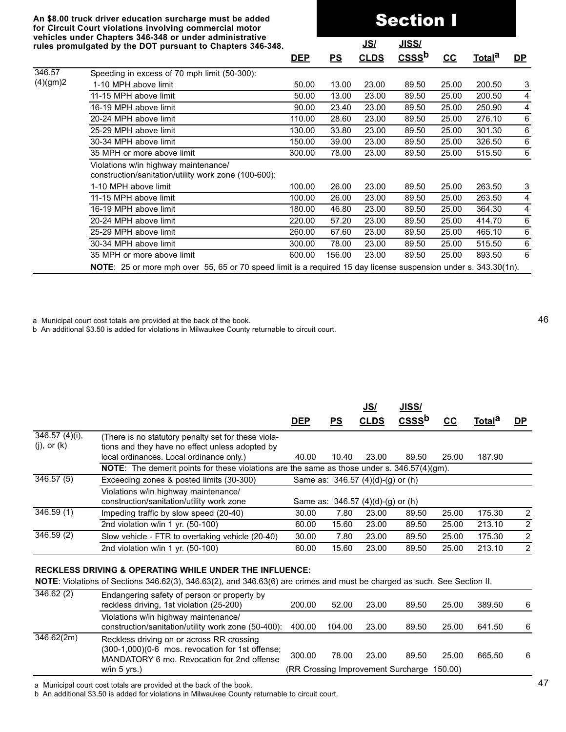**An \$8.00 truck driver education surcharge must be added for Circuit Court violations involving commercial motor vehicles under Chapters 346-348 or under administrative rules promulgated by the DOT pursuant to Chapters 346-348.**

346.57

Section I **JS/ JISS/a\_\_\_\_\_\_\_\_\_\_\_aaa DEP PS CLDS CSSSb CC Totala DP\_** Speeding in excess of 70 mph limit (50-300):

| (4)(gm)2 | 1-10 MPH above limit                                                                                                   | 50.00  | 13.00  | 23.00 | 89.50 | 25.00 | 200.50 | 3 |
|----------|------------------------------------------------------------------------------------------------------------------------|--------|--------|-------|-------|-------|--------|---|
|          | 11-15 MPH above limit                                                                                                  | 50.00  | 13.00  | 23.00 | 89.50 | 25.00 | 200.50 | 4 |
|          | 16-19 MPH above limit                                                                                                  | 90.00  | 23.40  | 23.00 | 89.50 | 25.00 | 250.90 | 4 |
|          | 20-24 MPH above limit                                                                                                  | 110.00 | 28.60  | 23.00 | 89.50 | 25.00 | 276.10 | 6 |
|          | 25-29 MPH above limit                                                                                                  | 130.00 | 33.80  | 23.00 | 89.50 | 25.00 | 301.30 | 6 |
|          | 30-34 MPH above limit                                                                                                  | 150.00 | 39.00  | 23.00 | 89.50 | 25.00 | 326.50 | 6 |
|          | 35 MPH or more above limit                                                                                             | 300.00 | 78.00  | 23.00 | 89.50 | 25.00 | 515.50 | 6 |
|          | Violations w/in highway maintenance/<br>construction/sanitation/utility work zone (100-600):                           |        |        |       |       |       |        |   |
|          | 1-10 MPH above limit                                                                                                   | 100.00 | 26.00  | 23.00 | 89.50 | 25.00 | 263.50 | 3 |
|          | 11-15 MPH above limit                                                                                                  | 100.00 | 26.00  | 23.00 | 89.50 | 25.00 | 263.50 | 4 |
|          | 16-19 MPH above limit                                                                                                  | 180.00 | 46.80  | 23.00 | 89.50 | 25.00 | 364.30 | 4 |
|          | 20-24 MPH above limit                                                                                                  | 220.00 | 57.20  | 23.00 | 89.50 | 25.00 | 414.70 | 6 |
|          | 25-29 MPH above limit                                                                                                  | 260.00 | 67.60  | 23.00 | 89.50 | 25.00 | 465.10 | 6 |
|          | 30-34 MPH above limit                                                                                                  | 300.00 | 78.00  | 23.00 | 89.50 | 25.00 | 515.50 | 6 |
|          | 35 MPH or more above limit                                                                                             | 600.00 | 156.00 | 23.00 | 89.50 | 25.00 | 893.50 | 6 |
|          | <b>NOTE:</b> 25 or more mph over 55, 65 or 70 speed limit is a required 15 day license suspension under s. 343.30(1n). |        |        |       |       |       |        |   |

a Municipal court cost totals are provided at the back of the book.

b An additional \$3.50 is added for violations in Milwaukee County returnable to circuit court.

|                             |                                                                                                       | <b>DEP</b> | <b>PS</b> | <u>JS/</u><br><b>CLDS</b>         | <b>JISS/</b><br>CSSS <sup>b</sup> | cc    | Total <sup>d</sup> | <u>DP</u>      |
|-----------------------------|-------------------------------------------------------------------------------------------------------|------------|-----------|-----------------------------------|-----------------------------------|-------|--------------------|----------------|
| $\overline{346.57}$ (4)(i), | (There is no statutory penalty set for these viola-                                                   |            |           |                                   |                                   |       |                    |                |
| $(j)$ , or $(k)$            | tions and they have no effect unless adopted by                                                       |            |           |                                   |                                   |       |                    |                |
|                             | local ordinances. Local ordinance only.)                                                              | 40.00      | 10.40     | 23.00                             | 89.50                             | 25.00 | 187.90             |                |
|                             | <b>NOTE:</b> The demerit points for these violations are the same as those under s. $346.57(4)(gm)$ . |            |           |                                   |                                   |       |                    |                |
| 346.57(5)                   | Exceeding zones & posted limits (30-300)                                                              |            |           | Same as: 346.57 (4)(d)-(g) or (h) |                                   |       |                    |                |
|                             | Violations w/in highway maintenance/                                                                  |            |           |                                   |                                   |       |                    |                |
|                             | construction/sanitation/utility work zone                                                             |            |           | Same as: 346.57 (4)(d)-(g) or (h) |                                   |       |                    |                |
| 346.59(1)                   | Impeding traffic by slow speed (20-40)                                                                | 30.00      | 7.80      | 23.00                             | 89.50                             | 25.00 | 175.30             | 2              |
|                             | 2nd violation w/in 1 yr. $(50-100)$                                                                   | 60.00      | 15.60     | 23.00                             | 89.50                             | 25.00 | 213.10             | 2              |
| 346.59(2)                   | Slow vehicle - FTR to overtaking vehicle (20-40)                                                      | 30.00      | 7.80      | 23.00                             | 89.50                             | 25.00 | 175.30             | $\overline{2}$ |
|                             | 2nd violation w/in 1 yr. $(50-100)$                                                                   | 60.00      | 15.60     | 23.00                             | 89.50                             | 25.00 | 213.10             | $\overline{2}$ |
|                             | <b>RECKLESS DRIVING &amp; OPERATING WHILE UNDER THE INFLUENCE:</b>                                    |            |           |                                   |                                   |       |                    |                |
|                             |                                                                                                       |            |           |                                   |                                   |       |                    |                |

**NOTE**: Violations of Sections 346.62(3), 346.63(2), and 346.63(6) are crimes and must be charged as such. See Section II.

| 346.62(2)  | Endangering safety of person or property by<br>reckless driving, 1st violation (25-200)                                                                       | 200.00 | 52.00  | 23.00 | 89.50                                               | 25.00 | 389.50 | 6 |
|------------|---------------------------------------------------------------------------------------------------------------------------------------------------------------|--------|--------|-------|-----------------------------------------------------|-------|--------|---|
|            | Violations w/in highway maintenance/<br>construction/sanitation/utility work zone (50-400):                                                                   | 400.00 | 104.00 | 23.00 | 89.50                                               | 25.00 | 641.50 | 6 |
| 346.62(2m) | Reckless driving on or across RR crossing<br>(300-1,000)(0-6 mos. revocation for 1st offense;<br>MANDATORY 6 mo. Revocation for 2nd offense<br>w/in $5$ yrs.) | 300.00 | 78.00  | 23.00 | 89.50<br>(RR Crossing Improvement Surcharge 150.00) | 25.00 | 665.50 | 6 |

a Municipal court cost totals are provided at the back of the book.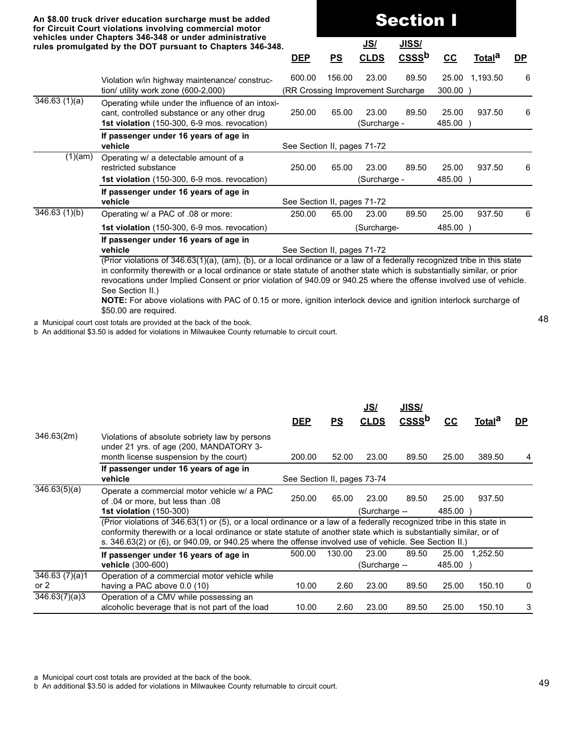|                            | An \$8.00 truck driver education surcharge must be added<br>for Circuit Court violations involving commercial motor                                                                                                                                                                                                                                                                                                                                                                                           |            | <b>Section I</b>            |                                              |                            |                     |                    |           |
|----------------------------|---------------------------------------------------------------------------------------------------------------------------------------------------------------------------------------------------------------------------------------------------------------------------------------------------------------------------------------------------------------------------------------------------------------------------------------------------------------------------------------------------------------|------------|-----------------------------|----------------------------------------------|----------------------------|---------------------|--------------------|-----------|
|                            | vehicles under Chapters 346-348 or under administrative<br>rules promulgated by the DOT pursuant to Chapters 346-348.                                                                                                                                                                                                                                                                                                                                                                                         | <b>DEP</b> | PS                          | <u>JS/</u><br><b>CLDS</b>                    | JISS/<br>CSSS <sup>b</sup> | $cc$                | Total <sup>a</sup> | <u>DP</u> |
|                            | Violation w/in highway maintenance/ construc-<br>tion/ utility work zone (600-2,000)                                                                                                                                                                                                                                                                                                                                                                                                                          | 600.00     | 156.00                      | 23.00<br>(RR Crossing Improvement Surcharge) | 89.50                      | 25.00<br>$300.00$ ) | 1,193.50           | 6         |
| 346.63(1)(a)               | Operating while under the influence of an intoxi-<br>cant, controlled substance or any other drug<br>1st violation (150-300, 6-9 mos. revocation)                                                                                                                                                                                                                                                                                                                                                             | 250.00     | 65.00                       | 23.00<br>(Surcharge -                        | 89.50                      | 25.00<br>485.00 )   | 937.50             | 6         |
|                            | If passenger under 16 years of age in<br>vehicle                                                                                                                                                                                                                                                                                                                                                                                                                                                              |            | See Section II, pages 71-72 |                                              |                            |                     |                    |           |
| (1)(am)                    | Operating w/ a detectable amount of a<br>restricted substance<br>1st violation (150-300, 6-9 mos. revocation)                                                                                                                                                                                                                                                                                                                                                                                                 | 250.00     | 65.00                       | 23.00<br>(Surcharge -                        | 89.50                      | 25.00<br>485.00 )   | 937.50             | 6         |
|                            | If passenger under 16 years of age in<br>vehicle                                                                                                                                                                                                                                                                                                                                                                                                                                                              |            | See Section II, pages 71-72 |                                              |                            |                     |                    |           |
| $\overline{346.63}$ (1)(b) | Operating w/ a PAC of .08 or more:                                                                                                                                                                                                                                                                                                                                                                                                                                                                            | 250.00     | 65.00                       | 23.00                                        | 89.50                      | 25.00               | 937.50             | 6         |
|                            | 1st violation (150-300, 6-9 mos. revocation)                                                                                                                                                                                                                                                                                                                                                                                                                                                                  |            |                             |                                              |                            |                     |                    |           |
|                            | 485.00 )<br>(Surcharge-<br>If passenger under 16 years of age in<br>vehicle<br>See Section II, pages 71-72<br>(Prior violations of 346.63(1)(a), (am), (b), or a local ordinance or a law of a federally recognized tribe in this state<br>in conformity therewith or a local ordinance or state statute of another state which is substantially similar, or prior<br>revocations under Implied Consent or prior violation of 940.09 or 940.25 where the offense involved use of vehicle.<br>See Section II.) |            |                             |                                              |                            |                     |                    |           |

**NOTE:** For above violations with PAC of 0.15 or more, ignition interlock device and ignition interlock surcharge of \$50.00 are required.

a Municipal court cost totals are provided at the back of the book.

b An additional \$3.50 is added for violations in Milwaukee County returnable to circuit court.

|                           |                                                                                                                                                                                                                                                                                                                                                     | <b>DEP</b>                  | PS     | <u>JS/</u><br><b>CLDS</b> | <b>JISS/</b><br>$CSS b$ | cc                | Total <sup>a</sup> | <b>DP</b> |
|---------------------------|-----------------------------------------------------------------------------------------------------------------------------------------------------------------------------------------------------------------------------------------------------------------------------------------------------------------------------------------------------|-----------------------------|--------|---------------------------|-------------------------|-------------------|--------------------|-----------|
| 346.63(2m)                | Violations of absolute sobriety law by persons<br>under 21 yrs. of age (200, MANDATORY 3-<br>month license suspension by the court)                                                                                                                                                                                                                 | 200.00                      | 52.00  | 23.00                     | 89.50                   | 25.00             | 389.50             | 4         |
|                           | If passenger under 16 years of age in<br>vehicle                                                                                                                                                                                                                                                                                                    | See Section II, pages 73-74 |        |                           |                         |                   |                    |           |
| $\overline{346.63(5)}(a)$ | Operate a commercial motor vehicle w/ a PAC<br>of .04 or more, but less than .08<br><b>1st violation (150-300)</b>                                                                                                                                                                                                                                  | 250.00                      | 65.00  | 23.00<br>(Surcharge --    | 89.50                   | 25.00<br>485.00 ) | 937.50             |           |
|                           | (Prior violations of 346.63(1) or (5), or a local ordinance or a law of a federally recognized tribe in this state in<br>conformity therewith or a local ordinance or state statute of another state which is substantially similar, or of<br>s. 346.63(2) or (6), or 940.09, or 940.25 where the offense involved use of vehicle. See Section II.) |                             |        |                           |                         |                   |                    |           |
|                           | If passenger under 16 years of age in<br>vehicle (300-600)                                                                                                                                                                                                                                                                                          | 500.00                      | 130.00 | 23.00<br>(Surcharge --    | 89.50                   | 25.00<br>485.00 ) | 1,252.50           |           |
| 346.63(7)(a)1<br>or $2$   | Operation of a commercial motor vehicle while<br>having a PAC above 0.0 (10)                                                                                                                                                                                                                                                                        | 10.00                       | 2.60   | 23.00                     | 89.50                   | 25.00             | 150.10             | 0         |
| 346.63(7)(a)3             | Operation of a CMV while possessing an<br>alcoholic beverage that is not part of the load                                                                                                                                                                                                                                                           | 10.00                       | 2.60   | 23.00                     | 89.50                   | 25.00             | 150.10             | 3         |

a Municipal court cost totals are provided at the back of the book.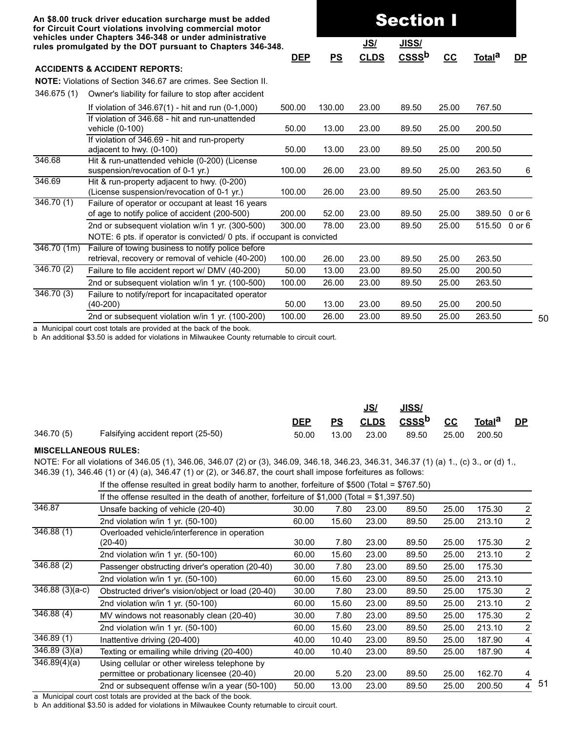|                        | An \$8.00 truck driver education surcharge must be added<br>for Circuit Court violations involving commercial motor<br>vehicles under Chapters 346-348 or under administrative |            |        |             |                   |       |                    |            |
|------------------------|--------------------------------------------------------------------------------------------------------------------------------------------------------------------------------|------------|--------|-------------|-------------------|-------|--------------------|------------|
|                        | rules promulgated by the DOT pursuant to Chapters 346-348.                                                                                                                     |            |        | <u>JS/</u>  | JISS/             |       |                    |            |
|                        |                                                                                                                                                                                | <u>DEP</u> | PS     | <b>CLDS</b> | CSSS <sup>b</sup> | $cc$  | Total <sup>a</sup> | <u>DP</u>  |
|                        | <b>ACCIDENTS &amp; ACCIDENT REPORTS:</b>                                                                                                                                       |            |        |             |                   |       |                    |            |
|                        | <b>NOTE:</b> Violations of Section 346.67 are crimes. See Section II.                                                                                                          |            |        |             |                   |       |                    |            |
| 346.675 (1)            | Owner's liability for failure to stop after accident                                                                                                                           |            |        |             |                   |       |                    |            |
|                        | If violation of $346.67(1)$ - hit and run (0-1,000)                                                                                                                            | 500.00     | 130.00 | 23.00       | 89.50             | 25.00 | 767.50             |            |
|                        | If violation of 346.68 - hit and run-unattended<br>vehicle (0-100)                                                                                                             | 50.00      | 13.00  | 23.00       | 89.50             | 25.00 | 200.50             |            |
|                        | If violation of 346.69 - hit and run-property<br>adjacent to hwy. (0-100)                                                                                                      | 50.00      | 13.00  | 23.00       | 89.50             | 25.00 | 200.50             |            |
| 346.68                 | Hit & run-unattended vehicle (0-200) (License<br>suspension/revocation of 0-1 yr.)                                                                                             | 100.00     | 26.00  | 23.00       | 89.50             | 25.00 | 263.50             | 6          |
| 346.69                 | Hit & run-property adjacent to hwy. (0-200)<br>(License suspension/revocation of 0-1 yr.)                                                                                      | 100.00     | 26.00  | 23.00       | 89.50             | 25.00 | 263.50             |            |
| $\overline{346.70(1)}$ | Failure of operator or occupant at least 16 years<br>of age to notify police of accident (200-500)                                                                             | 200.00     | 52.00  | 23.00       | 89.50             | 25.00 | 389.50             | $0$ or $6$ |
|                        | 2nd or subsequent violation w/in 1 yr. (300-500)<br>NOTE: 6 pts. if operator is convicted/ 0 pts. if occupant is convicted                                                     | 300.00     | 78.00  | 23.00       | 89.50             | 25.00 | 515.50             | $0$ or $6$ |
| $\sqrt{346.70(1m)}$    | Failure of towing business to notify police before                                                                                                                             |            |        |             |                   |       |                    |            |
|                        | retrieval, recovery or removal of vehicle (40-200)                                                                                                                             | 100.00     | 26.00  | 23.00       | 89.50             | 25.00 | 263.50             |            |
| 346.70(2)              | Failure to file accident report w/ DMV (40-200)                                                                                                                                | 50.00      | 13.00  | 23.00       | 89.50             | 25.00 | 200.50             |            |
|                        | 2nd or subsequent violation w/in 1 yr. (100-500)                                                                                                                               | 100.00     | 26.00  | 23.00       | 89.50             | 25.00 | 263.50             |            |
| 346.70(3)              | Failure to notify/report for incapacitated operator<br>$(40-200)$                                                                                                              | 50.00      | 13.00  | 23.00       | 89.50             | 25.00 | 200.50             |            |
|                        | 2nd or subsequent violation w/in 1 yr. (100-200)                                                                                                                               | 100.00     | 26.00  | 23.00       | 89.50             | 25.00 | 263.50             |            |

b An additional \$3.50 is added for violations in Milwaukee County returnable to circuit court.

|            |                                    |            |       | <u>JS/</u> | <b>JISS/</b>                                 |       |        |           |
|------------|------------------------------------|------------|-------|------------|----------------------------------------------|-------|--------|-----------|
|            |                                    | <b>DEP</b> | PS    |            | CLDS CSSS <sup>b</sup> CC Total <sup>a</sup> |       |        | <b>DP</b> |
| 346.70 (5) | Falsifying accident report (25-50) | 50.00      | 13.00 | 23.00      | 89.50                                        | 25.00 | 200.50 |           |

#### **MISCELLANEOUS RULES:**

NOTE: For all violations of 346.05 (1), 346.06, 346.07 (2) or (3), 346.09, 346.18, 346.23, 346.31, 346.37 (1) (a) 1., (c) 3., or (d) 1., 346.39 (1), 346.46 (1) or (4) (a), 346.47 (1) or (2), or 346.87, the court shall impose forfeitures as follows:

| If the offense resulted in great bodily harm to another, forfeiture of \$500 (Total = \$767.50) |  |
|-------------------------------------------------------------------------------------------------|--|
|-------------------------------------------------------------------------------------------------|--|

|                              | If the offense resulted in the death of another, forfeiture of \$1,000 (Total = $$1,397.50$ ) |       |       |       |       |       |        |                |
|------------------------------|-----------------------------------------------------------------------------------------------|-------|-------|-------|-------|-------|--------|----------------|
| 346.87                       | Unsafe backing of vehicle (20-40)                                                             | 30.00 | 7.80  | 23.00 | 89.50 | 25.00 | 175.30 | $\overline{2}$ |
|                              | 2nd violation w/in 1 yr. (50-100)                                                             | 60.00 | 15.60 | 23.00 | 89.50 | 25.00 | 213.10 | $\overline{2}$ |
| 346.88(1)                    | Overloaded vehicle/interference in operation                                                  |       |       |       |       |       |        |                |
|                              | $(20-40)$                                                                                     | 30.00 | 7.80  | 23.00 | 89.50 | 25.00 | 175.30 | 2              |
|                              | 2nd violation w/in 1 yr. (50-100)                                                             | 60.00 | 15.60 | 23.00 | 89.50 | 25.00 | 213.10 | $\overline{2}$ |
| 346.88(2)                    | Passenger obstructing driver's operation (20-40)                                              | 30.00 | 7.80  | 23.00 | 89.50 | 25.00 | 175.30 |                |
|                              | 2nd violation w/in 1 yr. $(50-100)$                                                           | 60.00 | 15.60 | 23.00 | 89.50 | 25.00 | 213.10 |                |
| $\overline{346.88}$ (3)(a-c) | Obstructed driver's vision/object or load (20-40)                                             | 30.00 | 7.80  | 23.00 | 89.50 | 25.00 | 175.30 | $\overline{2}$ |
|                              | 2nd violation w/in 1 yr. (50-100)                                                             | 60.00 | 15.60 | 23.00 | 89.50 | 25.00 | 213.10 | 2              |
| 346.88(4)                    | MV windows not reasonably clean (20-40)                                                       | 30.00 | 7.80  | 23.00 | 89.50 | 25.00 | 175.30 | 2              |
|                              | 2nd violation w/in 1 yr. (50-100)                                                             | 60.00 | 15.60 | 23.00 | 89.50 | 25.00 | 213.10 | 2              |
| 346.89(1)                    | Inattentive driving (20-400)                                                                  | 40.00 | 10.40 | 23.00 | 89.50 | 25.00 | 187.90 | 4              |
| 346.89(3)(a)                 | Texting or emailing while driving (20-400)                                                    | 40.00 | 10.40 | 23.00 | 89.50 | 25.00 | 187.90 | 4              |
| 346.89(4)(a)                 | Using cellular or other wireless telephone by                                                 |       |       |       |       |       |        |                |
|                              | permittee or probationary licensee (20-40)                                                    | 20.00 | 5.20  | 23.00 | 89.50 | 25.00 | 162.70 | 4              |
|                              | 2nd or subsequent offense w/in a year (50-100)                                                | 50.00 | 13.00 | 23.00 | 89.50 | 25.00 | 200.50 | 4              |
|                              |                                                                                               |       |       |       |       |       |        |                |

a Municipal court cost totals are provided at the back of the book.

b An additional \$3.50 is added for violations in Milwaukee County returnable to circuit court.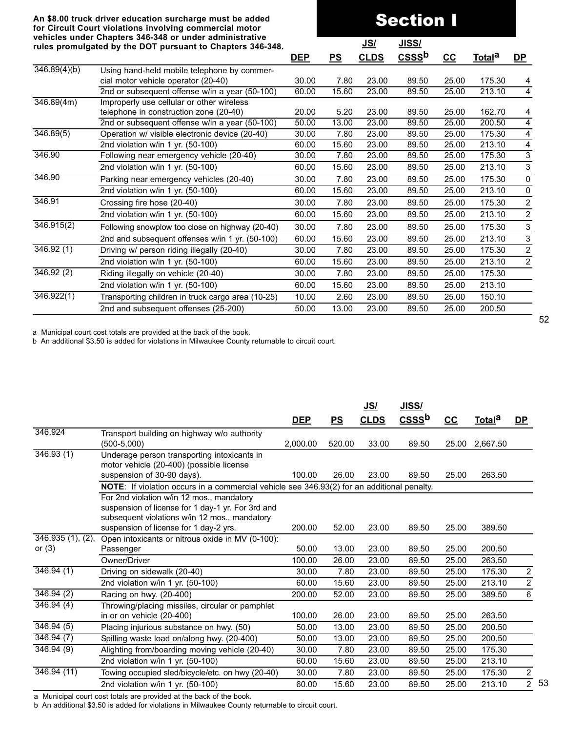#### **An \$8.00 truck driver education surcharge must be added for Circuit Court violations involving commercial motor vehicles under Chapters 346-348 or under administrative rules promulgated by the DOT pursuant to Chapters 346-348.**

|                           | venicles under Unapters 346-346 or under administrative<br>rules promulgated by the DOT pursuant to Chapters 346-348. |            |       | <u>JS/</u>  | <u>JISS/</u>      |       |                    |                  |
|---------------------------|-----------------------------------------------------------------------------------------------------------------------|------------|-------|-------------|-------------------|-------|--------------------|------------------|
|                           |                                                                                                                       | <b>DEP</b> | PS    | <b>CLDS</b> | CSSS <sup>b</sup> | $cc$  | Total <sup>a</sup> | <u>DP</u>        |
| $\overline{346.89(4)(b)}$ | Using hand-held mobile telephone by commer-                                                                           |            |       |             |                   |       |                    |                  |
|                           | cial motor vehicle operator (20-40)                                                                                   | 30.00      | 7.80  | 23.00       | 89.50             | 25.00 | 175.30             | 4                |
|                           | 2nd or subsequent offense w/in a year (50-100)                                                                        | 60.00      | 15.60 | 23.00       | 89.50             | 25.00 | 213.10             | $\overline{4}$   |
| 346.89(4m)                | Improperly use cellular or other wireless                                                                             |            |       |             |                   |       |                    |                  |
|                           | telephone in construction zone (20-40)                                                                                | 20.00      | 5.20  | 23.00       | 89.50             | 25.00 | 162.70             | 4                |
|                           | 2nd or subsequent offense w/in a year (50-100)                                                                        | 50.00      | 13.00 | 23.00       | 89.50             | 25.00 | 200.50             | 4                |
| 346.89(5)                 | Operation w/ visible electronic device (20-40)                                                                        | 30.00      | 7.80  | 23.00       | 89.50             | 25.00 | 175.30             | 4                |
|                           | 2nd violation w/in 1 yr. (50-100)                                                                                     | 60.00      | 15.60 | 23.00       | 89.50             | 25.00 | 213.10             | 4                |
| 346.90                    | Following near emergency vehicle (20-40)                                                                              | 30.00      | 7.80  | 23.00       | 89.50             | 25.00 | 175.30             | $\overline{3}$   |
|                           | 2nd violation w/in 1 yr. (50-100)                                                                                     | 60.00      | 15.60 | 23.00       | 89.50             | 25.00 | 213.10             | 3                |
| 346.90                    | Parking near emergency vehicles (20-40)                                                                               | 30.00      | 7.80  | 23.00       | 89.50             | 25.00 | 175.30             | 0                |
|                           | 2nd violation w/in 1 yr. (50-100)                                                                                     | 60.00      | 15.60 | 23.00       | 89.50             | 25.00 | 213.10             | 0                |
| 346.91                    | Crossing fire hose (20-40)                                                                                            | 30.00      | 7.80  | 23.00       | 89.50             | 25.00 | 175.30             | $\boldsymbol{2}$ |
|                           | 2nd violation w/in 1 yr. (50-100)                                                                                     | 60.00      | 15.60 | 23.00       | 89.50             | 25.00 | 213.10             | $\overline{c}$   |
| 346.915(2)                | Following snowplow too close on highway (20-40)                                                                       | 30.00      | 7.80  | 23.00       | 89.50             | 25.00 | 175.30             | 3                |
|                           | 2nd and subsequent offenses w/in 1 yr. (50-100)                                                                       | 60.00      | 15.60 | 23.00       | 89.50             | 25.00 | 213.10             | 3                |
| 346.92(1)                 | Driving w/ person riding illegally (20-40)                                                                            | 30.00      | 7.80  | 23.00       | 89.50             | 25.00 | 175.30             | $\overline{c}$   |
|                           | 2nd violation w/in 1 yr. (50-100)                                                                                     | 60.00      | 15.60 | 23.00       | 89.50             | 25.00 | 213.10             | $\overline{2}$   |
| 346.92(2)                 | Riding illegally on vehicle (20-40)                                                                                   | 30.00      | 7.80  | 23.00       | 89.50             | 25.00 | 175.30             |                  |
|                           | 2nd violation w/in 1 yr. (50-100)                                                                                     | 60.00      | 15.60 | 23.00       | 89.50             | 25.00 | 213.10             |                  |
| 346.922(1)                | Transporting children in truck cargo area (10-25)                                                                     | 10.00      | 2.60  | 23.00       | 89.50             | 25.00 | 150.10             |                  |
|                           | 2nd and subsequent offenses (25-200)                                                                                  | 50.00      | 13.00 | 23.00       | 89.50             | 25.00 | 200.50             |                  |

Section I

a Municipal court cost totals are provided at the back of the book.

b An additional \$3.50 is added for violations in Milwaukee County returnable to circuit court.

|                              |                                                                                                                                                 |            |                           | <u>JS/</u>  | JISS/             |       |                    |                  |
|------------------------------|-------------------------------------------------------------------------------------------------------------------------------------------------|------------|---------------------------|-------------|-------------------|-------|--------------------|------------------|
|                              |                                                                                                                                                 | <b>DEP</b> | $\underline{\mathsf{PS}}$ | <b>CLDS</b> | CSSS <sup>b</sup> | $cc$  | Total <sup>a</sup> | <u>DP</u>        |
| 346.924                      | Transport building on highway w/o authority<br>$(500-5,000)$                                                                                    | 2,000.00   | 520.00                    | 33.00       | 89.50             | 25.00 | 2,667.50           |                  |
| 346.93(1)                    | Underage person transporting intoxicants in<br>motor vehicle (20-400) (possible license                                                         |            |                           |             |                   |       |                    |                  |
|                              | suspension of 30-90 days).                                                                                                                      | 100.00     | 26.00                     | 23.00       | 89.50             | 25.00 | 263.50             |                  |
|                              | NOTE: If violation occurs in a commercial vehicle see 346.93(2) for an additional penalty.                                                      |            |                           |             |                   |       |                    |                  |
|                              | For 2nd violation w/in 12 mos., mandatory<br>suspension of license for 1 day-1 yr. For 3rd and<br>subsequent violations w/in 12 mos., mandatory |            |                           |             |                   |       |                    |                  |
|                              | suspension of license for 1 day-2 yrs.                                                                                                          | 200.00     | 52.00                     | 23.00       | 89.50             | 25.00 | 389.50             |                  |
| 346.935(1), (2),<br>or $(3)$ | Open intoxicants or nitrous oxide in MV (0-100):<br>Passenger                                                                                   | 50.00      | 13.00                     | 23.00       | 89.50             | 25.00 | 200.50             |                  |
|                              | Owner/Driver                                                                                                                                    | 100.00     | 26.00                     | 23.00       | 89.50             | 25.00 | 263.50             |                  |
| 346.94(1)                    | Driving on sidewalk (20-40)                                                                                                                     | 30.00      | 7.80                      | 23.00       | 89.50             | 25.00 | 175.30             | $\boldsymbol{2}$ |
|                              | 2nd violation w/in 1 yr. (50-100)                                                                                                               | 60.00      | 15.60                     | 23.00       | 89.50             | 25.00 | 213.10             | $\overline{2}$   |
| 346.94(2)                    | Racing on hwy. (20-400)                                                                                                                         | 200.00     | 52.00                     | 23.00       | 89.50             | 25.00 | 389.50             | $\overline{6}$   |
| 346.94(4)                    | Throwing/placing missiles, circular or pamphlet<br>in or on vehicle (20-400)                                                                    | 100.00     | 26.00                     | 23.00       | 89.50             | 25.00 | 263.50             |                  |
| 346.94(5)                    | Placing injurious substance on hwy. (50)                                                                                                        | 50.00      | 13.00                     | 23.00       | 89.50             | 25.00 | 200.50             |                  |
| 346.94(7)                    | Spilling waste load on/along hwy. (20-400)                                                                                                      | 50.00      | 13.00                     | 23.00       | 89.50             | 25.00 | 200.50             |                  |
| 346.94(9)                    | Alighting from/boarding moving vehicle (20-40)                                                                                                  | 30.00      | 7.80                      | 23.00       | 89.50             | 25.00 | 175.30             |                  |
|                              | 2nd violation w/in 1 yr. (50-100)                                                                                                               | 60.00      | 15.60                     | 23.00       | 89.50             | 25.00 | 213.10             |                  |
| 346.94(11)                   | Towing occupied sled/bicycle/etc. on hwy (20-40)                                                                                                | 30.00      | 7.80                      | 23.00       | 89.50             | 25.00 | 175.30             | $\overline{2}$   |
|                              | 2nd violation w/in 1 yr. (50-100)                                                                                                               | 60.00      | 15.60                     | 23.00       | 89.50             | 25.00 | 213.10             | $\overline{c}$   |
|                              |                                                                                                                                                 |            |                           |             |                   |       |                    |                  |

a Municipal court cost totals are provided at the back of the book.

b An additional \$3.50 is added for violations in Milwaukee County returnable to circuit court.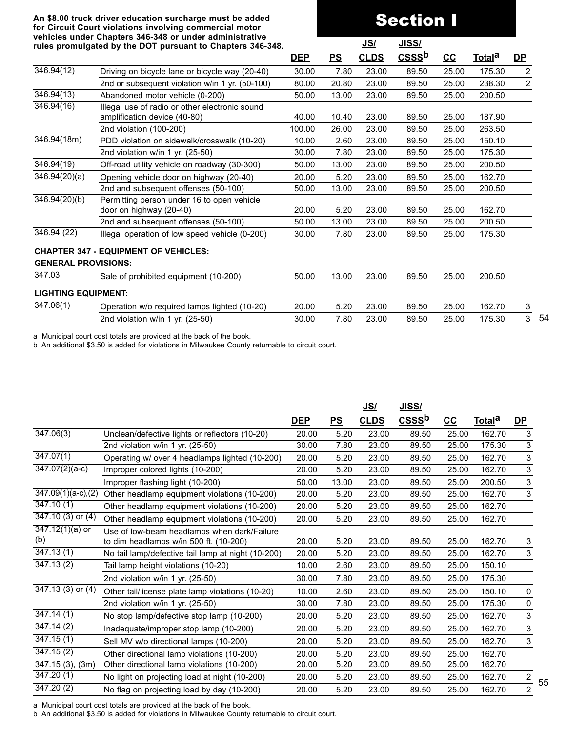# Section I

54

55

| rules promulgated by the DOT pursuant to Chapters 346-348. |                                                 |            |       | <u>JS/</u>  | <u>JISS/</u> |       |                    |                |
|------------------------------------------------------------|-------------------------------------------------|------------|-------|-------------|--------------|-------|--------------------|----------------|
|                                                            |                                                 | <b>DEP</b> | PS    | <b>CLDS</b> | $CSS b$      | $CC$  | Total <sup>a</sup> | $DP$           |
| 346.94(12)                                                 | Driving on bicycle lane or bicycle way (20-40)  | 30.00      | 7.80  | 23.00       | 89.50        | 25.00 | 175.30             | 2              |
|                                                            | 2nd or subsequent violation w/in 1 yr. (50-100) | 80.00      | 20.80 | 23.00       | 89.50        | 25.00 | 238.30             | 2              |
| 346.94(13)                                                 | Abandoned motor vehicle (0-200)                 | 50.00      | 13.00 | 23.00       | 89.50        | 25.00 | 200.50             |                |
| 346.94(16)                                                 | Illegal use of radio or other electronic sound  |            |       |             |              |       |                    |                |
|                                                            | amplification device (40-80)                    | 40.00      | 10.40 | 23.00       | 89.50        | 25.00 | 187.90             |                |
|                                                            | 2nd violation (100-200)                         | 100.00     | 26.00 | 23.00       | 89.50        | 25.00 | 263.50             |                |
| 346.94(18m)                                                | PDD violation on sidewalk/crosswalk (10-20)     | 10.00      | 2.60  | 23.00       | 89.50        | 25.00 | 150.10             |                |
|                                                            | 2nd violation w/in 1 yr. (25-50)                | 30.00      | 7.80  | 23.00       | 89.50        | 25.00 | 175.30             |                |
| 346.94(19)                                                 | Off-road utility vehicle on roadway (30-300)    | 50.00      | 13.00 | 23.00       | 89.50        | 25.00 | 200.50             |                |
| 346.94(20)(a)                                              | Opening vehicle door on highway (20-40)         | 20.00      | 5.20  | 23.00       | 89.50        | 25.00 | 162.70             |                |
|                                                            | 2nd and subsequent offenses (50-100)            | 50.00      | 13.00 | 23.00       | 89.50        | 25.00 | 200.50             |                |
| 346.94(20)(b)                                              | Permitting person under 16 to open vehicle      |            |       |             |              |       |                    |                |
|                                                            | door on highway (20-40)                         | 20.00      | 5.20  | 23.00       | 89.50        | 25.00 | 162.70             |                |
|                                                            | 2nd and subsequent offenses (50-100)            | 50.00      | 13.00 | 23.00       | 89.50        | 25.00 | 200.50             |                |
| 346.94(22)                                                 | Illegal operation of low speed vehicle (0-200)  | 30.00      | 7.80  | 23.00       | 89.50        | 25.00 | 175.30             |                |
|                                                            | <b>CHAPTER 347 - EQUIPMENT OF VEHICLES:</b>     |            |       |             |              |       |                    |                |
| <b>GENERAL PROVISIONS:</b>                                 |                                                 |            |       |             |              |       |                    |                |
| 347.03                                                     | Sale of prohibited equipment (10-200)           | 50.00      | 13.00 | 23.00       | 89.50        | 25.00 | 200.50             |                |
| <b>LIGHTING EQUIPMENT:</b>                                 |                                                 |            |       |             |              |       |                    |                |
| 347.06(1)                                                  | Operation w/o required lamps lighted (10-20)    | 20.00      | 5.20  | 23.00       | 89.50        | 25.00 | 162.70             | 3              |
|                                                            | 2nd violation w/in 1 yr. (25-50)                | 30.00      | 7.80  | 23.00       | 89.50        | 25.00 | 175.30             | $\overline{3}$ |

a Municipal court cost totals are provided at the back of the book.

b An additional \$3.50 is added for violations in Milwaukee County returnable to circuit court.

|                                 |                                                                                       |            |       | <u>JS/</u>  | <u>JISS/</u>      |       |                    |                |
|---------------------------------|---------------------------------------------------------------------------------------|------------|-------|-------------|-------------------|-------|--------------------|----------------|
|                                 |                                                                                       | <u>DEP</u> | PS    | <b>CLDS</b> | CSSS <sup>b</sup> | $cc$  | Total <sup>a</sup> | $\mathbf{D}$   |
| $\overline{347.06}(3)$          | Unclean/defective lights or reflectors (10-20)                                        | 20.00      | 5.20  | 23.00       | 89.50             | 25.00 | 162.70             | $\overline{3}$ |
|                                 | 2nd violation w/in 1 yr. (25-50)                                                      | 30.00      | 7.80  | 23.00       | 89.50             | 25.00 | 175.30             | $\mathfrak{S}$ |
| $\overline{347.07}(1)$          | Operating w/ over 4 headlamps lighted (10-200)                                        | 20.00      | 5.20  | 23.00       | 89.50             | 25.00 | 162.70             | 3              |
| 347.07(2)(a-c)                  | Improper colored lights (10-200)                                                      | 20.00      | 5.20  | 23.00       | 89.50             | 25.00 | 162.70             | 3              |
|                                 | Improper flashing light (10-200)                                                      | 50.00      | 13.00 | 23.00       | 89.50             | 25.00 | 200.50             | 3              |
| $347.09(1)(a-c),(2)$            | Other headlamp equipment violations (10-200)                                          | 20.00      | 5.20  | 23.00       | 89.50             | 25.00 | 162.70             | $\sqrt{3}$     |
| 347.10(1)                       | Other headlamp equipment violations (10-200)                                          | 20.00      | 5.20  | 23.00       | 89.50             | 25.00 | 162.70             |                |
| 347.10 (3) or (4)               | Other headlamp equipment violations (10-200)                                          | 20.00      | 5.20  | 23.00       | 89.50             | 25.00 | 162.70             |                |
| $\sqrt{347.12(1)(a)}$ or<br>(b) | Use of low-beam headlamps when dark/Failure<br>to dim headlamps w/in 500 ft. (10-200) | 20.00      | 5.20  | 23.00       | 89.50             | 25.00 | 162.70             | 3              |
| $\overline{347.13}$ (1)         | No tail lamp/defective tail lamp at night (10-200)                                    | 20.00      | 5.20  | 23.00       | 89.50             | 25.00 | 162.70             | 3              |
| 347.13(2)                       | Tail lamp height violations (10-20)                                                   | 10.00      | 2.60  | 23.00       | 89.50             | 25.00 | 150.10             |                |
|                                 | 2nd violation w/in 1 yr. (25-50)                                                      | 30.00      | 7.80  | 23.00       | 89.50             | 25.00 | 175.30             |                |
| $347.13(3)$ or $(4)$            | Other tail/license plate lamp violations (10-20)                                      | 10.00      | 2.60  | 23.00       | 89.50             | 25.00 | 150.10             | $\pmb{0}$      |
|                                 | 2nd violation w/in 1 yr. (25-50)                                                      | 30.00      | 7.80  | 23.00       | 89.50             | 25.00 | 175.30             | 0              |
| 347.14(1)                       | No stop lamp/defective stop lamp (10-200)                                             | 20.00      | 5.20  | 23.00       | 89.50             | 25.00 | 162.70             | 3              |
| 347.14(2)                       | Inadequate/improper stop lamp (10-200)                                                | 20.00      | 5.20  | 23.00       | 89.50             | 25.00 | 162.70             | 3              |
| 347.15(1)                       | Sell MV w/o directional lamps (10-200)                                                | 20.00      | 5.20  | 23.00       | 89.50             | 25.00 | 162.70             | 3              |
| 347.15(2)                       | Other directional lamp violations (10-200)                                            | 20.00      | 5.20  | 23.00       | 89.50             | 25.00 | 162.70             |                |
| $\overline{347}$ .15 (3), (3m)  | Other directional lamp violations (10-200)                                            | 20.00      | 5.20  | 23.00       | 89.50             | 25.00 | 162.70             |                |
| 347.20(1)                       | No light on projecting load at night (10-200)                                         | 20.00      | 5.20  | 23.00       | 89.50             | 25.00 | 162.70             | $\overline{c}$ |
| $\overline{347.20}$ (2)         | No flag on projecting load by day (10-200)                                            | 20.00      | 5.20  | 23.00       | 89.50             | 25.00 | 162.70             | $\overline{2}$ |
|                                 |                                                                                       |            |       |             |                   |       |                    |                |

a Municipal court cost totals are provided at the back of the book.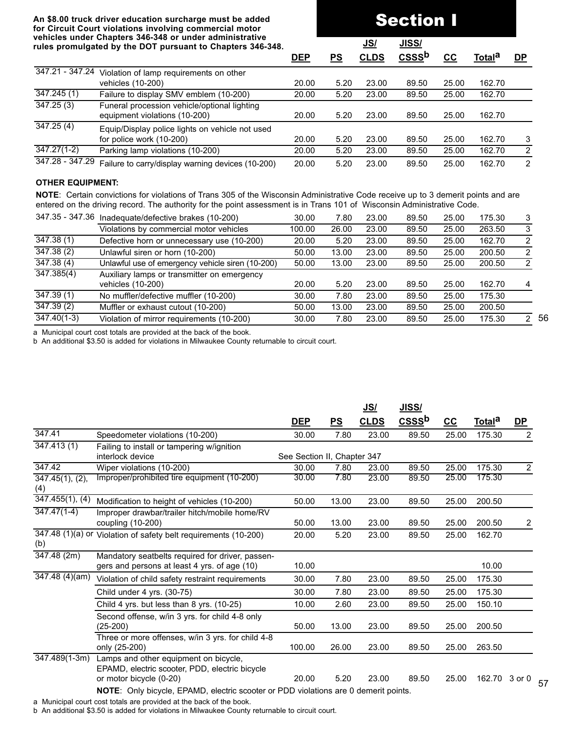# Section I

56

57

|                          | rules promulgated by the DOT pursuant to Chapters 346-348.                    |            |           | <u>JS/</u>  | <u>JISS/</u>      |       |               |               |
|--------------------------|-------------------------------------------------------------------------------|------------|-----------|-------------|-------------------|-------|---------------|---------------|
|                          |                                                                               | <b>DEP</b> | <u>PS</u> | <b>CLDS</b> | CSSS <sup>b</sup> | $cc$  | <u>Totala</u> | <u>DP</u>     |
| 347.21 - 347.24          | Violation of lamp requirements on other<br>vehicles (10-200)                  | 20.00      | 5.20      | 23.00       | 89.50             | 25.00 | 162.70        |               |
| $\overline{347.245}$ (1) | Failure to display SMV emblem (10-200)                                        | 20.00      | 5.20      | 23.00       | 89.50             | 25.00 | 162.70        |               |
| 347.25(3)                | Funeral procession vehicle/optional lighting<br>equipment violations (10-200) | 20.00      | 5.20      | 23.00       | 89.50             | 25.00 | 162.70        |               |
| 347.25(4)                | Equip/Display police lights on vehicle not used<br>for police work (10-200)   | 20.00      | 5.20      | 23.00       | 89.50             | 25.00 | 162.70        | 3             |
| $347.27(1-2)$            | Parking lamp violations (10-200)                                              | 20.00      | 5.20      | 23.00       | 89.50             | 25.00 | 162.70        | $\mathcal{P}$ |
| 347.28 - 347.29          | Failure to carry/display warning devices (10-200)                             | 20.00      | 5.20      | 23.00       | 89.50             | 25.00 | 162.70        | $\mathcal{P}$ |

#### **OTHER EQUIPMENT:**

**NOTE**: Certain convictions for violations of Trans 305 of the Wisconsin Administrative Code receive up to 3 demerit points and are entered on the driving record. The authority for the point assessment is in Trans 101 of Wisconsin Administrative Code.

| 347.35 - 347.36         | Inadequate/defective brakes (10-200)             | 30.00  | 7.80  | 23.00 | 89.50 | 25.00 | 175.30 | 3             |
|-------------------------|--------------------------------------------------|--------|-------|-------|-------|-------|--------|---------------|
|                         | Violations by commercial motor vehicles          | 100.00 | 26.00 | 23.00 | 89.50 | 25.00 | 263.50 | 3             |
| $\overline{347.38}$ (1) | Defective horn or unnecessary use (10-200)       | 20.00  | 5.20  | 23.00 | 89.50 | 25.00 | 162.70 | 2             |
| 347.38(2)               | Unlawful siren or horn (10-200)                  | 50.00  | 13.00 | 23.00 | 89.50 | 25.00 | 200.50 | $\mathcal{P}$ |
| 347.38(4)               | Unlawful use of emergency vehicle siren (10-200) | 50.00  | 13.00 | 23.00 | 89.50 | 25.00 | 200.50 | $\mathcal{P}$ |
| 347.385(4)              | Auxiliary lamps or transmitter on emergency      |        |       |       |       |       |        |               |
|                         | vehicles (10-200)                                | 20.00  | 5.20  | 23.00 | 89.50 | 25.00 | 162.70 | 4             |
| 347.39(1)               | No muffler/defective muffler (10-200)            | 30.00  | 7.80  | 23.00 | 89.50 | 25.00 | 175.30 |               |
| 347.39(2)               | Muffler or exhaust cutout (10-200)               | 50.00  | 13.00 | 23.00 | 89.50 | 25.00 | 200.50 |               |
| $347.40(1-3)$           | Violation of mirror requirements (10-200)        | 30.00  | 7.80  | 23.00 | 89.50 | 25.00 | 175.30 | $\mathcal{P}$ |

a Municipal court cost totals are provided at the back of the book.

b An additional \$3.50 is added for violations in Milwaukee County returnable to circuit court.

|                          |                                                                                                                    |                             |           | <u>JS/</u>  | JISS/             |       |                    |                |
|--------------------------|--------------------------------------------------------------------------------------------------------------------|-----------------------------|-----------|-------------|-------------------|-------|--------------------|----------------|
|                          |                                                                                                                    | <u>DEP</u>                  | <u>PS</u> | <b>CLDS</b> | CSSS <sup>b</sup> | $c$   | Total <sup>a</sup> | <u>DP</u>      |
| 347.41                   | Speedometer violations (10-200)                                                                                    | 30.00                       | 7.80      | 23.00       | 89.50             | 25.00 | 175.30             | $\overline{2}$ |
| $\overline{347.413(1)}$  | Failing to install or tampering w/ignition                                                                         |                             |           |             |                   |       |                    |                |
|                          | interlock device                                                                                                   | See Section II, Chapter 347 |           |             |                   |       |                    |                |
| 347.42                   | Wiper violations (10-200)                                                                                          | 30.00                       | 7.80      | 23.00       | 89.50             | 25.00 | 175.30             | $\overline{2}$ |
| 347.45(1), (2),<br>(4)   | Improper/prohibited tire equipment (10-200)                                                                        | 30.00                       | 7.80      | 23.00       | 89.50             | 25.00 | 175.30             |                |
| 347.455(1), (4)          | Modification to height of vehicles (10-200)                                                                        | 50.00                       | 13.00     | 23.00       | 89.50             | 25.00 | 200.50             |                |
| $\overline{347.47(1-4)}$ | Improper drawbar/trailer hitch/mobile home/RV<br>coupling (10-200)                                                 | 50.00                       | 13.00     | 23.00       | 89.50             | 25.00 | 200.50             | $\overline{c}$ |
| (b)                      | 347.48 (1)(a) or Violation of safety belt requirements (10-200)                                                    | 20.00                       | 5.20      | 23.00       | 89.50             | 25.00 | 162.70             |                |
| 347.48(2m)               | Mandatory seatbelts required for driver, passen-<br>gers and persons at least 4 yrs. of age (10)                   | 10.00                       |           |             |                   |       | 10.00              |                |
| 347.48 (4)(am)           | Violation of child safety restraint requirements                                                                   | 30.00                       | 7.80      | 23.00       | 89.50             | 25.00 | 175.30             |                |
|                          | Child under 4 yrs. (30-75)                                                                                         | 30.00                       | 7.80      | 23.00       | 89.50             | 25.00 | 175.30             |                |
|                          | Child 4 yrs. but less than 8 yrs. (10-25)                                                                          | 10.00                       | 2.60      | 23.00       | 89.50             | 25.00 | 150.10             |                |
|                          | Second offense, w/in 3 yrs. for child 4-8 only<br>$(25-200)$                                                       | 50.00                       | 13.00     | 23.00       | 89.50             | 25.00 | 200.50             |                |
|                          | Three or more offenses, w/in 3 yrs. for child 4-8<br>only (25-200)                                                 | 100.00                      | 26.00     | 23.00       | 89.50             | 25.00 | 263.50             |                |
| $347.489(1-3m)$          | Lamps and other equipment on bicycle,<br>EPAMD, electric scooter, PDD, electric bicycle<br>or motor bicycle (0-20) | 20.00                       | 5.20      | 23.00       | 89.50             | 25.00 | 162.70             | 3 or 0         |
|                          | NOTE: Only bicycle, EPAMD, electric scooter or PDD violations are 0 demerit points.                                |                             |           |             |                   |       |                    |                |

a Municipal court cost totals are provided at the back of the book.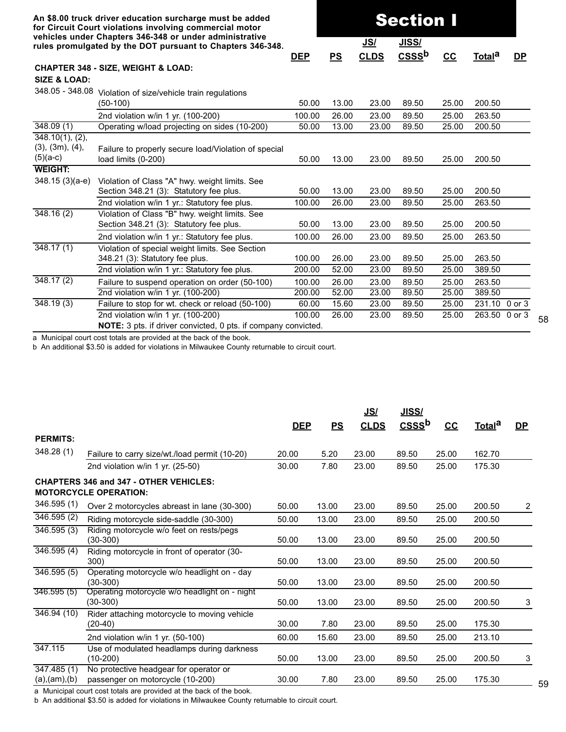|                                                              | An \$8.00 truck driver education surcharge must be added<br>for Circuit Court violations involving commercial motor<br>vehicles under Chapters 346-348 or under administrative<br>rules promulgated by the DOT pursuant to Chapters 346-348. |            | <b>Section I</b><br>JISS/<br><u>JS/</u> |             |                   |       |                    |           |
|--------------------------------------------------------------|----------------------------------------------------------------------------------------------------------------------------------------------------------------------------------------------------------------------------------------------|------------|-----------------------------------------|-------------|-------------------|-------|--------------------|-----------|
|                                                              |                                                                                                                                                                                                                                              | <b>DEP</b> | PS                                      | <b>CLDS</b> | CSSS <sup>b</sup> | $cc$  | Total <sup>a</sup> | <u>DP</u> |
| <b>SIZE &amp; LOAD:</b>                                      | <b>CHAPTER 348 - SIZE, WEIGHT &amp; LOAD:</b>                                                                                                                                                                                                |            |                                         |             |                   |       |                    |           |
| 348.05 - 348.08                                              | Violation of size/vehicle train regulations<br>$(50-100)$                                                                                                                                                                                    | 50.00      | 13.00                                   | 23.00       | 89.50             | 25.00 | 200.50             |           |
|                                                              | 2nd violation w/in 1 yr. (100-200)                                                                                                                                                                                                           | 100.00     | 26.00                                   | 23.00       | 89.50             | 25.00 | 263.50             |           |
| 348.09(1)                                                    | Operating w/load projecting on sides (10-200)                                                                                                                                                                                                | 50.00      | 13.00                                   | 23.00       | 89.50             | 25.00 | 200.50             |           |
| $348.10(1)$ , (2),<br>$(3)$ , $(3m)$ , $(4)$ ,<br>$(5)(a-c)$ | Failure to properly secure load/Violation of special<br>load limits (0-200)                                                                                                                                                                  | 50.00      | 13.00                                   | 23.00       | 89.50             | 25.00 | 200.50             |           |
| <b>WEIGHT:</b>                                               |                                                                                                                                                                                                                                              |            |                                         |             |                   |       |                    |           |
| 348.15 (3)(a-e)                                              | Violation of Class "A" hwy. weight limits. See<br>Section 348.21 (3): Statutory fee plus.                                                                                                                                                    | 50.00      | 13.00                                   | 23.00       | 89.50             | 25.00 | 200.50             |           |
|                                                              | 2nd violation w/in 1 yr.: Statutory fee plus.                                                                                                                                                                                                | 100.00     | 26.00                                   | 23.00       | 89.50             | 25.00 | 263.50             |           |
| 348.16(2)                                                    | Violation of Class "B" hwy. weight limits. See<br>Section 348.21 (3): Statutory fee plus.                                                                                                                                                    | 50.00      | 13.00                                   | 23.00       | 89.50             | 25.00 | 200.50             |           |
|                                                              | 2nd violation w/in 1 yr.: Statutory fee plus.                                                                                                                                                                                                | 100.00     | 26.00                                   | 23.00       | 89.50             | 25.00 | 263.50             |           |
| 348.17(1)                                                    | Violation of special weight limits. See Section<br>348.21 (3): Statutory fee plus.                                                                                                                                                           | 100.00     | 26.00                                   | 23.00       | 89.50             | 25.00 | 263.50             |           |
|                                                              | 2nd violation w/in 1 yr.: Statutory fee plus.                                                                                                                                                                                                | 200.00     | 52.00                                   | 23.00       | 89.50             | 25.00 | 389.50             |           |
| 348.17(2)                                                    | Failure to suspend operation on order (50-100)                                                                                                                                                                                               | 100.00     | 26.00                                   | 23.00       | 89.50             | 25.00 | 263.50             |           |
|                                                              | 2nd violation w/in 1 yr. (100-200)                                                                                                                                                                                                           | 200.00     | 52.00                                   | 23.00       | 89.50             | 25.00 | 389.50             |           |
| 348.19(3)                                                    | Failure to stop for wt. check or reload (50-100)                                                                                                                                                                                             | 60.00      | 15.60                                   | 23.00       | 89.50             | 25.00 | 231.10 0 or 3      |           |
|                                                              | 2nd violation w/in 1 yr. (100-200)                                                                                                                                                                                                           | 100.00     | 26.00                                   | 23.00       | 89.50             | 25.00 | 263.50 0 or 3      |           |
|                                                              | NOTE: 3 pts. if driver convicted, 0 pts. if company convicted.                                                                                                                                                                               |            |                                         |             |                   |       |                    |           |

58

a Municipal court cost totals are provided at the back of the book.

b An additional \$3.50 is added for violations in Milwaukee County returnable to circuit court.

|                                           |                                                                               | <b>DEP</b> | PS    | <u>JS/</u><br><b>CLDS</b> | JISS/<br>CSSS <sup>b</sup> | $cc$  | Total <sup>a</sup> | DP |
|-------------------------------------------|-------------------------------------------------------------------------------|------------|-------|---------------------------|----------------------------|-------|--------------------|----|
| <b>PERMITS:</b>                           |                                                                               |            |       |                           |                            |       |                    |    |
| 348.28 (1)                                | Failure to carry size/wt./load permit (10-20)                                 | 20.00      | 5.20  | 23.00                     | 89.50                      | 25.00 | 162.70             |    |
|                                           | 2nd violation w/in 1 yr. (25-50)                                              | 30.00      | 7.80  | 23.00                     | 89.50                      | 25.00 | 175.30             |    |
|                                           | <b>CHAPTERS 346 and 347 - OTHER VEHICLES:</b><br><b>MOTORCYCLE OPERATION:</b> |            |       |                           |                            |       |                    |    |
| 346.595(1)                                | Over 2 motorcycles abreast in lane (30-300)                                   | 50.00      | 13.00 | 23.00                     | 89.50                      | 25.00 | 200.50             | 2  |
| 346.595(2)                                | Riding motorcycle side-saddle (30-300)                                        | 50.00      | 13.00 | 23.00                     | 89.50                      | 25.00 | 200.50             |    |
| 346.595 (3)                               | Riding motorcycle w/o feet on rests/pegs<br>$(30-300)$                        | 50.00      | 13.00 | 23.00                     | 89.50                      | 25.00 | 200.50             |    |
| $\overline{346.595}$ (4)                  | Riding motorcycle in front of operator (30-<br>300)                           | 50.00      | 13.00 | 23.00                     | 89.50                      | 25.00 | 200.50             |    |
| 346.595(5)                                | Operating motorcycle w/o headlight on - day<br>$(30-300)$                     | 50.00      | 13.00 | 23.00                     | 89.50                      | 25.00 | 200.50             |    |
| 346.595(5)                                | Operating motorcycle w/o headlight on - night<br>$(30-300)$                   | 50.00      | 13.00 | 23.00                     | 89.50                      | 25.00 | 200.50             | 3  |
| 346.94(10)                                | Rider attaching motorcycle to moving vehicle<br>$(20-40)$                     | 30.00      | 7.80  | 23.00                     | 89.50                      | 25.00 | 175.30             |    |
|                                           | 2nd violation w/in 1 yr. (50-100)                                             | 60.00      | 15.60 | 23.00                     | 89.50                      | 25.00 | 213.10             |    |
| 347.115                                   | Use of modulated headlamps during darkness<br>$(10-200)$                      | 50.00      | 13.00 | 23.00                     | 89.50                      | 25.00 | 200.50             | 3  |
| $\overline{347.485(1)}$<br>(a), (am), (b) | No protective headgear for operator or<br>passenger on motorcycle (10-200)    | 30.00      | 7.80  | 23.00                     | 89.50                      | 25.00 | 175.30             |    |

a Municipal court cost totals are provided at the back of the book.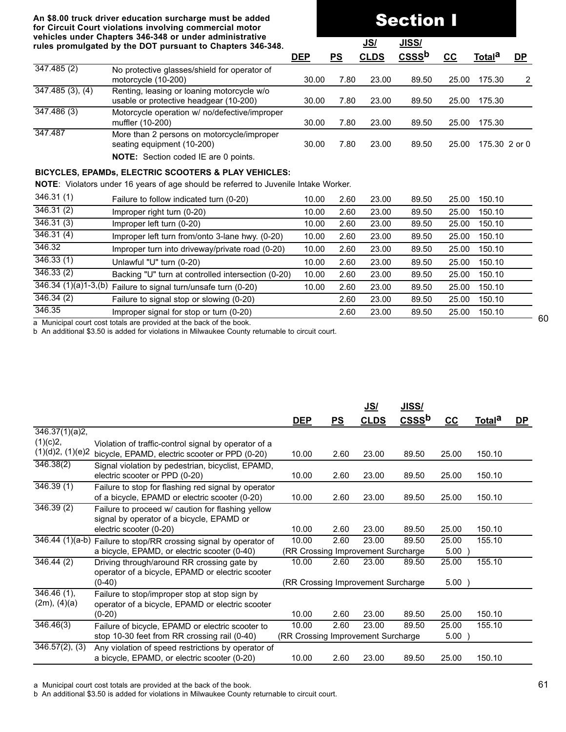#### **An \$8.00 truck driver education surcharge must be added for Circuit Court violations involving commercial motor vehicles under Chapters 346-348 or under administrative rules promulgated by the DOT pursuant to Chapters 346-348.**

# Section I

|                      | venicles under Ghapters 340-346 or under administrative<br>rules promulgated by the DOT pursuant to Chapters 346-348. |            |      | <u>JS/</u>  | <u>JISS/</u> |       |                    |           |
|----------------------|-----------------------------------------------------------------------------------------------------------------------|------------|------|-------------|--------------|-------|--------------------|-----------|
|                      |                                                                                                                       | <b>DEP</b> | PS   | <b>CLDS</b> | <b>CSSSb</b> | cc    | Total <sup>a</sup> | <b>DP</b> |
| $\sqrt{347.485}$ (2) | No protective glasses/shield for operator of<br>motorcycle (10-200)                                                   | 30.00      | 7.80 | 23.00       | 89.50        | 25.00 | 175.30             | 2         |
| 347.485(3), (4)      | Renting, leasing or loaning motorcycle w/o<br>usable or protective headgear (10-200)                                  | 30.00      | 7.80 | 23.00       | 89.50        | 25.00 | 175.30             |           |
| 347.486 (3)          | Motorcycle operation w/ no/defective/improper<br>muffler (10-200)                                                     | 30.00      | 7.80 | 23.00       | 89.50        | 25.00 | 175.30             |           |
| 347.487              | More than 2 persons on motorcycle/improper<br>seating equipment (10-200)                                              | 30.00      | 7.80 | 23.00       | 89.50        | 25.00 | 175.30 2 or 0      |           |
|                      | <b>NOTE:</b> Section coded IE are 0 points.                                                                           |            |      |             |              |       |                    |           |

#### **BICYCLES, EPAMDs, ELECTRIC SCOOTERS & PLAY VEHICLES:**

**NOTE**: Violators under 16 years of age should be referred to Juvenile Intake Worker.

| 346.31(1) | Failure to follow indicated turn (0-20)                           | 10.00 | 2.60 | 23.00 | 89.50 | 25.00 | 150.10 |
|-----------|-------------------------------------------------------------------|-------|------|-------|-------|-------|--------|
| 346.31(2) | Improper right turn (0-20)                                        | 10.00 | 2.60 | 23.00 | 89.50 | 25.00 | 150.10 |
| 346.31(3) | Improper left turn (0-20)                                         | 10.00 | 2.60 | 23.00 | 89.50 | 25.00 | 150.10 |
| 346.31(4) | Improper left turn from/onto 3-lane hwy. (0-20)                   | 10.00 | 2.60 | 23.00 | 89.50 | 25.00 | 150.10 |
| 346.32    | Improper turn into driveway/private road (0-20)                   | 10.00 | 2.60 | 23.00 | 89.50 | 25.00 | 150.10 |
| 346.33(1) | Unlawful "U" turn (0-20)                                          | 10.00 | 2.60 | 23.00 | 89.50 | 25.00 | 150.10 |
| 346.33(2) | Backing "U" turn at controlled intersection (0-20)                | 10.00 | 2.60 | 23.00 | 89.50 | 25.00 | 150.10 |
|           | $346.34 (1)(a)1-3, (b)$ Failure to signal turn/unsafe turn (0-20) | 10.00 | 2.60 | 23.00 | 89.50 | 25.00 | 150.10 |
| 346.34(2) | Failure to signal stop or slowing (0-20)                          |       | 2.60 | 23.00 | 89.50 | 25.00 | 150.10 |
| 346.35    | Improper signal for stop or turn (0-20)                           |       | 2.60 | 23.00 | 89.50 | 25.00 | 150.10 |

a Municipal court cost totals are provided at the back of the book.

b An additional \$3.50 is added for violations in Milwaukee County returnable to circuit court.

|                               |                                                                                                                           |                                    |      | <u>JS/</u>  | <u>JISS/</u>      |       |                    |           |
|-------------------------------|---------------------------------------------------------------------------------------------------------------------------|------------------------------------|------|-------------|-------------------|-------|--------------------|-----------|
|                               |                                                                                                                           | <b>DEP</b>                         | PS   | <b>CLDS</b> | CSSS <sup>b</sup> | $cc$  | Total <sup>a</sup> | <u>DP</u> |
| 346.37(1)(a)2,                |                                                                                                                           |                                    |      |             |                   |       |                    |           |
| (1)(c)2,<br>(1)(d)2, (1)(e)2  | Violation of traffic-control signal by operator of a<br>bicycle, EPAMD, electric scooter or PPD (0-20)                    | 10.00                              | 2.60 | 23.00       | 89.50             | 25.00 | 150.10             |           |
| 346.38(2)                     | Signal violation by pedestrian, bicyclist, EPAMD,<br>electric scooter or PPD (0-20)                                       | 10.00                              | 2.60 | 23.00       | 89.50             | 25.00 | 150.10             |           |
| 346.39(1)                     | Failure to stop for flashing red signal by operator<br>of a bicycle, EPAMD or electric scooter (0-20)                     | 10.00                              | 2.60 | 23.00       | 89.50             | 25.00 | 150.10             |           |
| 346.39(2)                     | Failure to proceed w/ caution for flashing yellow<br>signal by operator of a bicycle, EPAMD or<br>electric scooter (0-20) | 10.00                              | 2.60 | 23.00       | 89.50             | 25.00 | 150.10             |           |
|                               | 346.44 (1)(a-b) Failure to stop/RR crossing signal by operator of                                                         | 10.00                              | 2.60 | 23.00       | 89.50             | 25.00 | 155.10             |           |
|                               | a bicycle, EPAMD, or electric scooter (0-40)                                                                              | (RR Crossing Improvement Surcharge |      |             |                   | 5.00  |                    |           |
| 346.44(2)                     | Driving through/around RR crossing gate by<br>operator of a bicycle, EPAMD or electric scooter                            | 10.00                              | 2.60 | 23.00       | 89.50             | 25.00 | 155.10             |           |
|                               | $(0-40)$                                                                                                                  | (RR Crossing Improvement Surcharge |      |             |                   | 5.00  |                    |           |
| $346.46(1)$ ,<br>(2m), (4)(a) | Failure to stop/improper stop at stop sign by<br>operator of a bicycle, EPAMD or electric scooter                         |                                    |      |             |                   |       |                    |           |
|                               | $(0-20)$                                                                                                                  | 10.00                              | 2.60 | 23.00       | 89.50             | 25.00 | 150.10             |           |
| 346.46(3)                     | Failure of bicycle, EPAMD or electric scooter to                                                                          | 10.00                              | 2.60 | 23.00       | 89.50             | 25.00 | 155.10             |           |
|                               | stop 10-30 feet from RR crossing rail (0-40)                                                                              | (RR Crossing Improvement Surcharge |      |             |                   | 5.00  |                    |           |
| $346.57(2)$ , (3)             | Any violation of speed restrictions by operator of<br>a bicycle, EPAMD, or electric scooter (0-20)                        | 10.00                              | 2.60 | 23.00       | 89.50             | 25.00 | 150.10             |           |

a Municipal court cost totals are provided at the back of the book.

b An additional \$3.50 is added for violations in Milwaukee County returnable to circuit court.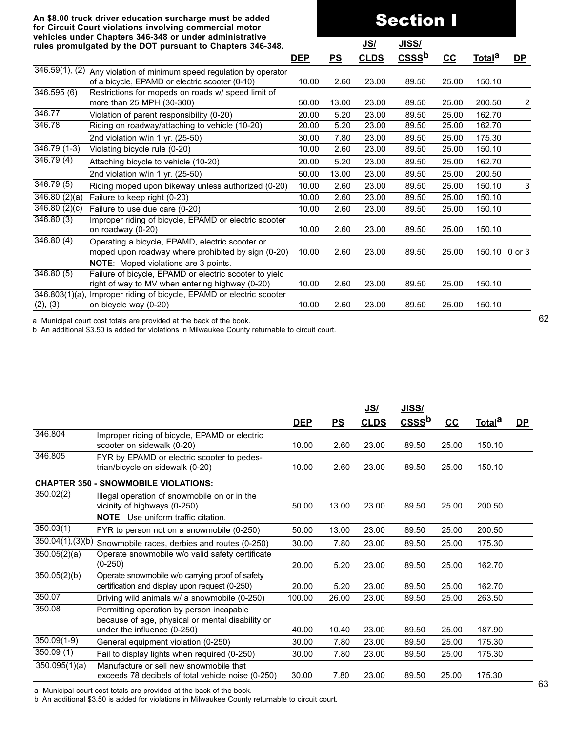|                           | for Circuit Court violations involving commercial motor                                                                                       |            |       |             |              |       |                    |                |
|---------------------------|-----------------------------------------------------------------------------------------------------------------------------------------------|------------|-------|-------------|--------------|-------|--------------------|----------------|
|                           | vehicles under Chapters 346-348 or under administrative<br>rules promulgated by the DOT pursuant to Chapters 346-348.                         |            |       | <u>JS/</u>  | <u>JISS/</u> |       |                    |                |
|                           |                                                                                                                                               | <b>DEP</b> | PS    | <b>CLDS</b> | <b>CSSSb</b> | $cc$  | Total <sup>a</sup> | <u>DP</u>      |
|                           | $346.59(1)$ , (2) Any violation of minimum speed regulation by operator                                                                       |            |       |             |              |       |                    |                |
|                           | of a bicycle, EPAMD or electric scooter (0-10)                                                                                                | 10.00      | 2.60  | 23.00       | 89.50        | 25.00 | 150.10             |                |
| 346.595(6)                | Restrictions for mopeds on roads w/ speed limit of                                                                                            |            |       |             |              |       |                    |                |
|                           | more than 25 MPH (30-300)                                                                                                                     | 50.00      | 13.00 | 23.00       | 89.50        | 25.00 | 200.50             | $\overline{c}$ |
| 346.77                    | Violation of parent responsibility (0-20)                                                                                                     | 20.00      | 5.20  | 23.00       | 89.50        | 25.00 | 162.70             |                |
| 346.78                    | Riding on roadway/attaching to vehicle (10-20)                                                                                                | 20.00      | 5.20  | 23.00       | 89.50        | 25.00 | 162.70             |                |
|                           | 2nd violation w/in 1 yr. (25-50)                                                                                                              | 30.00      | 7.80  | 23.00       | 89.50        | 25.00 | 175.30             |                |
| $346.79(1-3)$             | Violating bicycle rule (0-20)                                                                                                                 | 10.00      | 2.60  | 23.00       | 89.50        | 25.00 | 150.10             |                |
| 346.79(4)                 | Attaching bicycle to vehicle (10-20)                                                                                                          | 20.00      | 5.20  | 23.00       | 89.50        | 25.00 | 162.70             |                |
|                           | 2nd violation w/in 1 yr. (25-50)                                                                                                              | 50.00      | 13.00 | 23.00       | 89.50        | 25.00 | 200.50             |                |
| $\overline{346.79(5)}$    | Riding moped upon bikeway unless authorized (0-20)                                                                                            | 10.00      | 2.60  | 23.00       | 89.50        | 25.00 | 150.10             | $\sqrt{3}$     |
| $\overline{346.80(2)}(a)$ | Failure to keep right (0-20)                                                                                                                  | 10.00      | 2.60  | 23.00       | 89.50        | 25.00 | 150.10             |                |
| $346.80(2)$ (c)           | Failure to use due care (0-20)                                                                                                                | 10.00      | 2.60  | 23.00       | 89.50        | 25.00 | 150.10             |                |
| 346.80(3)                 | Improper riding of bicycle, EPAMD or electric scooter<br>on roadway (0-20)                                                                    | 10.00      | 2.60  | 23.00       | 89.50        | 25.00 | 150.10             |                |
| $\overline{346.80}$ (4)   | Operating a bicycle, EPAMD, electric scooter or<br>moped upon roadway where prohibited by sign (0-20)<br>NOTE: Moped violations are 3 points. | 10.00      | 2.60  | 23.00       | 89.50        | 25.00 | 150.10 0 or 3      |                |
| 346.80(5)                 | Failure of bicycle, EPAMD or electric scooter to yield<br>right of way to MV when entering highway (0-20)                                     | 10.00      | 2.60  | 23.00       | 89.50        | 25.00 | 150.10             |                |
| (2), (3)                  | 346.803(1)(a), Improper riding of bicycle, EPAMD or electric scooter<br>on bicycle way (0-20)                                                 | 10.00      | 2.60  | 23.00       | 89.50        | 25.00 | 150.10             |                |
|                           |                                                                                                                                               |            |       |             |              |       |                    |                |

Section I

a Municipal court cost totals are provided at the back of the book.

b An additional \$3.50 is added for violations in Milwaukee County returnable to circuit court.

|                        |                                                                                                                            |            |       | <u>JS/</u>  | <u>JISS/</u> |       |               |           |
|------------------------|----------------------------------------------------------------------------------------------------------------------------|------------|-------|-------------|--------------|-------|---------------|-----------|
|                        |                                                                                                                            | <b>DEP</b> | PS    | <b>CLDS</b> | $CSS$        | cc    | <u>Totala</u> | <u>DP</u> |
| 346.804                | Improper riding of bicycle, EPAMD or electric<br>scooter on sidewalk (0-20)                                                | 10.00      | 2.60  | 23.00       | 89.50        | 25.00 | 150.10        |           |
| 346.805                | FYR by EPAMD or electric scooter to pedes-<br>trian/bicycle on sidewalk (0-20)                                             | 10.00      | 2.60  | 23.00       | 89.50        | 25.00 | 150.10        |           |
|                        | <b>CHAPTER 350 - SNOWMOBILE VIOLATIONS:</b>                                                                                |            |       |             |              |       |               |           |
| 350.02(2)              | Illegal operation of snowmobile on or in the<br>vicinity of highways (0-250)<br><b>NOTE:</b> Use uniform traffic citation. | 50.00      | 13.00 | 23.00       | 89.50        | 25.00 | 200.50        |           |
| $\overline{350.03}(1)$ | FYR to person not on a snowmobile (0-250)                                                                                  | 50.00      | 13.00 | 23.00       | 89.50        | 25.00 | 200.50        |           |
| $350.04(1)$ , (3)(b)   | Snowmobile races, derbies and routes (0-250)                                                                               | 30.00      | 7.80  | 23.00       | 89.50        | 25.00 | 175.30        |           |
| 350.05(2)(a)           | Operate snowmobile w/o valid safety certificate<br>$(0-250)$                                                               | 20.00      | 5.20  | 23.00       | 89.50        | 25.00 | 162.70        |           |
| 350.05(2)(b)           | Operate snowmobile w/o carrying proof of safety<br>certification and display upon request (0-250)                          | 20.00      | 5.20  | 23.00       | 89.50        | 25.00 | 162.70        |           |
| 350.07                 | Driving wild animals w/ a snowmobile (0-250)                                                                               | 100.00     | 26.00 | 23.00       | 89.50        | 25.00 | 263.50        |           |
| 350.08                 | Permitting operation by person incapable<br>because of age, physical or mental disability or                               |            |       |             |              |       |               |           |
|                        | under the influence (0-250)                                                                                                | 40.00      | 10.40 | 23.00       | 89.50        | 25.00 | 187.90        |           |
| $350.09(1-9)$          | General equipment violation (0-250)                                                                                        | 30.00      | 7.80  | 23.00       | 89.50        | 25.00 | 175.30        |           |
| 350.09(1)              | Fail to display lights when required (0-250)                                                                               | 30.00      | 7.80  | 23.00       | 89.50        | 25.00 | 175.30        |           |
| 350.095(1)(a)          | Manufacture or sell new snowmobile that<br>exceeds 78 decibels of total vehicle noise (0-250)                              | 30.00      | 7.80  | 23.00       | 89.50        | 25.00 | 175.30        |           |

a Municipal court cost totals are provided at the back of the book.

b An additional \$3.50 is added for violations in Milwaukee County returnable to circuit court.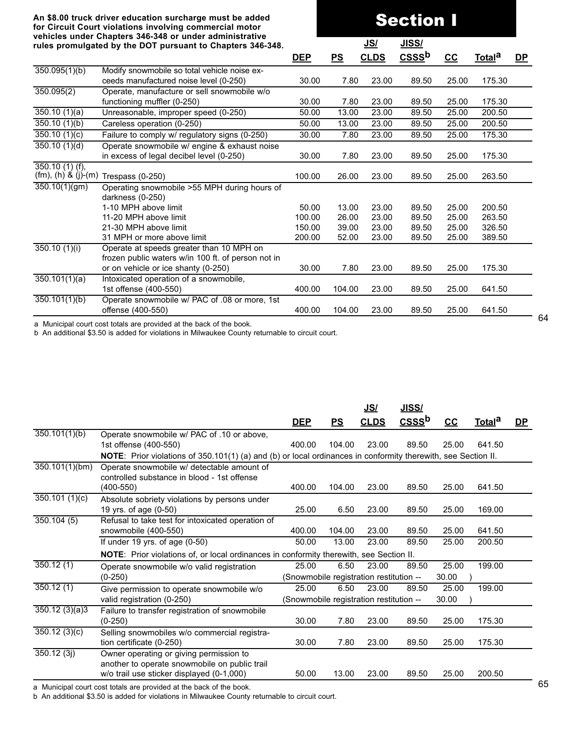# Section I

|                                                | rules promulgated by the DOT pursuant to Chapters 346-348.                                     |            |        | <u>JS/</u>  | <u>JISS/</u>      |       |                    |              |
|------------------------------------------------|------------------------------------------------------------------------------------------------|------------|--------|-------------|-------------------|-------|--------------------|--------------|
|                                                |                                                                                                | <b>DEP</b> | PS     | <b>CLDS</b> | CSSS <sup>b</sup> | $CC$  | Total <sup>a</sup> | $\mathbf{D}$ |
| 350.095(1)(b)                                  | Modify snowmobile so total vehicle noise ex-<br>ceeds manufactured noise level (0-250)         | 30.00      | 7.80   | 23.00       | 89.50             | 25.00 | 175.30             |              |
| 350.095(2)                                     | Operate, manufacture or sell snowmobile w/o<br>functioning muffler (0-250)                     | 30.00      | 7.80   | 23.00       | 89.50             | 25.00 | 175.30             |              |
| 350.10(1)(a)                                   | Unreasonable, improper speed (0-250)                                                           | 50.00      | 13.00  | 23.00       | 89.50             | 25.00 | 200.50             |              |
| 350.10(1)(b)                                   | Careless operation (0-250)                                                                     | 50.00      | 13.00  | 23.00       | 89.50             | 25.00 | 200.50             |              |
| 350.10(1)(c)                                   | Failure to comply w/ regulatory signs (0-250)                                                  | 30.00      | 7.80   | 23.00       | 89.50             | 25.00 | 175.30             |              |
| 350.10(1)(d)                                   | Operate snowmobile w/ engine & exhaust noise<br>in excess of legal decibel level (0-250)       | 30.00      | 7.80   | 23.00       | 89.50             | 25.00 | 175.30             |              |
| $350.10(1)$ (f),<br>$(fm)$ , $(h)$ & $(j)-(m)$ | Trespass (0-250)                                                                               | 100.00     | 26.00  | 23.00       | 89.50             | 25.00 | 263.50             |              |
| 350.10(1)(gm)                                  | Operating snowmobile >55 MPH during hours of<br>darkness $(0-250)$                             |            |        |             |                   |       |                    |              |
|                                                | 1-10 MPH above limit                                                                           | 50.00      | 13.00  | 23.00       | 89.50             | 25.00 | 200.50             |              |
|                                                | 11-20 MPH above limit                                                                          | 100.00     | 26.00  | 23.00       | 89.50             | 25.00 | 263.50             |              |
|                                                | 21-30 MPH above limit                                                                          | 150.00     | 39.00  | 23.00       | 89.50             | 25.00 | 326.50             |              |
|                                                | 31 MPH or more above limit                                                                     | 200.00     | 52.00  | 23.00       | 89.50             | 25.00 | 389.50             |              |
| 350.10(1)(i)                                   | Operate at speeds greater than 10 MPH on<br>frozen public waters w/in 100 ft. of person not in |            |        |             |                   |       |                    |              |
|                                                | or on vehicle or ice shanty (0-250)                                                            | 30.00      | 7.80   | 23.00       | 89.50             | 25.00 | 175.30             |              |
| 350.101(1)(a)                                  | Intoxicated operation of a snowmobile,<br>1st offense (400-550)                                | 400.00     | 104.00 | 23.00       | 89.50             | 25.00 | 641.50             |              |
| 350.101(1)(b)                                  | Operate snowmobile w/ PAC of .08 or more, 1st<br>offense (400-550)                             | 400.00     | 104.00 | 23.00       | 89.50             | 25.00 | 641.50             |              |

a Municipal court cost totals are provided at the back of the book.

b An additional \$3.50 is added for violations in Milwaukee County returnable to circuit court.

|                |                                                                                                               |                                         |        | <u>JS/</u>  | <u>JISS/</u>      |       |                    |              |
|----------------|---------------------------------------------------------------------------------------------------------------|-----------------------------------------|--------|-------------|-------------------|-------|--------------------|--------------|
|                |                                                                                                               | <b>DEP</b>                              | PS     | <b>CLDS</b> | CSSS <sup>b</sup> | cc    | Total <sup>a</sup> | $\mathbf{D}$ |
| 350.101(1)(b)  | Operate snowmobile w/ PAC of .10 or above,                                                                    |                                         |        |             |                   |       |                    |              |
|                | 1st offense (400-550)                                                                                         | 400.00                                  | 104.00 | 23.00       | 89.50             | 25.00 | 641.50             |              |
|                | NOTE: Prior violations of 350.101(1) (a) and (b) or local ordinances in conformity therewith, see Section II. |                                         |        |             |                   |       |                    |              |
| 350.101(1)(bm) | Operate snowmobile w/ detectable amount of                                                                    |                                         |        |             |                   |       |                    |              |
|                | controlled substance in blood - 1st offense                                                                   |                                         |        |             |                   |       |                    |              |
|                | $(400 - 550)$                                                                                                 | 400.00                                  | 104.00 | 23.00       | 89.50             | 25.00 | 641.50             |              |
| 350.101(1)(c)  | Absolute sobriety violations by persons under                                                                 |                                         |        |             |                   |       |                    |              |
|                | 19 yrs. of age (0-50)                                                                                         | 25.00                                   | 6.50   | 23.00       | 89.50             | 25.00 | 169.00             |              |
| 350.104(5)     | Refusal to take test for intoxicated operation of                                                             |                                         |        |             |                   |       |                    |              |
|                | snowmobile (400-550)                                                                                          | 400.00                                  | 104.00 | 23.00       | 89.50             | 25.00 | 641.50             |              |
|                | If under 19 yrs. of age (0-50)                                                                                | 50.00                                   | 13.00  | 23.00       | 89.50             | 25.00 | 200.50             |              |
|                | <b>NOTE:</b> Prior violations of, or local ordinances in conformity therewith, see Section II.                |                                         |        |             |                   |       |                    |              |
| 350.12(1)      | Operate snowmobile w/o valid registration                                                                     | 25.00                                   | 6.50   | 23.00       | 89.50             | 25.00 | 199.00             |              |
|                | $(0-250)$                                                                                                     | (Snowmobile registration restitution -- |        |             |                   | 30.00 |                    |              |
| 350.12(1)      | Give permission to operate snowmobile w/o                                                                     | 25.00                                   | 6.50   | 23.00       | 89.50             | 25.00 | 199.00             |              |
|                | valid registration (0-250)                                                                                    | (Snowmobile registration restitution -- |        |             |                   | 30.00 |                    |              |
| 350.12(3)(a)3  | Failure to transfer registration of snowmobile                                                                |                                         |        |             |                   |       |                    |              |
|                | $(0-250)$                                                                                                     | 30.00                                   | 7.80   | 23.00       | 89.50             | 25.00 | 175.30             |              |
| 350.12(3)(c)   | Selling snowmobiles w/o commercial registra-                                                                  |                                         |        |             |                   |       |                    |              |
|                | tion certificate (0-250)                                                                                      | 30.00                                   | 7.80   | 23.00       | 89.50             | 25.00 | 175.30             |              |
| 350.12(3j)     | Owner operating or giving permission to                                                                       |                                         |        |             |                   |       |                    |              |
|                | another to operate snowmobile on public trail                                                                 |                                         |        |             |                   |       |                    |              |
|                | w/o trail use sticker displayed (0-1,000)                                                                     | 50.00                                   | 13.00  | 23.00       | 89.50             | 25.00 | 200.50             |              |
|                |                                                                                                               |                                         |        |             |                   |       |                    |              |

a Municipal court cost totals are provided at the back of the book.

b An additional \$3.50 is added for violations in Milwaukee County returnable to circuit court.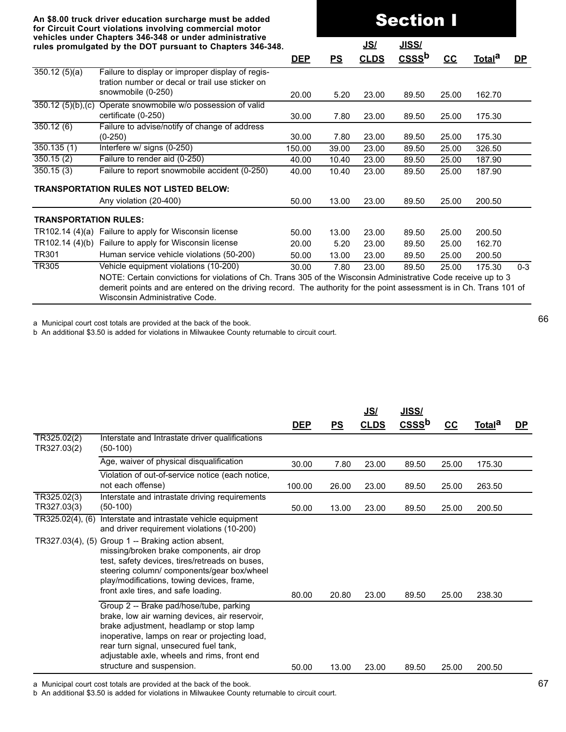|                               | An \$8.00 truck driver education surcharge must be added<br>for Circuit Court violations involving commercial motor                                                                                                                                                     |            | <b>Section I</b> |             |                   |       |                    |           |
|-------------------------------|-------------------------------------------------------------------------------------------------------------------------------------------------------------------------------------------------------------------------------------------------------------------------|------------|------------------|-------------|-------------------|-------|--------------------|-----------|
|                               | vehicles under Chapters 346-348 or under administrative<br>rules promulgated by the DOT pursuant to Chapters 346-348.                                                                                                                                                   |            |                  | <u>JS/</u>  | <u>JISS/</u>      |       |                    |           |
|                               |                                                                                                                                                                                                                                                                         | <b>DEP</b> | PS               | <b>CLDS</b> | CSSS <sup>b</sup> | $cc$  | Total <sup>a</sup> | <u>DP</u> |
| 350.12(5)(a)                  | Failure to display or improper display of regis-<br>tration number or decal or trail use sticker on                                                                                                                                                                     |            |                  |             |                   |       |                    |           |
|                               | snowmobile (0-250)                                                                                                                                                                                                                                                      | 20.00      | 5.20             | 23.00       | 89.50             | 25.00 | 162.70             |           |
| $\overline{350.12(5)(b),(c)}$ | Operate snowmobile w/o possession of valid                                                                                                                                                                                                                              |            |                  |             |                   |       |                    |           |
|                               | certificate (0-250)                                                                                                                                                                                                                                                     | 30.00      | 7.80             | 23.00       | 89.50             | 25.00 | 175.30             |           |
| 350.12(6)                     | Failure to advise/notify of change of address<br>$(0-250)$                                                                                                                                                                                                              | 30.00      | 7.80             | 23.00       | 89.50             | 25.00 | 175.30             |           |
| 350.135(1)                    | Interfere w/ signs (0-250)                                                                                                                                                                                                                                              | 150.00     | 39.00            | 23.00       | 89.50             | 25.00 | 326.50             |           |
| 350.15(2)                     | Failure to render aid (0-250)                                                                                                                                                                                                                                           | 40.00      | 10.40            | 23.00       | 89.50             | 25.00 | 187.90             |           |
| 350.15(3)                     | Failure to report snowmobile accident (0-250)                                                                                                                                                                                                                           | 40.00      | 10.40            | 23.00       | 89.50             | 25.00 | 187.90             |           |
|                               | <b>TRANSPORTATION RULES NOT LISTED BELOW:</b>                                                                                                                                                                                                                           |            |                  |             |                   |       |                    |           |
|                               | Any violation (20-400)                                                                                                                                                                                                                                                  | 50.00      | 13.00            | 23.00       | 89.50             | 25.00 | 200.50             |           |
| <b>TRANSPORTATION RULES:</b>  |                                                                                                                                                                                                                                                                         |            |                  |             |                   |       |                    |           |
|                               | TR102.14 (4)(a) Failure to apply for Wisconsin license                                                                                                                                                                                                                  | 50.00      | 13.00            | 23.00       | 89.50             | 25.00 | 200.50             |           |
|                               | TR102.14 (4)(b) Failure to apply for Wisconsin license                                                                                                                                                                                                                  | 20.00      | 5.20             | 23.00       | 89.50             | 25.00 | 162.70             |           |
| TR301                         | Human service vehicle violations (50-200)                                                                                                                                                                                                                               | 50.00      | 13.00            | 23.00       | 89.50             | 25.00 | 200.50             |           |
| <b>TR305</b>                  | Vehicle equipment violations (10-200)                                                                                                                                                                                                                                   | 30.00      | 7.80             | 23.00       | 89.50             | 25.00 | 175.30             | $0 - 3$   |
|                               | NOTE: Certain convictions for violations of Ch. Trans 305 of the Wisconsin Administrative Code receive up to 3<br>demerit points and are entered on the driving record. The authority for the point assessment is in Ch. Trans 101 of<br>Wisconsin Administrative Code. |            |                  |             |                   |       |                    |           |

b An additional \$3.50 is added for violations in Milwaukee County returnable to circuit court.

|                            |                                                                                                                                                                                                                                                                                                              |            |           | <u>JS/</u>  | <u>JISS/</u>      |       |                    |           |
|----------------------------|--------------------------------------------------------------------------------------------------------------------------------------------------------------------------------------------------------------------------------------------------------------------------------------------------------------|------------|-----------|-------------|-------------------|-------|--------------------|-----------|
|                            |                                                                                                                                                                                                                                                                                                              | <b>DEP</b> | <u>PS</u> | <b>CLDS</b> | CSSS <sup>b</sup> | cc    | Total <sup>a</sup> | <u>DP</u> |
| TR325.02(2)<br>TR327.03(2) | Interstate and Intrastate driver qualifications<br>$(50-100)$                                                                                                                                                                                                                                                |            |           |             |                   |       |                    |           |
|                            | Age, waiver of physical disqualification                                                                                                                                                                                                                                                                     | 30.00      | 7.80      | 23.00       | 89.50             | 25.00 | 175.30             |           |
|                            | Violation of out-of-service notice (each notice,<br>not each offense)                                                                                                                                                                                                                                        | 100.00     | 26.00     | 23.00       | 89.50             | 25.00 | 263.50             |           |
| TR325.02(3)<br>TR327.03(3) | Interstate and intrastate driving requirements<br>$(50-100)$                                                                                                                                                                                                                                                 | 50.00      | 13.00     | 23.00       | 89.50             | 25.00 | 200.50             |           |
| TR325.02(4), (6)           | Interstate and intrastate vehicle equipment<br>and driver requirement violations (10-200)                                                                                                                                                                                                                    |            |           |             |                   |       |                    |           |
|                            | TR327.03(4), (5) Group 1 -- Braking action absent,<br>missing/broken brake components, air drop<br>test, safety devices, tires/retreads on buses,<br>steering column/ components/gear box/wheel<br>play/modifications, towing devices, frame,<br>front axle tires, and safe loading.                         | 80.00      | 20.80     | 23.00       | 89.50             | 25.00 | 238.30             |           |
|                            | Group 2 -- Brake pad/hose/tube, parking<br>brake, low air warning devices, air reservoir,<br>brake adjustment, headlamp or stop lamp<br>inoperative, lamps on rear or projecting load,<br>rear turn signal, unsecured fuel tank,<br>adjustable axle, wheels and rims, front end<br>structure and suspension. | 50.00      | 13.00     | 23.00       | 89.50             | 25.00 | 200.50             |           |

a Municipal court cost totals are provided at the back of the book.

b An additional \$3.50 is added for violations in Milwaukee County returnable to circuit court.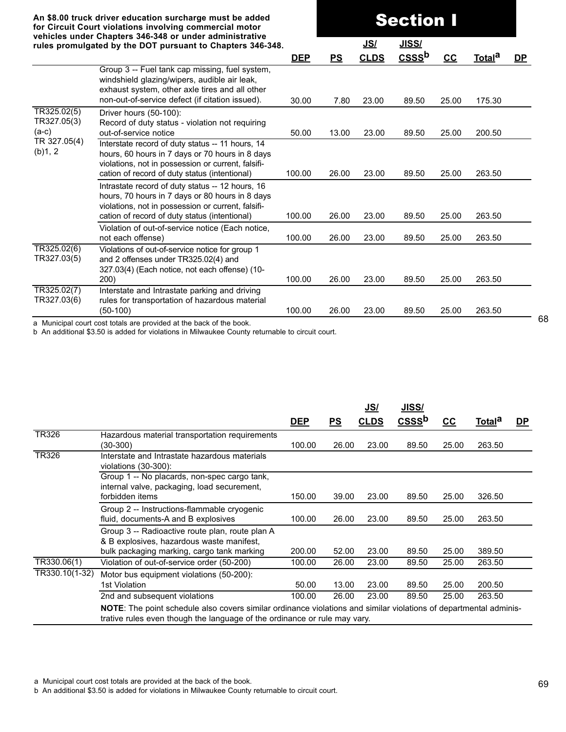**An \$8.00 truck driver education surcharge must be added for Circuit Court violations involving commercial motor vehicles under Chapters 346-348 or under administrative rules promulgated by the DOT pursuant to Chapters 346-348.**

**JS/ JISS/a\_\_\_\_\_\_\_\_\_\_\_aaa DEP PS CLDS CSSSb CC Totala DP\_** Group 3 -- Fuel tank cap missing, fuel system, windshield glazing/wipers, audible air leak, exhaust system, other axle tires and all other non-out-of-service defect (if citation issued). 30.00 7.80 23.00 89.50 25.00 175.30 TR325.02(5) TR327.05(3) (a-c) TR 327.05(4) (b)1, 2 Driver hours (50-100): Record of duty status - violation not requiring out-of-service notice 50.00 13.00 23.00 89.50 25.00 200.50 Interstate record of duty status -- 11 hours, 14 hours, 60 hours in 7 days or 70 hours in 8 days violations, not in possession or current, falsification of record of duty status (intentional) 100.00 26.00 23.00 89.50 25.00 263.50 Intrastate record of duty status -- 12 hours, 16 hours, 70 hours in 7 days or 80 hours in 8 days violations, not in possession or current, falsification of record of duty status (intentional) 100.00 26.00 23.00 89.50 25.00 263.50 Violation of out-of-service notice (Each notice, not each offense) 100.00 26.00 23.00 89.50 25.00 263.50 TR325.02(6) TR327.03(5) Violations of out-of-service notice for group 1 and 2 offenses under TR325.02(4) and 327.03(4) (Each notice, not each offense) (10- 200) 100.00 26.00 23.00 89.50 25.00 263.50 TR325.02(7) TR327.03(6) Interstate and Intrastate parking and driving rules for transportation of hazardous material (50-100) 100.00 26.00 23.00 89.50 25.00 263.50

Section I

a Municipal court cost totals are provided at the back of the book.

b An additional \$3.50 is added for violations in Milwaukee County returnable to circuit court.

|                |                                                                                                                                                                                                       |            |           | <u>JS/</u>  | <u>JISS/</u>      |       |                    |           |
|----------------|-------------------------------------------------------------------------------------------------------------------------------------------------------------------------------------------------------|------------|-----------|-------------|-------------------|-------|--------------------|-----------|
|                |                                                                                                                                                                                                       | <b>DEP</b> | <u>PS</u> | <b>CLDS</b> | CSSS <sup>b</sup> | $cc$  | Total <sup>a</sup> | <u>DP</u> |
| <b>TR326</b>   | Hazardous material transportation requirements<br>(30-300)                                                                                                                                            | 100.00     | 26.00     | 23.00       | 89.50             | 25.00 | 263.50             |           |
| <b>TR326</b>   | Interstate and Intrastate hazardous materials<br>violations $(30-300)$ :                                                                                                                              |            |           |             |                   |       |                    |           |
|                | Group 1 -- No placards, non-spec cargo tank,<br>internal valve, packaging, load securement,<br>forbidden items                                                                                        | 150.00     | 39.00     | 23.00       | 89.50             | 25.00 | 326.50             |           |
|                | Group 2 -- Instructions-flammable cryogenic<br>fluid, documents-A and B explosives                                                                                                                    | 100.00     | 26.00     | 23.00       | 89.50             | 25.00 | 263.50             |           |
|                | Group 3 -- Radioactive route plan, route plan A<br>& B explosives, hazardous waste manifest,<br>bulk packaging marking, cargo tank marking                                                            | 200.00     | 52.00     | 23.00       | 89.50             | 25.00 | 389.50             |           |
| TR330.06(1)    | Violation of out-of-service order (50-200)                                                                                                                                                            | 100.00     | 26.00     | 23.00       | 89.50             | 25.00 | 263.50             |           |
| TR330.10(1-32) | Motor bus equipment violations (50-200):<br>1st Violation                                                                                                                                             | 50.00      | 13.00     | 23.00       | 89.50             | 25.00 | 200.50             |           |
|                | 2nd and subsequent violations                                                                                                                                                                         | 100.00     | 26.00     | 23.00       | 89.50             | 25.00 | 263.50             |           |
|                | <b>NOTE:</b> The point schedule also covers similar ordinance violations and similar violations of departmental adminis-<br>trative rules even though the language of the ordinance or rule may vary. |            |           |             |                   |       |                    |           |

a Municipal court cost totals are provided at the back of the book.

b An additional \$3.50 is added for violations in Milwaukee County returnable to circuit court.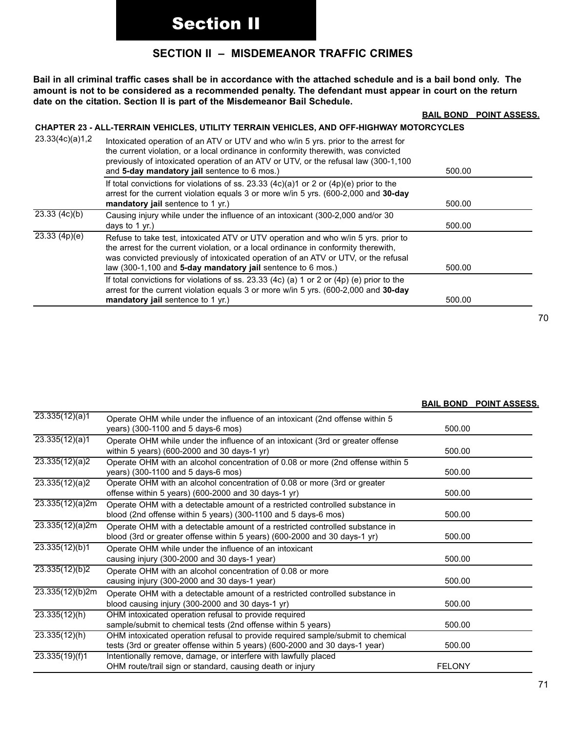# **SECTION II – MISDEMEANOR TRAFFIC CRIMES**

**Bail in all criminal traffic cases shall be in accordance with the attached schedule and is a bail bond only. The amount is not to be considered as a recommended penalty. The defendant must appear in court on the return date on the citation. Section II is part of the Misdemeanor Bail Schedule.**

#### **BAIL BOND POINT ASSESS.**

#### **CHAPTER 23 - ALL-TERRAIN VEHICLES, UTILITY TERRAIN VEHICLES, AND OFF-HIGHWAY MOTORCYCLES**

| 23.33(4c)(a)1,2        | Intoxicated operation of an ATV or UTV and who w/in 5 yrs. prior to the arrest for<br>the current violation, or a local ordinance in conformity therewith, was convicted<br>previously of intoxicated operation of an ATV or UTV, or the refusal law (300-1,100)<br>and 5-day mandatory jail sentence to 6 mos.)               | 500.00 |
|------------------------|--------------------------------------------------------------------------------------------------------------------------------------------------------------------------------------------------------------------------------------------------------------------------------------------------------------------------------|--------|
|                        | If total convictions for violations of ss. 23.33 $(4c)(a)1$ or 2 or $(4p)(e)$ prior to the<br>arrest for the current violation equals 3 or more w/in 5 yrs. (600-2,000 and 30-day<br>mandatory jail sentence to 1 yr.)                                                                                                         | 500.00 |
| 23.33(4c)(b)           | Causing injury while under the influence of an intoxicant (300-2,000 and/or 30<br>days to $1$ yr.)                                                                                                                                                                                                                             | 500.00 |
| $\sqrt{23.33}$ (4p)(e) | Refuse to take test, intoxicated ATV or UTV operation and who w/in 5 yrs. prior to<br>the arrest for the current violation, or a local ordinance in conformity therewith,<br>was convicted previously of intoxicated operation of an ATV or UTV, or the refusal<br>law (300-1,100 and 5-day mandatory jail sentence to 6 mos.) | 500.00 |
|                        | If total convictions for violations of ss. 23.33 (4c) (a) 1 or 2 or (4p) (e) prior to the<br>arrest for the current violation equals 3 or more w/in 5 yrs. (600-2,000 and 30-day<br>mandatory jail sentence to 1 $yr$ .)                                                                                                       | 500.00 |

#### **BAIL BOND POINT ASSESS.**

| 23.335(12)(a)1           | Operate OHM while under the influence of an intoxicant (2nd offense within 5<br>years) (300-1100 and 5 days-6 mos)                                             | 500.00        |  |
|--------------------------|----------------------------------------------------------------------------------------------------------------------------------------------------------------|---------------|--|
| 23.335(12)(a)1           | Operate OHM while under the influence of an intoxicant (3rd or greater offense<br>within 5 years) (600-2000 and 30 days-1 yr)                                  | 500.00        |  |
| 23.335(12)(a)2           | Operate OHM with an alcohol concentration of 0.08 or more (2nd offense within 5<br>years) (300-1100 and 5 days-6 mos)                                          | 500.00        |  |
| 23.335(12)(a)2           | Operate OHM with an alcohol concentration of 0.08 or more (3rd or greater<br>offense within 5 years) (600-2000 and 30 days-1 yr)                               | 500.00        |  |
| 23.335(12)(a)2m          | Operate OHM with a detectable amount of a restricted controlled substance in<br>blood (2nd offense within 5 years) (300-1100 and 5 days-6 mos)                 | 500.00        |  |
| 23.335(12)(a)2m          | Operate OHM with a detectable amount of a restricted controlled substance in<br>blood (3rd or greater offense within 5 years) (600-2000 and 30 days-1 yr)      | 500.00        |  |
| $\sqrt{23.335(12)(b)}$ 1 | Operate OHM while under the influence of an intoxicant<br>causing injury (300-2000 and 30 days-1 year)                                                         | 500.00        |  |
| 23.335(12)(b)2           | Operate OHM with an alcohol concentration of 0.08 or more<br>causing injury (300-2000 and 30 days-1 year)                                                      | 500.00        |  |
| 23.335(12)(b)2m          | Operate OHM with a detectable amount of a restricted controlled substance in<br>blood causing injury (300-2000 and 30 days-1 yr)                               | 500.00        |  |
| 23.335(12)(h)            | OHM intoxicated operation refusal to provide required<br>sample/submit to chemical tests (2nd offense within 5 years)                                          | 500.00        |  |
| 23.335(12)(h)            | OHM intoxicated operation refusal to provide required sample/submit to chemical<br>tests (3rd or greater offense within 5 years) (600-2000 and 30 days-1 year) | 500.00        |  |
| 23.335(19)(f)1           | Intentionally remove, damage, or interfere with lawfully placed<br>OHM route/trail sign or standard, causing death or injury                                   | <b>FELONY</b> |  |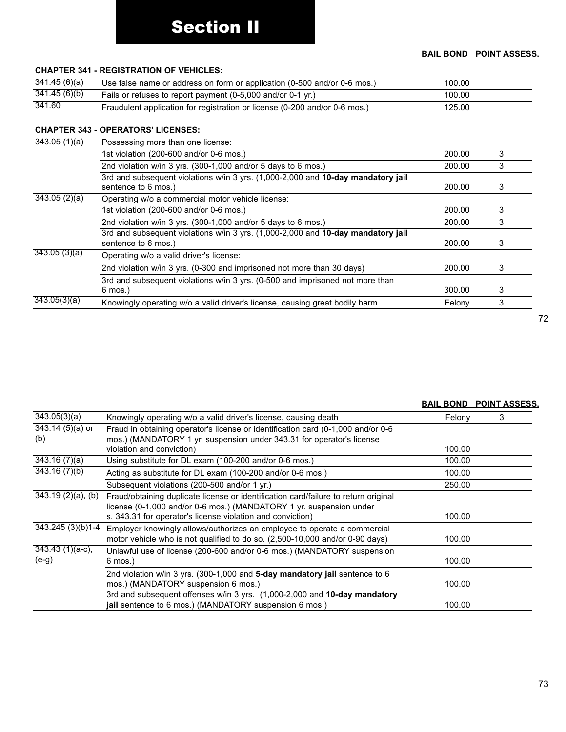### **BAIL BOND POINT ASSESS.**

## **CHAPTER 341 - REGISTRATION OF VEHICLES:** 341.45 (6)(a) Use false name or address on form or application (0-500 and/or 0-6 mos.) 100.00  $341.45 (6)(b)$  Fails or refuses to report payment (0-5,000 and/or 0-1 yr.) 100.00 341.60 Fraudulent application for registration or license (0-200 and/or 0-6 mos.) 125.00 **CHAPTER 343 - OPERATORS' LICENSES:**  343.05 (1)(a) Possessing more than one license: 1st violation (200-600 and/or 0-6 mos.) 200.00 3 2nd violation w/in 3 yrs. (300-1,000 and/or 5 days to 6 mos.) 200.00 200.00 3 3rd and subsequent violations w/in 3 yrs. (1,000-2,000 and **10-day mandatory jail** sentence to 6 mos.) 200.00 3 343.05 (2)(a) Operating w/o a commercial motor vehicle license: 1st violation (200-600 and/or 0-6 mos.) 200.00 3 2nd violation w/in 3 yrs. (300-1,000 and/or 5 days to 6 mos.) 200.00 3 3rd and subsequent violations w/in 3 yrs. (1,000-2,000 and **10-day mandatory jail** sentence to 6 mos.) 200.00 3 343.05 (3)(a) Operating w/o a valid driver's license: 2nd violation w/in 3 yrs. (0-300 and imprisoned not more than 30 days) 200.00 3 3rd and subsequent violations w/in 3 yrs. (0-500 and imprisoned not more than 6 mos.) 300.00 3  $343.05(3)(a)$  Knowingly operating w/o a valid driver's license, causing great bodily harm Felony  $3$

#### **BAIL BOND POINT ASSESS.**

| $\overline{343.05(3)(a)}$     | Knowingly operating w/o a valid driver's license, causing death                     | Felony | 3 |
|-------------------------------|-------------------------------------------------------------------------------------|--------|---|
| $\overline{343.14}$ (5)(a) or | Fraud in obtaining operator's license or identification card (0-1,000 and/or 0-6    |        |   |
| (b)                           | mos.) (MANDATORY 1 yr. suspension under 343.31 for operator's license               |        |   |
|                               | violation and conviction)                                                           | 100.00 |   |
| $\overline{343.16}$ (7)(a)    | Using substitute for DL exam (100-200 and/or 0-6 mos.)                              | 100.00 |   |
| $\overline{343.16}$ (7)(b)    | Acting as substitute for DL exam (100-200 and/or 0-6 mos.)                          | 100.00 |   |
|                               | Subsequent violations (200-500 and/or 1 yr.)                                        | 250.00 |   |
| $343.19(2)(a)$ , (b)          | Fraud/obtaining duplicate license or identification card/failure to return original |        |   |
|                               | license (0-1,000 and/or 0-6 mos.) (MANDATORY 1 yr. suspension under                 |        |   |
|                               | s. 343.31 for operator's license violation and conviction)                          | 100.00 |   |
| 343.245 (3)(b)1-4             | Employer knowingly allows/authorizes an employee to operate a commercial            |        |   |
|                               | motor vehicle who is not qualified to do so. (2,500-10,000 and/or 0-90 days)        | 100.00 |   |
| $\overline{343.43}$ (1)(a-c), | Unlawful use of license (200-600 and/or 0-6 mos.) (MANDATORY suspension             |        |   |
| $(e-g)$                       | $6 \text{ mos.}$                                                                    | 100.00 |   |
|                               | 2nd violation w/in 3 yrs. (300-1,000 and 5-day mandatory jail sentence to 6         |        |   |
|                               | mos.) (MANDATORY suspension 6 mos.)                                                 | 100.00 |   |
|                               | 3rd and subsequent offenses w/in 3 yrs. (1,000-2,000 and 10-day mandatory           |        |   |
|                               | jail sentence to 6 mos.) (MANDATORY suspension 6 mos.)                              | 100.00 |   |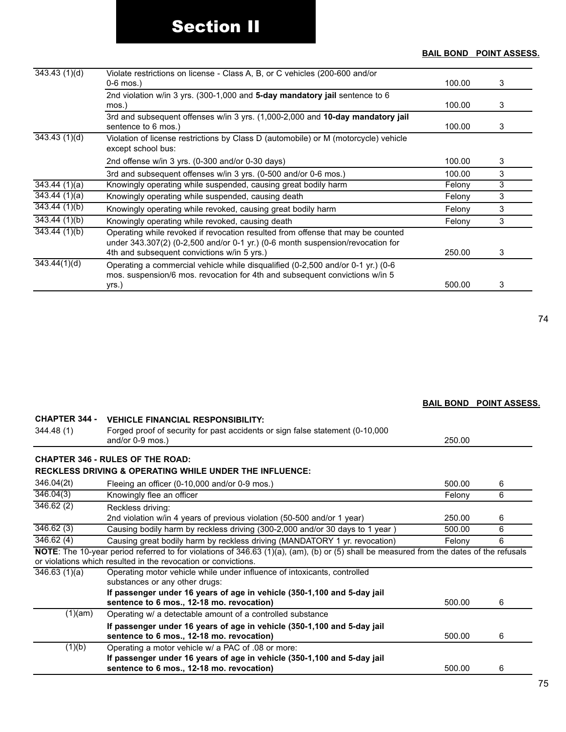# **BAIL BOND POINT ASSESS.**

| 343.43(1)(d)               | Violate restrictions on license - Class A, B, or C vehicles (200-600 and/or                                                                                                                                      |        |   |
|----------------------------|------------------------------------------------------------------------------------------------------------------------------------------------------------------------------------------------------------------|--------|---|
|                            | $0-6$ mos.)                                                                                                                                                                                                      | 100.00 | 3 |
|                            | 2nd violation w/in 3 yrs. (300-1,000 and 5-day mandatory jail sentence to 6<br>mos.)                                                                                                                             | 100.00 | 3 |
|                            | 3rd and subsequent offenses w/in 3 yrs. (1,000-2,000 and 10-day mandatory jail<br>sentence to 6 mos.)                                                                                                            | 100.00 | 3 |
| 343.43(1)(d)               | Violation of license restrictions by Class D (automobile) or M (motorcycle) vehicle<br>except school bus:                                                                                                        |        |   |
|                            | 2nd offense w/in 3 yrs. (0-300 and/or 0-30 days)                                                                                                                                                                 | 100.00 | 3 |
|                            | 3rd and subsequent offenses w/in 3 yrs. (0-500 and/or 0-6 mos.)                                                                                                                                                  | 100.00 | 3 |
| 343.44(1)(a)               | Knowingly operating while suspended, causing great bodily harm                                                                                                                                                   | Felony | 3 |
| 343.44(1)(a)               | Knowingly operating while suspended, causing death                                                                                                                                                               | Felony | 3 |
| $\overline{343.44(1)(b)}$  | Knowingly operating while revoked, causing great bodily harm                                                                                                                                                     | Felony | 3 |
| 343.44(1)(b)               | Knowingly operating while revoked, causing death                                                                                                                                                                 | Felony | 3 |
| $\overline{343.44}$ (1)(b) | Operating while revoked if revocation resulted from offense that may be counted<br>under 343.307(2) (0-2,500 and/or 0-1 yr.) (0-6 month suspension/revocation for<br>4th and subsequent convictions w/in 5 yrs.) | 250.00 | 3 |
| $\overline{343.44(1)(d)}$  | Operating a commercial vehicle while disqualified (0-2,500 and/or 0-1 yr.) (0-6<br>mos. suspension/6 mos. revocation for 4th and subsequent convictions w/in 5                                                   |        |   |
|                            | yrs.)                                                                                                                                                                                                            | 500.00 | 3 |

|                        |                                                                                                                                                                                                           |        | <b>BAIL BOND POINT ASSESS.</b> |
|------------------------|-----------------------------------------------------------------------------------------------------------------------------------------------------------------------------------------------------------|--------|--------------------------------|
| <b>CHAPTER 344 -</b>   | <b>VEHICLE FINANCIAL RESPONSIBILITY:</b>                                                                                                                                                                  |        |                                |
| 344.48(1)              | Forged proof of security for past accidents or sign false statement (0-10,000)<br>and/or $0-9$ mos.)                                                                                                      | 250.00 |                                |
|                        | <b>CHAPTER 346 - RULES OF THE ROAD:</b>                                                                                                                                                                   |        |                                |
|                        | <b>RECKLESS DRIVING &amp; OPERATING WHILE UNDER THE INFLUENCE:</b>                                                                                                                                        |        |                                |
| 346.04(2t)             | Fleeing an officer (0-10,000 and/or 0-9 mos.)                                                                                                                                                             | 500.00 | 6                              |
| $\overline{346.04(3)}$ | Knowingly flee an officer                                                                                                                                                                                 | Felony | 6                              |
| 346.62(2)              | Reckless driving:                                                                                                                                                                                         |        |                                |
|                        | 2nd violation w/in 4 years of previous violation (50-500 and/or 1 year)                                                                                                                                   | 250.00 | 6                              |
| 346.62(3)              | Causing bodily harm by reckless driving (300-2,000 and/or 30 days to 1 year)                                                                                                                              | 500.00 | 6                              |
| 346.62(4)              | Causing great bodily harm by reckless driving (MANDATORY 1 yr. revocation)                                                                                                                                | Felony | 6                              |
|                        | NOTE: The 10-year period referred to for violations of 346.63 (1)(a), (am), (b) or (5) shall be measured from the dates of the refusals<br>or violations which resulted in the revocation or convictions. |        |                                |
| 346.63(1)(a)           | Operating motor vehicle while under influence of intoxicants, controlled                                                                                                                                  |        |                                |
|                        | substances or any other drugs:                                                                                                                                                                            |        |                                |
|                        | If passenger under 16 years of age in vehicle (350-1,100 and 5-day jail<br>sentence to 6 mos., 12-18 mo. revocation)                                                                                      | 500.00 | 6                              |
| (1)(am)                | Operating w/ a detectable amount of a controlled substance                                                                                                                                                |        |                                |
|                        | If passenger under 16 years of age in vehicle (350-1,100 and 5-day jail<br>sentence to 6 mos., 12-18 mo. revocation)                                                                                      | 500.00 | 6                              |
| (1)(b)                 | Operating a motor vehicle w/ a PAC of .08 or more:                                                                                                                                                        |        |                                |
|                        | If passenger under 16 years of age in vehicle (350-1,100 and 5-day jail<br>sentence to 6 mos., 12-18 mo. revocation)                                                                                      | 500.00 | 6                              |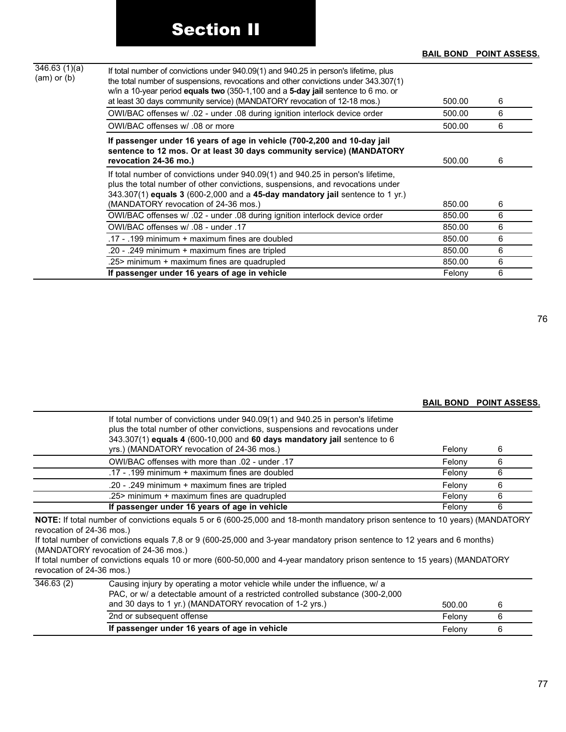#### **BAIL BOND POINT ASSESS.**

| 346.63(1)(a)<br>$(am)$ or $(b)$ | If total number of convictions under 940.09(1) and 940.25 in person's lifetime, plus<br>the total number of suspensions, revocations and other convictions under 343.307(1)<br>w/in a 10-year period <b>equals two</b> (350-1,100 and a 5-day jail sentence to 6 mo. or<br>at least 30 days community service) (MANDATORY revocation of 12-18 mos.) | 500.00 | 6 |
|---------------------------------|-----------------------------------------------------------------------------------------------------------------------------------------------------------------------------------------------------------------------------------------------------------------------------------------------------------------------------------------------------|--------|---|
|                                 | OWI/BAC offenses w/ .02 - under .08 during ignition interlock device order                                                                                                                                                                                                                                                                          | 500.00 | 6 |
|                                 | OWI/BAC offenses w/ .08 or more                                                                                                                                                                                                                                                                                                                     | 500.00 | 6 |
|                                 | If passenger under 16 years of age in vehicle (700-2,200 and 10-day jail<br>sentence to 12 mos. Or at least 30 days community service) (MANDATORY<br>revocation 24-36 mo.)                                                                                                                                                                          | 500.00 | 6 |
|                                 | If total number of convictions under 940.09(1) and 940.25 in person's lifetime,<br>plus the total number of other convictions, suspensions, and revocations under<br>$343.307(1)$ equals 3 (600-2,000 and a 45-day mandatory jail sentence to 1 yr.)<br>(MANDATORY revocation of 24-36 mos.)                                                        | 850.00 | 6 |
|                                 | OWI/BAC offenses w/ .02 - under .08 during ignition interlock device order                                                                                                                                                                                                                                                                          | 850.00 | 6 |
|                                 | OWI/BAC offenses w/ .08 - under .17                                                                                                                                                                                                                                                                                                                 | 850.00 | 6 |
|                                 | .17 - .199 minimum + maximum fines are doubled                                                                                                                                                                                                                                                                                                      | 850.00 | 6 |
|                                 | .20 - .249 minimum + maximum fines are tripled                                                                                                                                                                                                                                                                                                      | 850.00 | 6 |
|                                 | .25> minimum + maximum fines are quadrupled                                                                                                                                                                                                                                                                                                         | 850.00 | 6 |
|                                 | If passenger under 16 years of age in vehicle                                                                                                                                                                                                                                                                                                       | Felony | 6 |

76

### **BAIL BOND POINT ASSESS.**

| If total number of convictions under 940.09(1) and 940.25 in person's lifetime<br>plus the total number of other convictions, suspensions and revocations under<br>343.307(1) equals 4 (600-10,000 and 60 days mandatory jail sentence to 6<br>yrs.) (MANDATORY revocation of 24-36 mos.) | Felony | 6 |
|-------------------------------------------------------------------------------------------------------------------------------------------------------------------------------------------------------------------------------------------------------------------------------------------|--------|---|
| OWI/BAC offenses with more than .02 - under .17                                                                                                                                                                                                                                           | Felony | 6 |
| .17 - .199 minimum + maximum fines are doubled                                                                                                                                                                                                                                            | Felony |   |
| .20 - .249 minimum + maximum fines are tripled                                                                                                                                                                                                                                            | Felony | ห |
| .25> minimum + maximum fines are quadrupled                                                                                                                                                                                                                                               | Felony | 6 |
| If passenger under 16 years of age in vehicle                                                                                                                                                                                                                                             | Felony | 6 |

**NOTE:** If total number of convictions equals 5 or 6 (600-25,000 and 18-month mandatory prison sentence to 10 years) (MANDATORY revocation of 24-36 mos.)

If total number of convictions equals 7,8 or 9 (600-25,000 and 3-year mandatory prison sentence to 12 years and 6 months) (MANDATORY revocation of 24-36 mos.)

If total number of convictions equals 10 or more (600-50,000 and 4-year mandatory prison sentence to 15 years) (MANDATORY revocation of 24-36 mos.)

|           | If passenger under 16 years of age in vehicle                                                                                                                 | Felony | b |  |
|-----------|---------------------------------------------------------------------------------------------------------------------------------------------------------------|--------|---|--|
|           | 2nd or subsequent offense                                                                                                                                     | Felony |   |  |
|           | and 30 days to 1 yr.) (MANDATORY revocation of 1-2 yrs.)                                                                                                      | 500.00 | 6 |  |
| 346.63(2) | Causing injury by operating a motor vehicle while under the influence, w/ a<br>PAC, or w/ a detectable amount of a restricted controlled substance (300-2,000 |        |   |  |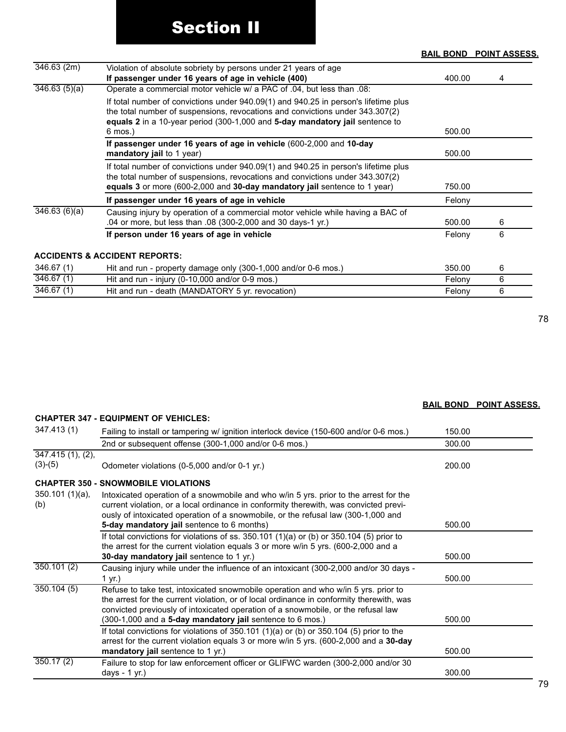#### **BAIL BOND POINT ASSESS.**

| 346.63(2m)              | Violation of absolute sobriety by persons under 21 years of age<br>If passenger under 16 years of age in vehicle (400)                                                                                                                               | 400.00 | 4 |
|-------------------------|------------------------------------------------------------------------------------------------------------------------------------------------------------------------------------------------------------------------------------------------------|--------|---|
| 346.63(5)(a)            | Operate a commercial motor vehicle w/ a PAC of .04, but less than .08:                                                                                                                                                                               |        |   |
|                         | If total number of convictions under 940.09(1) and 940.25 in person's lifetime plus<br>the total number of suspensions, revocations and convictions under 343.307(2)<br>equals 2 in a 10-year period (300-1,000 and 5-day mandatory jail sentence to | 500.00 |   |
|                         | $6 \text{ mos.}$                                                                                                                                                                                                                                     |        |   |
|                         | If passenger under 16 years of age in vehicle (600-2,000 and 10-day<br>mandatory jail to 1 year)                                                                                                                                                     | 500.00 |   |
|                         | If total number of convictions under 940.09(1) and 940.25 in person's lifetime plus<br>the total number of suspensions, revocations and convictions under 343.307(2)<br>equals 3 or more (600-2,000 and 30-day mandatory jail sentence to 1 year)    | 750.00 |   |
|                         | If passenger under 16 years of age in vehicle                                                                                                                                                                                                        | Felony |   |
| 346.63(6)(a)            | Causing injury by operation of a commercial motor vehicle while having a BAC of<br>.04 or more, but less than .08 (300-2,000 and 30 days-1 yr.)                                                                                                      | 500.00 | 6 |
|                         | If person under 16 years of age in vehicle                                                                                                                                                                                                           | Felony | 6 |
|                         | <b>ACCIDENTS &amp; ACCIDENT REPORTS:</b>                                                                                                                                                                                                             |        |   |
| 346.67(1)               | Hit and run - property damage only (300-1,000 and/or 0-6 mos.)                                                                                                                                                                                       | 350.00 | 6 |
| 346.67(1)               | Hit and run - injury (0-10,000 and/or 0-9 mos.)                                                                                                                                                                                                      | Felony | 6 |
| $\overline{346.67}$ (1) | Hit and run - death (MANDATORY 5 yr. revocation)                                                                                                                                                                                                     | Felony | 6 |

78

| <b>CHAPTER 347 - EQUIPMENT OF VEHICLES:</b> |                                                                                        |        |  |  |  |
|---------------------------------------------|----------------------------------------------------------------------------------------|--------|--|--|--|
| 347.413 (1)                                 | Failing to install or tampering w/ ignition interlock device (150-600 and/or 0-6 mos.) | 150.00 |  |  |  |
|                                             | 2nd or subsequent offense (300-1,000 and/or 0-6 mos.)                                  | 300.00 |  |  |  |
| $347.415(1), (2)$ ,                         |                                                                                        |        |  |  |  |
| $(3)-(5)$                                   | Odometer violations (0-5,000 and/or 0-1 yr.)                                           | 200.00 |  |  |  |

**BAIL BOND POINT ASSESS.**

# **CHAPTER 350 - SNOWMOBILE VIOLATIONS** 350.101 (1)(a),

**CHAPTER 347 - EQUIPMENT OF VEHICLES:** 

| $350.101(1)(a)$ ,<br>(b) | Intoxicated operation of a snowmobile and who w/in 5 yrs. prior to the arrest for the<br>current violation, or a local ordinance in conformity therewith, was convicted previ-<br>ously of intoxicated operation of a snowmobile, or the refusal law (300-1,000 and |        |  |
|--------------------------|---------------------------------------------------------------------------------------------------------------------------------------------------------------------------------------------------------------------------------------------------------------------|--------|--|
|                          | 5-day mandatory jail sentence to 6 months)                                                                                                                                                                                                                          | 500.00 |  |
|                          | If total convictions for violations of ss. $350.101$ (1)(a) or (b) or $350.104$ (5) prior to                                                                                                                                                                        |        |  |
|                          | the arrest for the current violation equals 3 or more w/in 5 yrs. (600-2,000 and a                                                                                                                                                                                  |        |  |
|                          | 30-day mandatory jail sentence to 1 yr.)                                                                                                                                                                                                                            | 500.00 |  |
| 350.101(2)               | Causing injury while under the influence of an intoxicant (300-2,000 and/or 30 days -                                                                                                                                                                               |        |  |
|                          | 1 yr.)                                                                                                                                                                                                                                                              | 500.00 |  |
| 350.104(5)               | Refuse to take test, intoxicated snowmobile operation and who w/in 5 yrs. prior to<br>the arrest for the current violation, or of local ordinance in conformity therewith, was<br>convicted previously of intoxicated operation of a snowmobile, or the refusal law |        |  |
|                          | (300-1,000 and a 5-day mandatory jail sentence to 6 mos.)                                                                                                                                                                                                           | 500.00 |  |
|                          | If total convictions for violations of 350.101 (1)(a) or (b) or 350.104 (5) prior to the<br>arrest for the current violation equals 3 or more w/in 5 yrs. (600-2,000 and a 30-day                                                                                   |        |  |
|                          | mandatory jail sentence to 1 yr.)                                                                                                                                                                                                                                   | 500.00 |  |
| 350.17(2)                | Failure to stop for law enforcement officer or GLIFWC warden (300-2,000 and/or 30                                                                                                                                                                                   |        |  |
|                          | days - $1$ yr.)                                                                                                                                                                                                                                                     | 300.00 |  |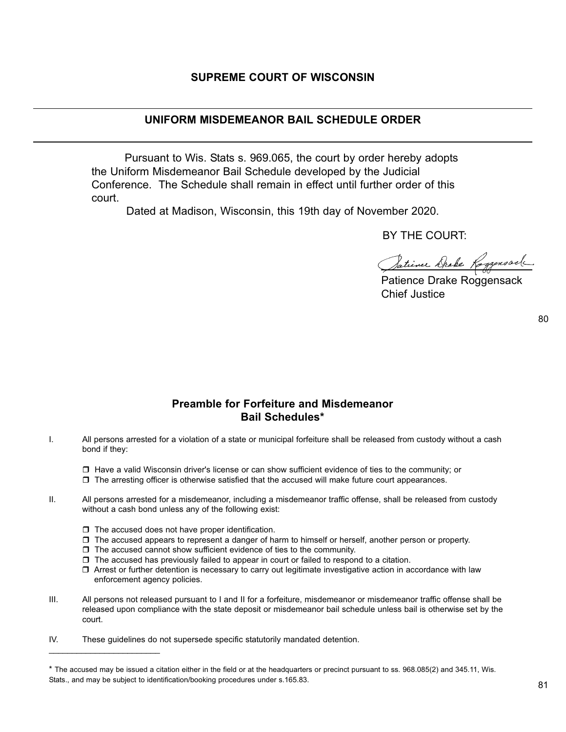## **SUPREME COURT OF WISCONSIN**

### **UNIFORM MISDEMEANOR BAIL SCHEDULE ORDER**

Pursuant to Wis. Stats s. 969.065, the court by order hereby adopts the Uniform Misdemeanor Bail Schedule developed by the Judicial Conference. The Schedule shall remain in effect until further order of this court.

Dated at Madison, Wisconsin, this 19th day of November 2020.

BY THE COURT:

Satience Drake Roggensack

Patience Drake Roggensack Chief Justice

80

# **Preamble for Forfeiture and Misdemeanor Bail Schedules\***

I. All persons arrested for a violation of a state or municipal forfeiture shall be released from custody without a cash bond if they:

 $\Box$  Have a valid Wisconsin driver's license or can show sufficient evidence of ties to the community; or

- $\Box$  The arresting officer is otherwise satisfied that the accused will make future court appearances.
- II. All persons arrested for a misdemeanor, including a misdemeanor traffic offense, shall be released from custody without a cash bond unless any of the following exist:
	- $\Box$  The accused does not have proper identification.

 $\overline{\phantom{a}}$  , which is a set of the set of the set of the set of the set of the set of the set of the set of the set of the set of the set of the set of the set of the set of the set of the set of the set of the set of th

- $\Box$  The accused appears to represent a danger of harm to himself or herself, another person or property.
- $\Box$  The accused cannot show sufficient evidence of ties to the community.
- $\Box$  The accused has previously failed to appear in court or failed to respond to a citation.
- $\Box$  Arrest or further detention is necessary to carry out legitimate investigative action in accordance with law enforcement agency policies.
- III. All persons not released pursuant to I and II for a forfeiture, misdemeanor or misdemeanor traffic offense shall be released upon compliance with the state deposit or misdemeanor bail schedule unless bail is otherwise set by the court.
- IV. These guidelines do not supersede specific statutorily mandated detention.

<sup>\*</sup> The accused may be issued a citation either in the field or at the headquarters or precinct pursuant to ss. 968.085(2) and 345.11, Wis. Stats., and may be subject to identification/booking procedures under s.165.83.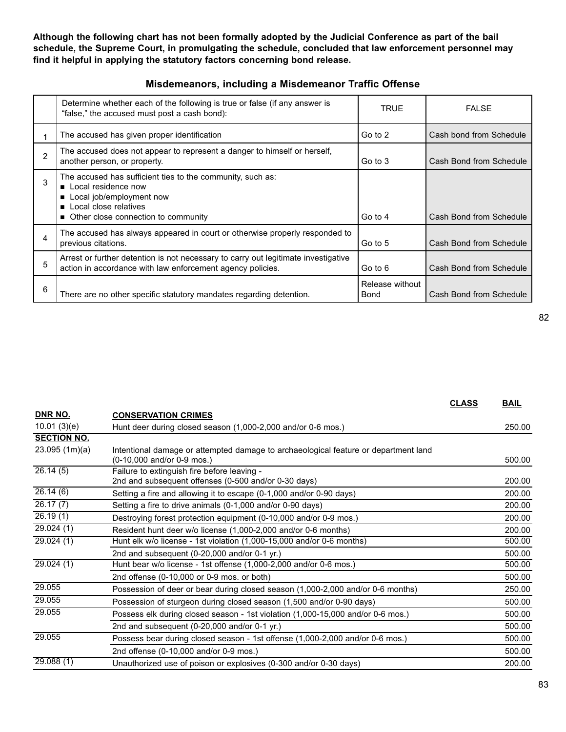**Although the following chart has not been formally adopted by the Judicial Conference as part of the bail schedule, the Supreme Court, in promulgating the schedule, concluded that law enforcement personnel may find it helpful in applying the statutory factors concerning bond release.**

|   | Determine whether each of the following is true or false (if any answer is<br>"false," the accused must post a cash bond):                                                        | TRUE                    | <b>FALSE</b>            |
|---|-----------------------------------------------------------------------------------------------------------------------------------------------------------------------------------|-------------------------|-------------------------|
|   | The accused has given proper identification                                                                                                                                       | Go to 2                 | Cash bond from Schedule |
| 2 | The accused does not appear to represent a danger to himself or herself,<br>another person, or property.                                                                          | Go to 3                 | Cash Bond from Schedule |
| 3 | The accused has sufficient ties to the community, such as:<br>■ Local residence now<br>Local job/employment now<br>Local close relatives<br>■ Other close connection to community | Go to 4                 | Cash Bond from Schedule |
| 4 | The accused has always appeared in court or otherwise properly responded to<br>previous citations.                                                                                | Go to 5                 | Cash Bond from Schedule |
| 5 | Arrest or further detention is not necessary to carry out legitimate investigative<br>action in accordance with law enforcement agency policies.                                  | Go to 6                 | Cash Bond from Schedule |
| 6 | There are no other specific statutory mandates regarding detention.                                                                                                               | Release without<br>Bond | Cash Bond from Schedule |

## **Misdemeanors, including a Misdemeanor Traffic Offense**

|                                      | <b>CLASS</b> | <b>BAIL</b> |
|--------------------------------------|--------------|-------------|
| or 0-6 mos.)                         |              | 250.00      |
| eological feature or department land |              |             |
|                                      |              | 500.00      |
| days)                                |              | 200.00      |
| d/or 0-90 days)                      |              | 200.00      |
| ) days)                              |              | 200.00      |
| and/or $0.0$ mos $)$                 |              | ann uu      |

| DNR NO.                | <b>CONSERVATION CRIMES</b>                                                                                        |        |
|------------------------|-------------------------------------------------------------------------------------------------------------------|--------|
| 10.01(3)(e)            | Hunt deer during closed season (1,000-2,000 and/or 0-6 mos.)                                                      | 250.00 |
| <b>SECTION NO.</b>     |                                                                                                                   |        |
| 23.095(1m)(a)          | Intentional damage or attempted damage to archaeological feature or department land<br>(0-10,000 and/or 0-9 mos.) | 500.00 |
| 26.14(5)               | Failure to extinguish fire before leaving -<br>2nd and subsequent offenses (0-500 and/or 0-30 days)               | 200.00 |
| $\overline{26.14}$ (6) | Setting a fire and allowing it to escape (0-1,000 and/or 0-90 days)                                               | 200.00 |
| 26.17(7)               | Setting a fire to drive animals (0-1,000 and/or 0-90 days)                                                        | 200.00 |
| 26.19(1)               | Destroying forest protection equipment (0-10,000 and/or 0-9 mos.)                                                 | 200.00 |
| 29.024(1)              | Resident hunt deer w/o license (1,000-2,000 and/or 0-6 months)                                                    | 200.00 |
| 29.024(1)              | Hunt elk w/o license - 1st violation (1,000-15,000 and/or 0-6 months)                                             | 500.00 |
|                        | 2nd and subsequent (0-20,000 and/or 0-1 yr.)                                                                      | 500.00 |
| 29.024(1)              | Hunt bear w/o license - 1st offense (1,000-2,000 and/or 0-6 mos.)                                                 | 500.00 |
|                        | 2nd offense (0-10,000 or 0-9 mos. or both)                                                                        | 500.00 |
| 29.055                 | Possession of deer or bear during closed season (1,000-2,000 and/or 0-6 months)                                   | 250.00 |
| 29.055                 | Possession of sturgeon during closed season (1,500 and/or 0-90 days)                                              | 500.00 |
| 29.055                 | Possess elk during closed season - 1st violation (1,000-15,000 and/or 0-6 mos.)                                   | 500.00 |
|                        | 2nd and subsequent (0-20,000 and/or 0-1 yr.)                                                                      | 500.00 |
| 29.055                 | Possess bear during closed season - 1st offense (1,000-2,000 and/or 0-6 mos.)                                     | 500.00 |
|                        | 2nd offense (0-10,000 and/or 0-9 mos.)                                                                            | 500.00 |
| 29.088(1)              | Unauthorized use of poison or explosives (0-300 and/or 0-30 days)                                                 | 200.00 |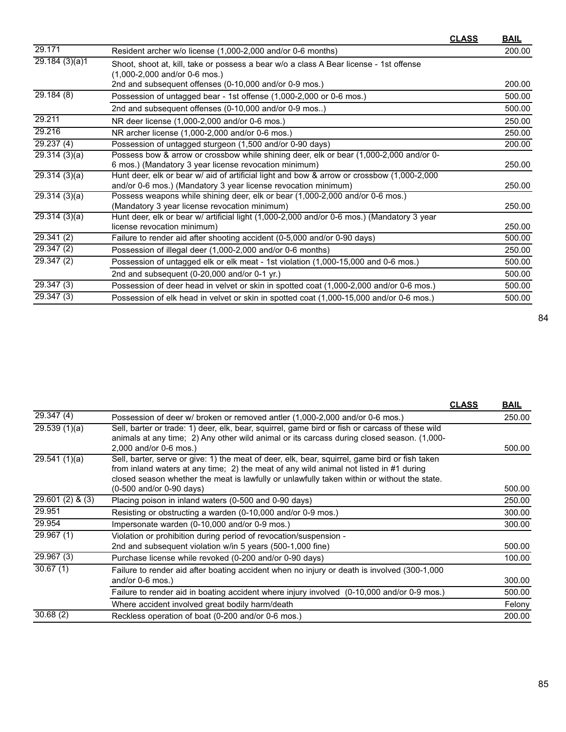|                            |                                                                                                                           | <u>CLASS</u> | <u>BAIL</u> |
|----------------------------|---------------------------------------------------------------------------------------------------------------------------|--------------|-------------|
| 29.171                     | Resident archer w/o license (1,000-2,000 and/or 0-6 months)                                                               |              | 200.00      |
| $\overline{29.184(3)(a)}1$ | Shoot, shoot at, kill, take or possess a bear w/o a class A Bear license - 1st offense<br>$(1,000-2,000$ and/or 0-6 mos.) |              |             |
|                            | 2nd and subsequent offenses (0-10,000 and/or 0-9 mos.)                                                                    |              | 200.00      |
| 29.184(8)                  | Possession of untagged bear - 1st offense (1,000-2,000 or 0-6 mos.)                                                       |              | 500.00      |
|                            | 2nd and subsequent offenses (0-10,000 and/or 0-9 mos)                                                                     |              | 500.00      |
| 29.211                     | NR deer license (1,000-2,000 and/or 0-6 mos.)                                                                             |              | 250.00      |
| 29.216                     | NR archer license (1,000-2,000 and/or 0-6 mos.)                                                                           |              | 250.00      |
| 29.237(4)                  | Possession of untagged sturgeon (1,500 and/or 0-90 days)                                                                  |              | 200.00      |
| 29.314(3)(a)               | Possess bow & arrow or crossbow while shining deer, elk or bear (1,000-2,000 and/or 0-                                    |              |             |
|                            | 6 mos.) (Mandatory 3 year license revocation minimum)                                                                     |              | 250.00      |
| 29.314(3)(a)               | Hunt deer, elk or bear w/ aid of artificial light and bow & arrow or crossbow (1,000-2,000                                |              |             |
|                            | and/or 0-6 mos.) (Mandatory 3 year license revocation minimum)                                                            |              | 250.00      |
| 29.314(3)(a)               | Possess weapons while shining deer, elk or bear (1,000-2,000 and/or 0-6 mos.)                                             |              |             |
|                            | (Mandatory 3 year license revocation minimum)                                                                             |              | 250.00      |
| 29.314(3)(a)               | Hunt deer, elk or bear w/ artificial light (1,000-2,000 and/or 0-6 mos.) (Mandatory 3 year                                |              |             |
|                            | license revocation minimum)                                                                                               |              | 250.00      |
| 29.341 (2)                 | Failure to render aid after shooting accident (0-5,000 and/or 0-90 days)                                                  |              | 500.00      |
| 29.347(2)                  | Possession of illegal deer (1,000-2,000 and/or 0-6 months)                                                                |              | 250.00      |
| 29.347(2)                  | Possession of untagged elk or elk meat - 1st violation (1,000-15,000 and 0-6 mos.)                                        |              | 500.00      |
|                            | 2nd and subsequent (0-20,000 and/or 0-1 yr.)                                                                              |              | 500.00      |
| 29.347(3)                  | Possession of deer head in velvet or skin in spotted coat (1,000-2,000 and/or 0-6 mos.)                                   |              | 500.00      |
| 29.347(3)                  | Possession of elk head in velvet or skin in spotted coat (1,000-15,000 and/or 0-6 mos.)                                   |              | 500.00      |

|                         |                                                                                                 | <b>CLASS</b> | <b>BAIL</b> |
|-------------------------|-------------------------------------------------------------------------------------------------|--------------|-------------|
| $\overline{29.347}$ (4) | Possession of deer w/ broken or removed antler (1,000-2,000 and/or 0-6 mos.)                    |              | 250.00      |
| 29.539(1)(a)            | Sell, barter or trade: 1) deer, elk, bear, squirrel, game bird or fish or carcass of these wild |              |             |
|                         | animals at any time; 2) Any other wild animal or its carcass during closed season. (1,000-      |              |             |
|                         | 2,000 and/or 0-6 mos.)                                                                          |              | 500.00      |
| 29.541(1)(a)            | Sell, barter, serve or give: 1) the meat of deer, elk, bear, squirrel, game bird or fish taken  |              |             |
|                         | from inland waters at any time; 2) the meat of any wild animal not listed in #1 during          |              |             |
|                         | closed season whether the meat is lawfully or unlawfully taken within or without the state.     |              |             |
|                         | (0-500 and/or 0-90 days)                                                                        |              | 500.00      |
| $29.601(2)$ & (3)       | Placing poison in inland waters (0-500 and 0-90 days)                                           |              | 250.00      |
| 29.951                  | Resisting or obstructing a warden (0-10,000 and/or 0-9 mos.)                                    |              | 300.00      |
| 29.954                  | Impersonate warden (0-10,000 and/or 0-9 mos.)                                                   |              | 300.00      |
| 29.967 (1)              | Violation or prohibition during period of revocation/suspension -                               |              |             |
|                         | 2nd and subsequent violation w/in 5 years (500-1,000 fine)                                      |              | 500.00      |
| 29.967 (3)              | Purchase license while revoked (0-200 and/or 0-90 days)                                         |              | 100.00      |
| 30.67(1)                | Failure to render aid after boating accident when no injury or death is involved (300-1,000     |              |             |
|                         | and/or $0-6$ mos.)                                                                              |              | 300.00      |
|                         | Failure to render aid in boating accident where injury involved (0-10,000 and/or 0-9 mos.)      |              | 500.00      |
|                         | Where accident involved great bodily harm/death                                                 |              | Felony      |
| 30.68(2)                | Reckless operation of boat (0-200 and/or 0-6 mos.)                                              |              | 200.00      |
|                         |                                                                                                 |              |             |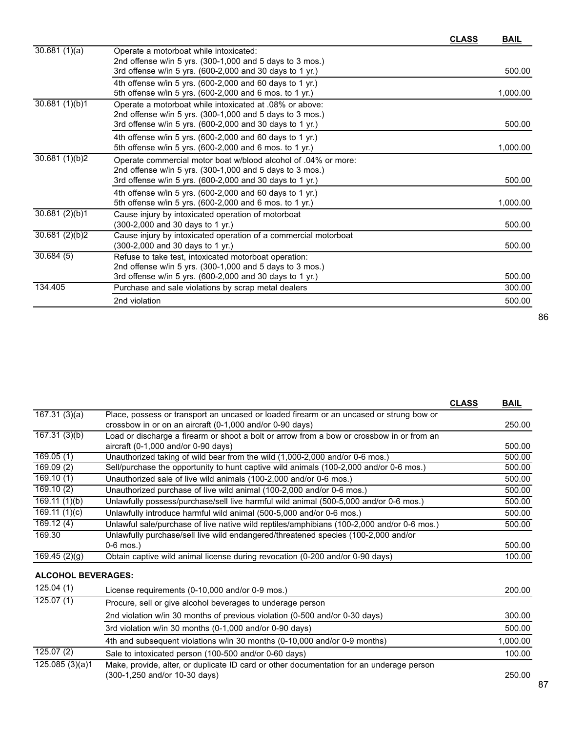|                            |                                                                 | <b>CLASS</b> | <b>BAIL</b> |
|----------------------------|-----------------------------------------------------------------|--------------|-------------|
| $\overline{30.681}$ (1)(a) | Operate a motorboat while intoxicated:                          |              |             |
|                            | 2nd offense w/in 5 yrs. (300-1,000 and 5 days to 3 mos.)        |              |             |
|                            | 3rd offense w/in 5 yrs. (600-2,000 and 30 days to 1 yr.)        |              | 500.00      |
|                            | 4th offense w/in 5 yrs. (600-2,000 and 60 days to 1 yr.)        |              |             |
|                            | 5th offense w/in 5 yrs. (600-2,000 and 6 mos. to 1 yr.)         |              | 1,000.00    |
| 30.681(1)(b)1              | Operate a motorboat while intoxicated at .08% or above:         |              |             |
|                            | 2nd offense w/in 5 yrs. (300-1,000 and 5 days to 3 mos.)        |              |             |
|                            | 3rd offense w/in 5 yrs. (600-2,000 and 30 days to 1 yr.)        |              | 500.00      |
|                            | 4th offense w/in 5 yrs. (600-2,000 and 60 days to 1 yr.)        |              |             |
|                            | 5th offense w/in 5 yrs. (600-2,000 and 6 mos. to 1 yr.)         |              | 1,000.00    |
| 30.681(1)(b)2              | Operate commercial motor boat w/blood alcohol of .04% or more:  |              |             |
|                            | 2nd offense w/in 5 yrs. (300-1,000 and 5 days to 3 mos.)        |              |             |
|                            | 3rd offense w/in 5 yrs. (600-2,000 and 30 days to 1 yr.)        |              | 500.00      |
|                            | 4th offense w/in 5 yrs. (600-2,000 and 60 days to 1 yr.)        |              |             |
|                            | 5th offense w/in 5 yrs. (600-2,000 and 6 mos. to 1 yr.)         |              | 1,000.00    |
| 30.681(2)(b)1              | Cause injury by intoxicated operation of motorboat              |              |             |
|                            | (300-2,000 and 30 days to 1 yr.)                                |              | 500.00      |
| 30.681(2)(b)2              | Cause injury by intoxicated operation of a commercial motorboat |              |             |
|                            | (300-2,000 and 30 days to 1 yr.)                                |              | 500.00      |
| 30.684(5)                  | Refuse to take test, intoxicated motorboat operation:           |              |             |
|                            | 2nd offense w/in 5 yrs. $(300-1,000$ and 5 days to 3 mos.)      |              |             |
|                            | 3rd offense w/in 5 yrs. (600-2,000 and 30 days to 1 yr.)        |              | 500.00      |
| 134.405                    | Purchase and sale violations by scrap metal dealers             |              | 300.00      |
|                            | 2nd violation                                                   |              | 500.00      |

|                           |                                                                                                                           | <b>CLASS</b> | <b>BAIL</b> |
|---------------------------|---------------------------------------------------------------------------------------------------------------------------|--------------|-------------|
| 167.31(3)(a)              | Place, possess or transport an uncased or loaded firearm or an uncased or strung bow or                                   |              |             |
|                           | crossbow in or on an aircraft (0-1,000 and/or 0-90 days)                                                                  |              | 250.00      |
| 167.31(3)(b)              | Load or discharge a firearm or shoot a bolt or arrow from a bow or crossbow in or from an                                 |              |             |
|                           | aircraft (0-1,000 and/or 0-90 days)                                                                                       |              | 500.00      |
| 169.05(1)                 | Unauthorized taking of wild bear from the wild (1,000-2,000 and/or 0-6 mos.)                                              |              | 500.00      |
| $\overline{169.09}$ (2)   | Sell/purchase the opportunity to hunt captive wild animals (100-2,000 and/or 0-6 mos.)                                    |              | 500.00      |
| $\overline{169.10(1)}$    | Unauthorized sale of live wild animals (100-2,000 and/or 0-6 mos.)                                                        |              | 500.00      |
| 169.10(2)                 | Unauthorized purchase of live wild animal (100-2,000 and/or 0-6 mos.)                                                     |              | 500.00      |
| 169.11(1)(b)              | Unlawfully possess/purchase/sell live harmful wild animal (500-5,000 and/or 0-6 mos.)                                     |              | 500.00      |
| 169.11(1)(c)              | Unlawfully introduce harmful wild animal (500-5,000 and/or 0-6 mos.)                                                      |              | 500.00      |
| 169.12(4)                 | Unlawful sale/purchase of live native wild reptiles/amphibians (100-2,000 and/or 0-6 mos.)                                |              | 500.00      |
| 169.30                    | Unlawfully purchase/sell live wild endangered/threatened species (100-2,000 and/or                                        |              |             |
|                           | $0-6$ mos.)                                                                                                               |              | 500.00      |
| 169.45(2)(g)              | Obtain captive wild animal license during revocation (0-200 and/or 0-90 days)                                             |              | 100.00      |
| <b>ALCOHOL BEVERAGES:</b> |                                                                                                                           |              |             |
| 125.04(1)                 | License requirements (0-10,000 and/or 0-9 mos.)                                                                           |              | 200.00      |
| 125.07(1)                 | Procure, sell or give alcohol beverages to underage person                                                                |              |             |
|                           | 2nd violation w/in 30 months of previous violation (0-500 and/or 0-30 days)                                               |              | 300.00      |
|                           | 3rd violation w/in 30 months (0-1,000 and/or 0-90 days)                                                                   |              | 500.00      |
|                           | 4th and subsequent violations w/in 30 months (0-10,000 and/or 0-9 months)                                                 |              | 1,000.00    |
| $\overline{125.07}$ (2)   | Sale to intoxicated person (100-500 and/or 0-60 days)                                                                     |              | 100.00      |
| 125.085(3)(a)1            | Make, provide, alter, or duplicate ID card or other documentation for an underage person<br>(300-1,250 and/or 10-30 days) |              | 250.00      |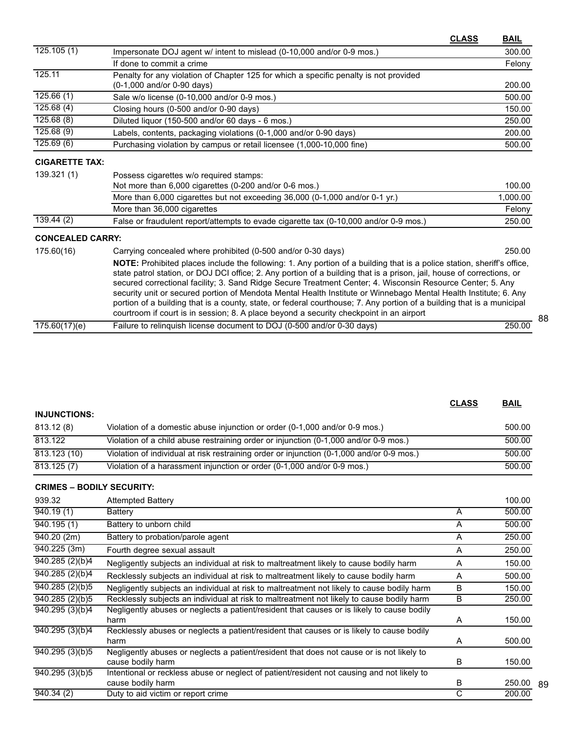|                         | <b>CLASS</b>                                                                                                                                                                                                                                                                                                                                                                                                                                                                                                                                                                                                                                                                                             | <b>BAIL</b> |
|-------------------------|----------------------------------------------------------------------------------------------------------------------------------------------------------------------------------------------------------------------------------------------------------------------------------------------------------------------------------------------------------------------------------------------------------------------------------------------------------------------------------------------------------------------------------------------------------------------------------------------------------------------------------------------------------------------------------------------------------|-------------|
| 125.105(1)              | Impersonate DOJ agent w/ intent to mislead (0-10,000 and/or 0-9 mos.)                                                                                                                                                                                                                                                                                                                                                                                                                                                                                                                                                                                                                                    | 300.00      |
|                         | If done to commit a crime                                                                                                                                                                                                                                                                                                                                                                                                                                                                                                                                                                                                                                                                                | Felony      |
| 125.11                  | Penalty for any violation of Chapter 125 for which a specific penalty is not provided                                                                                                                                                                                                                                                                                                                                                                                                                                                                                                                                                                                                                    |             |
|                         | (0-1,000 and/or 0-90 days)                                                                                                                                                                                                                                                                                                                                                                                                                                                                                                                                                                                                                                                                               | 200.00      |
| 125.66(1)               | Sale w/o license (0-10,000 and/or 0-9 mos.)                                                                                                                                                                                                                                                                                                                                                                                                                                                                                                                                                                                                                                                              | 500.00      |
| 125.68(4)               | Closing hours (0-500 and/or 0-90 days)                                                                                                                                                                                                                                                                                                                                                                                                                                                                                                                                                                                                                                                                   | 150.00      |
| 125.68(8)               | Diluted liquor (150-500 and/or 60 days - 6 mos.)                                                                                                                                                                                                                                                                                                                                                                                                                                                                                                                                                                                                                                                         | 250.00      |
| 125.68(9)               | Labels, contents, packaging violations (0-1,000 and/or 0-90 days)                                                                                                                                                                                                                                                                                                                                                                                                                                                                                                                                                                                                                                        | 200.00      |
| 125.69(6)               | Purchasing violation by campus or retail licensee (1,000-10,000 fine)                                                                                                                                                                                                                                                                                                                                                                                                                                                                                                                                                                                                                                    | 500.00      |
| <b>CIGARETTE TAX:</b>   |                                                                                                                                                                                                                                                                                                                                                                                                                                                                                                                                                                                                                                                                                                          |             |
| 139.321(1)              | Possess cigarettes w/o required stamps:                                                                                                                                                                                                                                                                                                                                                                                                                                                                                                                                                                                                                                                                  |             |
|                         | Not more than 6,000 cigarettes (0-200 and/or 0-6 mos.)                                                                                                                                                                                                                                                                                                                                                                                                                                                                                                                                                                                                                                                   | 100.00      |
|                         | More than 6,000 cigarettes but not exceeding 36,000 (0-1,000 and/or 0-1 yr.)                                                                                                                                                                                                                                                                                                                                                                                                                                                                                                                                                                                                                             | 1,000.00    |
|                         | More than 36,000 cigarettes                                                                                                                                                                                                                                                                                                                                                                                                                                                                                                                                                                                                                                                                              | Felony      |
| 139.44(2)               | False or fraudulent report/attempts to evade cigarette tax (0-10,000 and/or 0-9 mos.)                                                                                                                                                                                                                                                                                                                                                                                                                                                                                                                                                                                                                    | 250.00      |
| <b>CONCEALED CARRY:</b> |                                                                                                                                                                                                                                                                                                                                                                                                                                                                                                                                                                                                                                                                                                          |             |
| 175.60(16)              | Carrying concealed where prohibited (0-500 and/or 0-30 days)                                                                                                                                                                                                                                                                                                                                                                                                                                                                                                                                                                                                                                             | 250.00      |
|                         | NOTE: Prohibited places include the following: 1. Any portion of a building that is a police station, sheriff's office,<br>state patrol station, or DOJ DCI office; 2. Any portion of a building that is a prison, jail, house of corrections, or<br>secured correctional facility; 3. Sand Ridge Secure Treatment Center; 4. Wisconsin Resource Center; 5. Any<br>security unit or secured portion of Mendota Mental Health Institute or Winnebago Mental Health Institute; 6. Any<br>portion of a building that is a county, state, or federal courthouse; 7. Any portion of a building that is a municipal<br>courtroom if court is in session; 8. A place beyond a security checkpoint in an airport |             |
| 175.60(17)(e)           | Failure to relinquish license document to DOJ (0-500 and/or 0-30 days)                                                                                                                                                                                                                                                                                                                                                                                                                                                                                                                                                                                                                                   | 250.00      |

| <b>INJUNCTIONS:</b>              |                                                                                                                |   |        |
|----------------------------------|----------------------------------------------------------------------------------------------------------------|---|--------|
| 813.12(8)                        | Violation of a domestic abuse injunction or order (0-1,000 and/or 0-9 mos.)                                    |   | 500.00 |
| 813.122                          | Violation of a child abuse restraining order or injunction (0-1,000 and/or 0-9 mos.)                           |   | 500.00 |
| 813.123 (10)                     | Violation of individual at risk restraining order or injunction (0-1,000 and/or 0-9 mos.)                      |   | 500.00 |
| 813.125(7)                       | Violation of a harassment injunction or order (0-1,000 and/or 0-9 mos.)                                        |   | 500.00 |
| <b>CRIMES - BODILY SECURITY:</b> |                                                                                                                |   |        |
| 939.32                           | <b>Attempted Battery</b>                                                                                       |   | 100.00 |
| 940.19(1)                        | Battery                                                                                                        | A | 500.00 |
| 940.195(1)                       | Battery to unborn child                                                                                        | A | 500.00 |
| 940.20(2m)                       | Battery to probation/parole agent                                                                              | A | 250.00 |
| 940.225(3m)                      | Fourth degree sexual assault                                                                                   | A | 250.00 |
| $\overline{940.285}$ (2)(b)4     | Negligently subjects an individual at risk to maltreatment likely to cause bodily harm                         | A | 150.00 |
| 940.285(2)(b)4                   | Recklessly subjects an individual at risk to maltreatment likely to cause bodily harm                          | A | 500.00 |
| 940.285(2)(b)5                   | Negligently subjects an individual at risk to maltreatment not likely to cause bodily harm                     | B | 150.00 |
| 940.285(2)(b)5                   | Recklessly subjects an individual at risk to maltreatment not likely to cause bodily harm                      | B | 250.00 |
| 940.295 (3)(b)4                  | Negligently abuses or neglects a patient/resident that causes or is likely to cause bodily<br>harm             | A | 150.00 |
| 940.295(3)(b)4                   | Recklessly abuses or neglects a patient/resident that causes or is likely to cause bodily<br>harm              | A | 500.00 |
| 940.295(3)(b)5                   | Negligently abuses or neglects a patient/resident that does not cause or is not likely to<br>cause bodily harm | B | 150.00 |
| 940.295(3)(b)5                   | Intentional or reckless abuse or neglect of patient/resident not causing and not likely to                     |   |        |

cause bodily harm B 940.34 (2) Duty to aid victim or report crime C 200.00

88

**CLASS BAIL**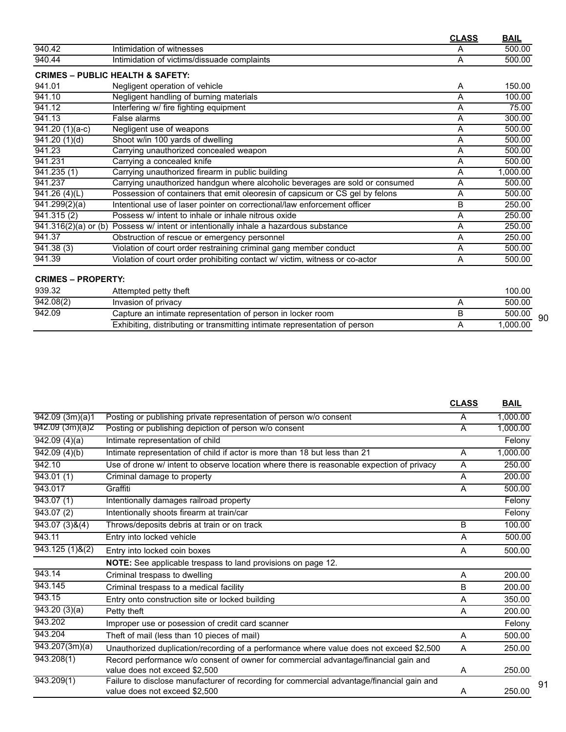|                              |                                                                                                   | <b>CLASS</b> | <b>BAIL</b> |
|------------------------------|---------------------------------------------------------------------------------------------------|--------------|-------------|
| 940.42                       | Intimidation of witnesses                                                                         | A            | 500.00      |
| 940.44                       | Intimidation of victims/dissuade complaints                                                       | A            | 500.00      |
|                              | <b>CRIMES - PUBLIC HEALTH &amp; SAFETY:</b>                                                       |              |             |
| 941.01                       | Negligent operation of vehicle                                                                    | A            | 150.00      |
| 941.10                       | Negligent handling of burning materials                                                           | A            | 100.00      |
| 941.12                       | Interfering w/ fire fighting equipment                                                            | A            | 75.00       |
| 941.13                       | False alarms                                                                                      | A            | 300.00      |
| $\overline{941.20}$ (1)(a-c) | Negligent use of weapons                                                                          | A            | 500.00      |
| $\overline{941.20(1)}$ (d)   | Shoot w/in 100 yards of dwelling                                                                  | A            | 500.00      |
| 941.23                       | Carrying unauthorized concealed weapon                                                            | A            | 500.00      |
| 941.231                      | Carrying a concealed knife                                                                        | A            | 500.00      |
| 941.235 (1)                  | Carrying unauthorized firearm in public building                                                  | A            | 1,000.00    |
| 941.237                      | Carrying unauthorized handgun where alcoholic beverages are sold or consumed                      | A            | 500.00      |
| 941.26(4)(L)                 | Possession of containers that emit oleoresin of capsicum or CS gel by felons                      | A            | 500.00      |
| $\sqrt{941.299(2)}(a)$       | Intentional use of laser pointer on correctional/law enforcement officer                          | B            | 250.00      |
| $\overline{941.315(2)}$      | Possess w/ intent to inhale or inhale nitrous oxide                                               | A            | 250.00      |
|                              | $\overline{941.316(2)(a)}$ or (b) Possess w/ intent or intentionally inhale a hazardous substance | A            | 250.00      |
| 941.37                       | Obstruction of rescue or emergency personnel                                                      | A            | 250.00      |
| 941.38(3)                    | Violation of court order restraining criminal gang member conduct                                 | A            | 500.00      |
| 941.39                       | Violation of court order prohibiting contact w/ victim, witness or co-actor                       | A            | 500.00      |

#### **CRIMES – PROPERTY:**

| 939.32    | Attempted petty theft                                                      | 100.00   |    |
|-----------|----------------------------------------------------------------------------|----------|----|
| 942.08(2) | Invasion of privacy                                                        | 500.00   |    |
| 942.09    | Capture an intimate representation of person in locker room                | 500.00   | 90 |
|           | Exhibiting, distributing or transmitting intimate representation of person | 1.000.00 |    |

|                          |                                                                                                                            | <b>CLASS</b>   | <b>BAIL</b> |
|--------------------------|----------------------------------------------------------------------------------------------------------------------------|----------------|-------------|
| $\sqrt{942.09}$ (3m)(a)1 | Posting or publishing private representation of person w/o consent                                                         | A              | 1.000.00    |
| 942.09(3m)(a)2           | Posting or publishing depiction of person w/o consent                                                                      | A              | 1,000.00    |
| $\sqrt{942.09(4)}$ (a)   | Intimate representation of child                                                                                           |                | Felony      |
| 942.09(4)(b)             | Intimate representation of child if actor is more than 18 but less than 21                                                 | A              | 1,000.00    |
| 942.10                   | Use of drone w/ intent to observe location where there is reasonable expection of privacy                                  | A              | 250.00      |
| 943.01(1)                | Criminal damage to property                                                                                                | A              | 200.00      |
| 943.017                  | Graffiti                                                                                                                   | A              | 500.00      |
| 943.07(1)                | Intentionally damages railroad property                                                                                    |                | Felony      |
| 943.07(2)                | Intentionally shoots firearm at train/car                                                                                  |                | Felony      |
| 943.07(3)8(4)            | Throws/deposits debris at train or on track                                                                                | B              | 100.00      |
| 943.11                   | Entry into locked vehicle                                                                                                  | Α              | 500.00      |
| $943.125(1)$ &(2)        | Entry into locked coin boxes                                                                                               | A              | 500.00      |
|                          | <b>NOTE:</b> See applicable trespass to land provisions on page 12.                                                        |                |             |
| 943.14                   | Criminal trespass to dwelling                                                                                              | $\overline{A}$ | 200.00      |
| 943.145                  | Criminal trespass to a medical facility                                                                                    | B              | 200.00      |
| 943.15                   | Entry onto construction site or locked building                                                                            | A              | 350.00      |
| 943.20(3)(a)             | Petty theft                                                                                                                | A              | 200.00      |
| 943.202                  | Improper use or posession of credit card scanner                                                                           |                | Felony      |
| 943.204                  | Theft of mail (less than 10 pieces of mail)                                                                                | A              | 500.00      |
| $\sqrt{943.207(3m)}$ (a) | Unauthorized duplication/recording of a performance where value does not exceed \$2,500                                    | A              | 250.00      |
| 943.208(1)               | Record performance w/o consent of owner for commercial advantage/financial gain and<br>value does not exceed \$2,500       | A              | 250.00      |
| 943.209(1)               | Failure to disclose manufacturer of recording for commercial advantage/financial gain and<br>value does not exceed \$2,500 | A              | 250.00      |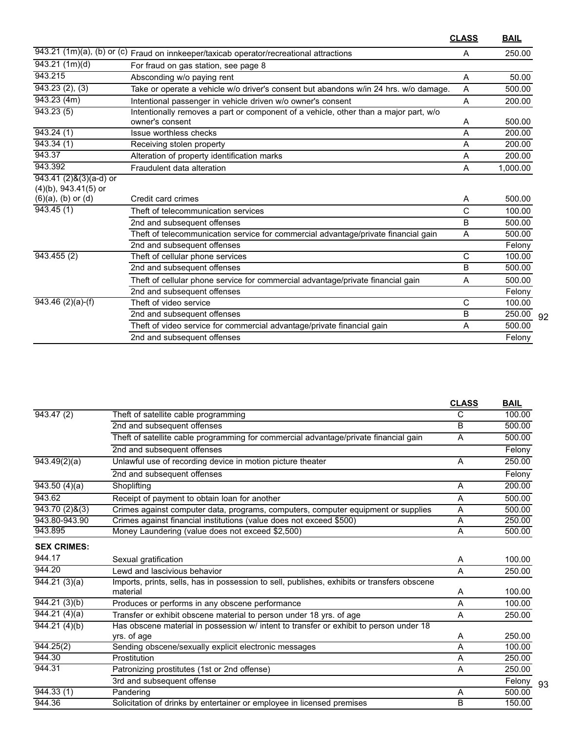|                                                         |                                                                                                      | <b>CLASS</b> | <b>BAIL</b> |
|---------------------------------------------------------|------------------------------------------------------------------------------------------------------|--------------|-------------|
|                                                         | $\overline{943.21}$ (1m)(a), (b) or (c) Fraud on innkeeper/taxicab operator/recreational attractions | A            | 250.00      |
| 943.21 (1m)(d)                                          | For fraud on gas station, see page 8                                                                 |              |             |
| 943.215                                                 | Absconding w/o paying rent                                                                           | A            | 50.00       |
| 943.23(2), (3)                                          | Take or operate a vehicle w/o driver's consent but abandons w/in 24 hrs. w/o damage.                 | Α            | 500.00      |
| 943.23(4m)                                              | Intentional passenger in vehicle driven w/o owner's consent                                          | A            | 200.00      |
| 943.23(5)                                               | Intentionally removes a part or component of a vehicle, other than a major part, w/o                 |              |             |
|                                                         | owner's consent                                                                                      | A            | 500.00      |
| 943.24(1)                                               | Issue worthless checks                                                                               | A            | 200.00      |
| 943.34(1)                                               | Receiving stolen property                                                                            | A            | 200.00      |
| 943.37                                                  | Alteration of property identification marks                                                          | A            | 200.00      |
| 943.392                                                 | Fraudulent data alteration                                                                           | A            | 1,000.00    |
| $943.41 (2)$ & $(3)(a-d)$ or<br>$(4)(b)$ , 943.41(5) or |                                                                                                      |              |             |
| $(6)(a)$ , $(b)$ or $(d)$                               | Credit card crimes                                                                                   | Α            | 500.00      |
| 943.45(1)                                               | Theft of telecommunication services                                                                  | C            | 100.00      |
|                                                         | 2nd and subsequent offenses                                                                          | B            | 500.00      |
|                                                         | Theft of telecommunication service for commercial advantage/private financial gain                   | A            | 500.00      |
|                                                         | 2nd and subsequent offenses                                                                          |              | Felony      |
| 943.455(2)                                              | Theft of cellular phone services                                                                     | C            | 100.00      |
|                                                         | 2nd and subsequent offenses                                                                          | B            | 500.00      |
|                                                         | Theft of cellular phone service for commercial advantage/private financial gain                      | A            | 500.00      |
|                                                         | 2nd and subsequent offenses                                                                          |              | Felony      |
| $943.46$ (2)(a)-(f)                                     | Theft of video service                                                                               | C            | 100.00      |
|                                                         | 2nd and subsequent offenses                                                                          | B            | 250.00      |
|                                                         | Theft of video service for commercial advantage/private financial gain                               | A            | 500.00      |
|                                                         | 2nd and subsequent offenses                                                                          |              | Felony      |

92

|                           |                                                                                             | <b>CLASS</b> | <b>BAIL</b> |
|---------------------------|---------------------------------------------------------------------------------------------|--------------|-------------|
| 943.47(2)                 | Theft of satellite cable programming                                                        | С            | 100.00      |
|                           | 2nd and subsequent offenses                                                                 | B            | 500.00      |
|                           | Theft of satellite cable programming for commercial advantage/private financial gain        | A            | 500.00      |
|                           | 2nd and subsequent offenses                                                                 |              | Felony      |
| 943.49(2)(a)              | Unlawful use of recording device in motion picture theater                                  | A            | 250.00      |
|                           | 2nd and subsequent offenses                                                                 |              | Felony      |
| 943.50(4)(a)              | Shoplifting                                                                                 | A            | 200.00      |
| 943.62                    | Receipt of payment to obtain loan for another                                               | A            | 500.00      |
| 943.70(2)8(3)             | Crimes against computer data, programs, computers, computer equipment or supplies           | A            | 500.00      |
| 943.80-943.90             | Crimes against financial institutions (value does not exceed \$500)                         | A            | 250.00      |
| 943.895                   | Money Laundering (value does not exceed \$2,500)                                            | A            | 500.00      |
| <b>SEX CRIMES:</b>        |                                                                                             |              |             |
| 944.17                    | Sexual gratification                                                                        | A            | 100.00      |
| 944.20                    | Lewd and lascivious behavior                                                                | A            | 250.00      |
| $\overline{944.21(3)}(a)$ | Imports, prints, sells, has in possession to sell, publishes, exhibits or transfers obscene |              |             |
|                           | material                                                                                    | Α            | 100.00      |
| 944.21(3)(b)              | Produces or performs in any obscene performance                                             | А            | 100.00      |
| 944.21(4)(a)              | Transfer or exhibit obscene material to person under 18 yrs. of age                         | A            | 250.00      |
| 944.21(4)(b)              | Has obscene material in possession w/ intent to transfer or exhibit to person under 18      |              |             |
|                           | yrs. of age                                                                                 | Α            | 250.00      |
| 944.25(2)                 | Sending obscene/sexually explicit electronic messages                                       | A            | 100.00      |
| 944.30                    | Prostitution                                                                                | A            | 250.00      |
| 944.31                    | Patronizing prostitutes (1st or 2nd offense)                                                | A            | 250.00      |
|                           | 3rd and subsequent offense                                                                  |              | Felony      |
| 944.33(1)                 | Pandering                                                                                   | A            | 500.00      |
| 944.36                    | Solicitation of drinks by entertainer or employee in licensed premises                      | B            | 150.00      |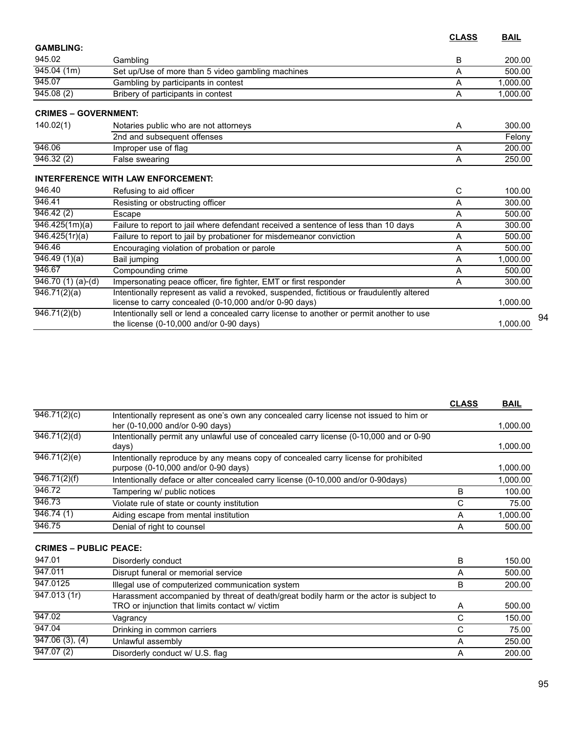|                                |                                                                                                                                                     | <b>CLASS</b> | <b>BAIL</b> |
|--------------------------------|-----------------------------------------------------------------------------------------------------------------------------------------------------|--------------|-------------|
| <b>GAMBLING:</b>               |                                                                                                                                                     |              |             |
| 945.02                         | Gambling                                                                                                                                            | B            | 200.00      |
| $\sqrt{945.04}$ (1m)           | Set up/Use of more than 5 video gambling machines                                                                                                   | A            | 500.00      |
| 945.07                         | Gambling by participants in contest                                                                                                                 | A            | 1,000.00    |
| 945.08(2)                      | Bribery of participants in contest                                                                                                                  | A            | 1,000.00    |
| <b>CRIMES - GOVERNMENT:</b>    |                                                                                                                                                     |              |             |
| 140.02(1)                      | Notaries public who are not attorneys                                                                                                               | A            | 300.00      |
|                                | 2nd and subsequent offenses                                                                                                                         |              | Felony      |
| 946.06                         | Improper use of flag                                                                                                                                | A            | 200.00      |
| 946.32(2)                      | False swearing                                                                                                                                      | A            | 250.00      |
|                                | <b>INTERFERENCE WITH LAW ENFORCEMENT:</b>                                                                                                           |              |             |
| 946.40                         | Refusing to aid officer                                                                                                                             | C            | 100.00      |
| 946.41                         | Resisting or obstructing officer                                                                                                                    | A            | 300.00      |
| 946.42(2)                      | Escape                                                                                                                                              | A            | 500.00      |
| 946.425(1m)(a)                 | Failure to report to jail where defendant received a sentence of less than 10 days                                                                  | A            | 300.00      |
| 946.425(1r)(a)                 | Failure to report to jail by probationer for misdemeanor conviction                                                                                 | A            | 500.00      |
| 946.46                         | Encouraging violation of probation or parole                                                                                                        | A            | 500.00      |
| 946.49(1)(a)                   | Bail jumping                                                                                                                                        | A            | 1,000.00    |
| 946.67                         | Compounding crime                                                                                                                                   | A            | 500.00      |
| $\overline{946.70(1)(a)}$ -(d) | Impersonating peace officer, fire fighter, EMT or first responder                                                                                   | A            | 300.00      |
| 946.71(2)(a)                   | Intentionally represent as valid a revoked, suspended, fictitious or fraudulently altered<br>license to carry concealed (0-10,000 and/or 0-90 days) |              | 1,000.00    |
| 946.71(2)(b)                   | Intentionally sell or lend a concealed carry license to another or permit another to use<br>the license $(0-10,000$ and/or $0-90$ days)             |              | 1,000.00    |

|                               |                                                                                                                                | <b>CLASS</b> | <b>BAIL</b>   |
|-------------------------------|--------------------------------------------------------------------------------------------------------------------------------|--------------|---------------|
| $\sqrt{946.71(2)(c)}$         | Intentionally represent as one's own any concealed carry license not issued to him or<br>her (0-10,000 and/or 0-90 days)       |              | 1,000.00      |
| $\overline{946.71(2)(d)}$     | Intentionally permit any unlawful use of concealed carry license (0-10,000 and or 0-90<br>days)                                |              | 1,000.00      |
| $\sqrt{946.71(2)}$ (e)        | Intentionally reproduce by any means copy of concealed carry license for prohibited<br>purpose $(0-10,000$ and/or $0-90$ days) |              | 1,000.00      |
| $\sqrt{946.71(2)}$ (f)        | Intentionally deface or alter concealed carry license (0-10,000 and/or 0-90days)                                               |              | 1,000.00      |
| 946.72                        | Tampering w/ public notices                                                                                                    | В            | 100.00        |
| 946.73                        | Violate rule of state or county institution                                                                                    | С            | 75.00         |
| 946.74(1)                     | Aiding escape from mental institution                                                                                          | A            | 1,000.00      |
| 946.75                        | Denial of right to counsel                                                                                                     | A            | 500.00        |
| <b>CRIMES – PUBLIC PEACE:</b> |                                                                                                                                |              |               |
| 947.01                        | Disorderly conduct                                                                                                             | B            | 150.00        |
| 947.011                       | Disrupt funeral or memorial service                                                                                            | A            | 500.00        |
| 0.47040E                      |                                                                                                                                |              | $\sim$ $\sim$ |

| <u>JTI.VII</u>               | Disiupt furneral of interflorial service                                               | <b>OU.OU</b> |
|------------------------------|----------------------------------------------------------------------------------------|--------------|
| 947.0125                     | Illegal use of computerized communication system                                       | 200.00       |
| $\sqrt{947.013}$ (1r)        | Harassment accompanied by threat of death/great bodily harm or the actor is subject to |              |
|                              | TRO or injunction that limits contact w/ victim                                        | 500.00       |
| 947.02                       | Vagrancy                                                                               | 150.00       |
| 947.04                       | Drinking in common carriers                                                            | 75.00        |
| $\overline{947.06}$ (3), (4) | Unlawful assembly                                                                      | 250.00       |
| 947.07(2)                    | Disorderly conduct w/ U.S. flag                                                        | 200.00       |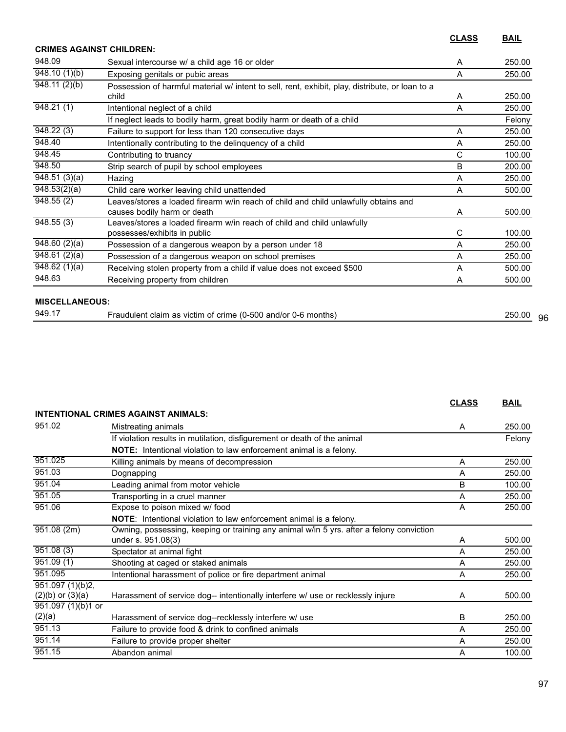**CLASS BAIL**

|                            | <b>CRIMES AGAINST CHILDREN:</b>                                                                                    |   |        |
|----------------------------|--------------------------------------------------------------------------------------------------------------------|---|--------|
| 948.09                     | Sexual intercourse w/ a child age 16 or older                                                                      | A | 250.00 |
| 948.10(1)(b)               | Exposing genitals or pubic areas                                                                                   | A | 250.00 |
| $\overline{948.11(2)}$ (b) | Possession of harmful material w/ intent to sell, rent, exhibit, play, distribute, or loan to a<br>child           | A | 250.00 |
| 948.21(1)                  | Intentional neglect of a child                                                                                     | Α | 250.00 |
|                            | If neglect leads to bodily harm, great bodily harm or death of a child                                             |   | Felony |
| 948.22(3)                  | Failure to support for less than 120 consecutive days                                                              | A | 250.00 |
| 948.40                     | Intentionally contributing to the delinquency of a child                                                           | A | 250.00 |
| 948.45                     | Contributing to truancy                                                                                            | C | 100.00 |
| 948.50                     | Strip search of pupil by school employees                                                                          | B | 200.00 |
| 948.51(3)(a)               | Hazing                                                                                                             | A | 250.00 |
| 948.53(2)(a)               | Child care worker leaving child unattended                                                                         | A | 500.00 |
| 948.55(2)                  | Leaves/stores a loaded firearm w/in reach of child and child unlawfully obtains and<br>causes bodily harm or death | A | 500.00 |
| 948.55(3)                  | Leaves/stores a loaded firearm w/in reach of child and child unlawfully<br>possesses/exhibits in public            | C | 100.00 |
| 948.60(2)(a)               | Possession of a dangerous weapon by a person under 18                                                              | A | 250.00 |
| $\overline{948.61(2)}(a)$  | Possession of a dangerous weapon on school premises                                                                | Α | 250.00 |
| 948.62(1)(a)               | Receiving stolen property from a child if value does not exceed \$500                                              | A | 500.00 |
| 948.63                     | Receiving property from children                                                                                   | A | 500.00 |

| 949.17 | -500<br>months<br>raudulen.<br>and/or<br>as<br>crime (0-,<br>. victim<br>- Ot<br>claim<br>ี เม-ต | 250.00 | 96 |
|--------|--------------------------------------------------------------------------------------------------|--------|----|
|        |                                                                                                  |        |    |

|                      |                                                                                          | <b>CLASS</b> | <b>BAIL</b> |
|----------------------|------------------------------------------------------------------------------------------|--------------|-------------|
|                      | <b>INTENTIONAL CRIMES AGAINST ANIMALS:</b>                                               |              |             |
| 951.02               | Mistreating animals                                                                      | A            | 250.00      |
|                      | If violation results in mutilation, disfigurement or death of the animal                 |              | Felony      |
|                      | <b>NOTE:</b> Intentional violation to law enforcement animal is a felony.                |              |             |
| 951.025              | Killing animals by means of decompression                                                | A            | 250.00      |
| 951.03               | Dognapping                                                                               | A            | 250.00      |
| 951.04               | Leading animal from motor vehicle                                                        | B            | 100.00      |
| 951.05               | Transporting in a cruel manner                                                           | A            | 250.00      |
| 951.06               | Expose to poison mixed w/ food                                                           | A            | 250.00      |
|                      | NOTE: Intentional violation to law enforcement animal is a felony.                       |              |             |
| 951.08 (2m)          | Owning, possessing, keeping or training any animal w/in 5 yrs. after a felony conviction |              |             |
|                      | under s. 951.08(3)                                                                       | A            | 500.00      |
| 951.08(3)            | Spectator at animal fight                                                                | A            | 250.00      |
| 951.09(1)            | Shooting at caged or staked animals                                                      | A            | 250.00      |
| 951.095              | Intentional harassment of police or fire department animal                               | A            | 250.00      |
| 951.097 (1)(b)2,     |                                                                                          |              |             |
| $(2)(b)$ or $(3)(a)$ | Harassment of service dog-- intentionally interfere w/ use or recklessly injure          | A            | 500.00      |
| 951.097 (1)(b)1 or   |                                                                                          |              |             |
| (2)(a)               | Harassment of service dog--recklessly interfere w/ use                                   | B            | 250.00      |
| 951.13               | Failure to provide food & drink to confined animals                                      | A            | 250.00      |
| 951.14               | Failure to provide proper shelter                                                        | A            | 250.00      |
| 951.15               | Abandon animal                                                                           | А            | 100.00      |
|                      |                                                                                          |              |             |